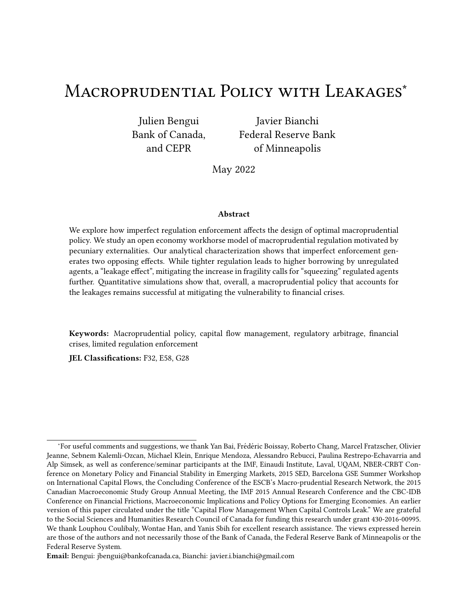# MACROPRUDENTIAL POLICY WITH LEAKAGES<sup>\*</sup>

Julien Bengui Bank of Canada, and CEPR

Javier Bianchi Federal Reserve Bank of Minneapolis

May 2022

### Abstract

We explore how imperfect regulation enforcement affects the design of optimal macroprudential policy. We study an open economy workhorse model of macroprudential regulation motivated by pecuniary externalities. Our analytical characterization shows that imperfect enforcement generates two opposing effects. While tighter regulation leads to higher borrowing by unregulated agents, a "leakage effect", mitigating the increase in fragility calls for "squeezing" regulated agents further. Quantitative simulations show that, overall, a macroprudential policy that accounts for the leakages remains successful at mitigating the vulnerability to financial crises.

Keywords: Macroprudential policy, capital flow management, regulatory arbitrage, financial crises, limited regulation enforcement

JEL Classifications: F32, E58, G28

<sup>\*</sup>For useful comments and suggestions, we thank Yan Bai, Frédéric Boissay, Roberto Chang, Marcel Fratzscher, Olivier Jeanne, Sebnem Kalemli-Ozcan, Michael Klein, Enrique Mendoza, Alessandro Rebucci, Paulina Restrepo-Echavarria and Alp Simsek, as well as conference/seminar participants at the IMF, Einaudi Institute, Laval, UQAM, NBER-CRBT Conference on Monetary Policy and Financial Stability in Emerging Markets, 2015 SED, Barcelona GSE Summer Workshop on International Capital Flows, the Concluding Conference of the ESCB's Macro-prudential Research Network, the 2015 Canadian Macroeconomic Study Group Annual Meeting, the IMF 2015 Annual Research Conference and the CBC-IDB Conference on Financial Frictions, Macroeconomic Implications and Policy Options for Emerging Economies. An earlier version of this paper circulated under the title "Capital Flow Management When Capital Controls Leak." We are grateful to the Social Sciences and Humanities Research Council of Canada for funding this research under grant 430-2016-00995. We thank Louphou Coulibaly, Wontae Han, and Yanis Sbih for excellent research assistance. The views expressed herein are those of the authors and not necessarily those of the Bank of Canada, the Federal Reserve Bank of Minneapolis or the Federal Reserve System.

Email: Bengui: jbengui@bankofcanada.ca, Bianchi: javier.i.bianchi@gmail.com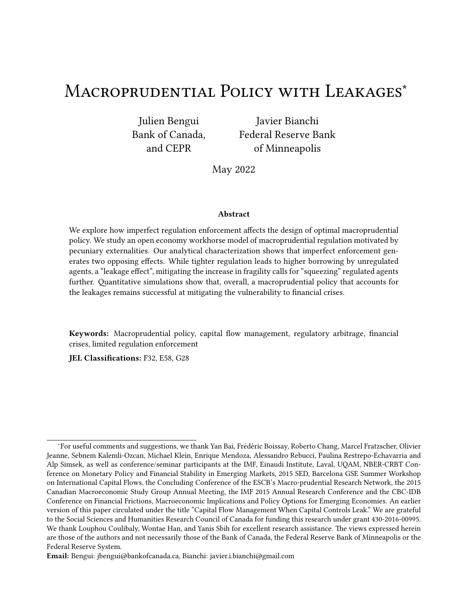## 1 Introduction

Macroprudential regulation has emerged as a central element of the post-financial crisis dominant policy paradigm, in which the management of credit cycles has been elevated to the rank of firstorder policy concerns. Central to this view is the notion that curbing credit booms reduces financial sector vulnerabilities to future reversals in financial conditions. The effectiveness of macroprudential regulation, however, is not being taken for granted and has been the subject of a growing empirical literature (see, e.g., Cerutti, Claessens and Laeven, 2017). Indeed, a common policy concern is that such new regulation could be bypassed and have unintended consequences.<sup>1</sup>

How is the optimal design of macroprudential regulation altered by the presence of leakages? Is the scope for macroprudential policy significantly altered by the possibility of leakages? Does macroprudential policy remain desirable in the presence of leakages? The theoretical literature on macroprudential policy has so far abstracted from the imperfect regulation enforcement, and thus a proper framework to address these questions is lacking. Our goal in this paper is to fill this gap by providing a theoretical model suited to tackle these issues.

In line with the emerging policy paradigm and the theoretical literature, we adopt a framework in which inefficient private borrowing decisions generate excessive financial fragility (e.g., Lorenzoni 2008; Bianchi 2011). In our theory, a pecuniary externality resulting from frictions in financial markets makes macroprudential policy desirable, yet the introduction of such policy endogenously leads to increased risk taking by a shadow sector endowed with the ability to bypass regulation. These unintended spillover effects in turn feed into the economy's exposure to financial crises, limiting the effectiveness of macroprudential policy and altering its optimal design.

We start our analysis with a tractable three-period model. In the model, agents initially make a borrowing decision and are then subject to income shocks in the intermediate period while facing a collateral constraint that limits their ability to smooth consumption. The presence of a market price in the collateral constraint implies that the higher the aggregate leverage chosen in the initial period, the larger the contraction in the borrowing capacity in the intermediate period for all households. This pecuniary externality and the associated financial amplification effects are not internalized by private households, providing a rationale for a macroprudential policy aimed at limiting private leverage.

Different from existing studies, macroprudential regulation is subject to imperfect enforcement. In particular, the macroprudential authority is able to curb risk taking within a narrow (regulated) sector, while internalizing the endogenous response of the shadow (unregulated) sector. A stricter macroprudential policy seeking to make regulated agents internalize the pecuniary externality creates a safer environment but has the unintended consequence of encouraging higher borrowing by unregulated agents. These spillovers undermine the effectiveness of macroprudential policy and in-

 $1$  Empirical studies analyzing such leakages in macroprudential policies include Magud et al. (2011), Aiyar, Calomiris and Wieladek (2014), Klein (2012), Jiménez, Ongena, Peydró and Saurina (2012), Forbes, Fratzscher and Straub (2015), Dassatti and Peydró (2013), and Ahnert, Forbes and Reinhardt (2018).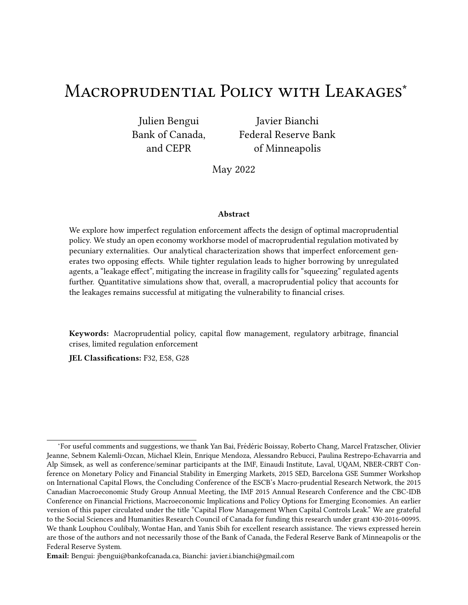crease the economy's exposure to financial crises.

We show that despite destabilizing spillover effects on the unregulated sphere, a small macroprudential tax on regulated agents is always strictly welfare improving for all agents. Going beyond a perturbation argument, we derive an explicit formula for the optimal macroprudential tax. Relative to the standard Pigouvian tax expression familiar from the literature, accounting for leakages yields two new elements. One reflects the weaker influence of the financial regulator onto the price of collateral due to the unregulated sector partially offsetting the regulated sector's response to the regulation. The second one reflects the regulator's higher valuation of relaxing future collateral constraints resulting from the unregulated sector's higher exposure to financial crises. Taken together, these two effects imply an ambiguous effect of leakages on the size of optimal macroprudential taxes.

We then turn to an infinite horizon model to pursue a quantitative analysis. In the infinite horizon context, leakages further give rise to a time inconsistency problem. To see why, suppose agents expect loose regulation in the future. This expectation generates a perception of a riskier environment, which induces unregulated agents to take less risk today, narrowing the gap between the borrowing choices of regulated and unregulated agents. Interestingly, this channel works despite unregulated agents not being directly subject to regulation. Given our goal of evaluating the extent to which leakages undermine the effectiveness of regulation, we find it useful to focus on a discretionary regime in which a regulator has limited ability to exploit the disciplining effect just described. We thus consider a government that sets optimal regulation sequentially and without commitment, and we focus on Markov-perfect equilibria. We then calibrate our infinite horizon model to match the features of emerging market crises and experiment with degrees of leakages ranging from 0 to 50% of agents making up the unregulated sphere of the economy.

The main take away from our quantitative analysis is that even subject to significant leakages, macroprudential policy remains highly effective and desirable. To offset the increase in borrowing by the unregulated sector, the planner induces even tighter regulation on the regulated sector, and this results in aggregate levels of borrowing that are comparable to the constrained-efficient allocation. Average welfare gains are fairly stable with respect to leakages. Nonetheless, the welfare gains are spread unevenly in the economy, with the lion's share going to unregulated agents. Intuitively, while the financial stability benefits of macroprudential policy are partially offset by the burden of regulation for regulated agents, they are not for unregulated agents, who free-ride on others' precautionary behavior.

Related Literature. This paper belongs to a growing literature providing foundations for macroprudential policies. A first strand of this literature, most closely related to our paper, examines pecuniary externalities and incomplete markets when financial constraints depend on market prices (Caballero and Krishnamurthy, 2001, Lorenzoni, 2008, Bianchi, 2011, Jeanne and Korinek, 2012, Bianchi and Mendoza, 2018, Korinek, 2018). Abstracting from imperfect regulation enforcement, this literature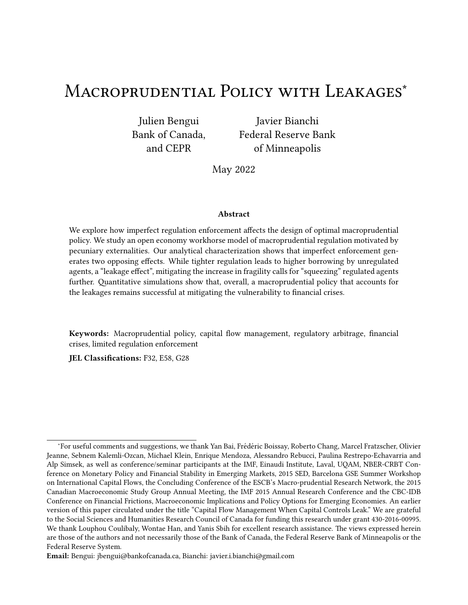has tackled several issues, including the interactions between macroprudential and stabilization policies (Benigno et al., 2013), monetary policy (Fornaro, 2015, Ottonello, 2015, Sergeyev, 2016, Coulibaly, 2018, Devereux, Young and Yu, 2018), foreign reserves (Arce, Bengui and Bianchi, 2019; Davis et al., 2020), international coordination (Bengui, 2013), policy cyclicality (Schmitt-Grohé and Uribe, 2017), multiple equilibria (Schmitt-Grohé and Uribe, 2016), learning (Bianchi, Boz and Mendoza, 2012), news and regime switching shocks (Bianchi, Liu and Mendoza, 2016), uncertainty shocks (Reyes-Heroles and Tenorio, 2018), trend shocks and the implications for the cyclicality of capital controls (Flemming, L'Huillier and Piguillem, 2019, Seoane and Yurdagul, 2019). A second strand of the literature on macroprudential policy examines aggregate demand externalities in the presence of nominal rigidities (Schmitt-Grohé and Uribe, 2013, Farhi and Werning, 2016). Recent research in this area has studied Mundell's Trilemma (Farhi and Werning, 2012), liquidity traps (Korinek and Simsek, 2016, Acharya and Bengui, 2018, Fornaro and Romei, 2018, Bianchi and Coulibaly, 2021), and fiscal unions (Farhi and Werning, 2017). See Bianchi and Lorenzoni (2021) and Bianchi and Mendoza (2020) for reviews of the literature.

A common theme in this literature is the presence of a wedge between the private and social cost of borrowing, which generates scope for Pigouvian taxes. Our contribution is to explicitly model the imperfect enforcement of macroprudential regulation, pursuing both a qualitative and quantitative analysis of optimal policy. The paper also speaks to an empirical literature that examines the effectiveness of macroprudential regulation. $^2$  In particular, our quantitative predictions are consistent with the findings that tighter regulation leads to opposite risk-taking responses by different agents, although tighter regulation leads to an overall reduction in risk taking (Dassatti and Peydró, 2013, Aiyar, Calomiris and Wieladek, 2014).

Finally, our paper relates to a literature in financial intermediation studying the interaction between regulation and shadow banking activity. Examples include Huang (2014), Plantin (2015), Grochulski and Zhang (2015), Farhi and Tirole (2017), Ordonez (2018), Ordonez and Piguillem (2018), Begenau and Landvoigt (2018) and Bengui, Bianchi and Coulibaly (2019). Begenau and Landvoigt, for example, study a model in which traditional banks are covered by deposit insurance but shadow banks are not, and find that a tightening of capital requirements for traditional banks causes shadow banks to take over a larger fraction of the credit market. We do not model banks explicitly but instead consider a generic setting with regulated and unregulated agents, and point to a distinct channel involving leverage responses to endogenous changes in systemic risk generated by regulation. From a normative standpoint, the above mentioned literature adopts a primarily microprudential approach to financial regulation. Overall, our paper provides the first analysis of macroprudential regulation in an economy with an unregulated sector.

The paper is organized as follows. Section 2 presents a three-period model that shows analytical results for the main mechanisms in the paper. Section 3 presents the results from the infinite horizon

<sup>&</sup>lt;sup>2</sup>See footnote 1 for a list of papers.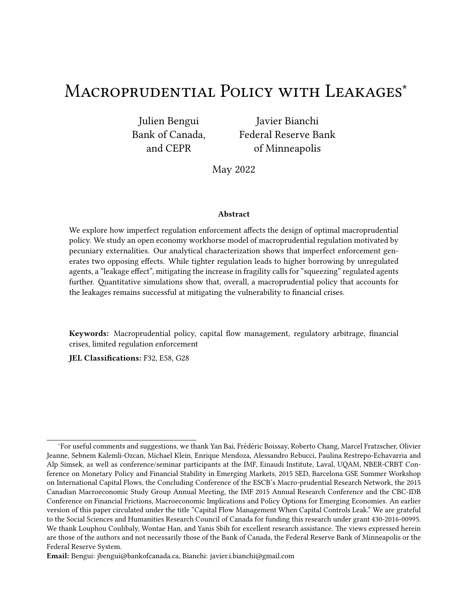quantitative model. Section 4 concludes. Proofs are collected in the appendix.

## 2 A Three-Period Model

In this section, we present an analytically tractable three-period model of financial crises in which macroprudential policy cannot be enforced on a subset of agents that are outside the regulated sector. We adopt specific assumptions on preferences that deliver closed-form solutions for continuation equilibria and help us obtain an analytical characterization of the optimal macroprudential policy problem in the presence of leakages. Later, in Section 3, we study the same mechanisms we outline in this simple model in the context of a more general quantitative infinite horizon model. A key assumption of both models is that of homothetic preferences, which guarantee that the price of nontradables is increasing income, and thus decreasing in indebtedness.

### 2.1 Environment

We consider a small open economy that lasts for three periods  $\ell = 0 \cdot 1 \cdot 2$ . There are two types of goods, tradables and nontradables, and no production. The only source of uncertainty is over the endowment of tradable goods in period  $\ell = 1$ .

The economy is populated by a continuum of agents of one of two types  $\ell = \star \star'$  that differ in their ability to bypass regulation: a fraction *W* is unregulated ( $\star$ ) and the remaining 1 *W* is regulated ('). The distinction between unregulated and regulated agents is intended to capture in a broad sense the existence of a shadow banking sector, differences in access to sources of funding, or differences in the ability to circumvent regulation by different agents. Our focus will be on how these different types of agents respond differently to policy and its implications for optimal regulation. For the most part, we consider an environment where the size of the unregulated sector  $\mathbf{\mathbf{\ell}}$  is exogenous, but will also provide a simple way to endogenize W based on an idiosyncratic cost of bypassing regulation.

Both types of agents have identical preferences and endowments. Preferences are given by

$$
g = 2^{\prime}_{80} \, \Gamma_{50} \, \text{V} \ln \, {}^{1}2_{81} {}^{0} \, \Gamma_{50} \, \text{V}^{2} \ln \, {}^{1}2_{82} {}^{0} \tag{1}
$$

with

$$
2_{\theta C} = 2_{\theta C}^{\lambda} \quad 2_{\theta C}^{\#} \quad 11
$$

where E is the expectation operator and  $V \dot{V}$  1 is a discount factor. Date 0 utility is linear in tradable consumption  $2^{\flat}$  , while date 1 and date 2 utility is logarithmic in a consumption basket 2, which is a Cobb-Douglas aggregator of tradable goods consumption  $2^{\flat}$  and nontradable goods consumption  $2^{\#}.$ The parameter  $l$  is the share of tradables in total consumption.

Agents receive endowments of tradable goods and nontradable goods of  $\;\;\;\gamma^{\,1}{}_{\rm B}^{\rm o}$   $\;\cdot\cdot\cdot_l^{\#}\;$  at date 1 and date 2, but do not receive any endowment at date 0. The date 1 endowment of tradables  $\frac{1}{1}$  $\int_{1}^{1} 1 B^{\circ}$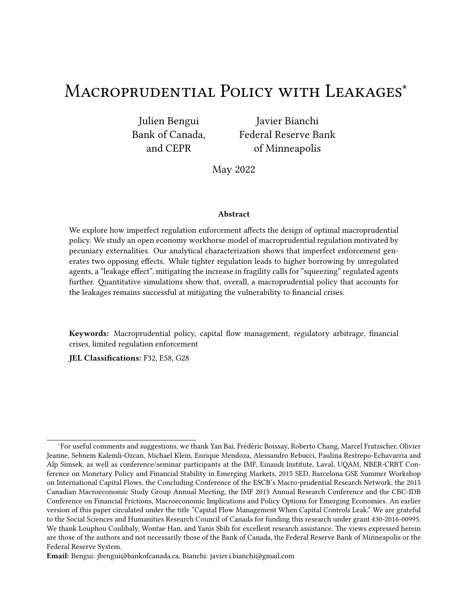is a random variable depending on the event  $\beta$  2 (, which can be interpreted as the aggregate state of the economy. For simplicity, we assume that  $\frac{1}{2}$  $\frac{1}{2}$  is deterministic and that the nontradable goods endowment is constant,  $\sim_1^{\#}$  $\frac{\#}{1} = -\frac{\#}{2}$  $\frac{\#}{2} = -\frac{\#}{4}$ .

Agents have access to a single, one-period, non-state-contingent bond denominated in units of tradable goods that pays a fixed interest rate A, determined exogenously in the world market. Denoting the relative price of nontradables by  $2^{\#}$ , the agents' budget constraints in all three periods are given by

$$
2_{\ell 0}^{\prime}{}_{s} {}^{1}1 \t s g_{\ell} {}^{0} {}^{1}1_{\ell 1} = {}_{\ell}{}_{\ell}
$$
 (2)

$$
2_{\beta_1}^{\gamma_1} 1_{\beta_1}^{\beta_2} \cdot 7_1^{\#} 1_{\beta_1}^{\beta_2} 2_{\beta_1}^{\#} 1_{\beta_1}^{\beta_2} \cdot 1_{\beta_2}^{\beta_2} 1_{\beta_2}^{\beta_3} = 1_{\alpha_1}^{\alpha_2} 1_{\beta_1}^{\beta_2} 1_{\beta_1}^{\beta_2} \cdot 7_1^{\#} 1_{\beta_1}^{\beta_2} 2_{\beta_1}^{\#} 1_{\beta_2}^{\beta_2} \cdot 8 \beta \qquad (3)
$$

2 ) 82 ¹Bº ¸ ? # 2 ¹Bº2 # 82 ¹Bº = ¹1 ¸ Aº18<sup>2</sup> ¹Bº ¸ ~ ) ¸ ? # 2 ¹Bº~ # 8B• (4)

where  $1_{\ell,1}$  denotes the bond holdings an agent chooses at the beginning of period  $\ell, g_{\ell}$  denotes the tax rate on date 0 borrowing, and  $\hat{J}_{\beta}$  is a lump-sum transfer. Crucially, we impose  $g_* = 0$ , that is, unregulated agents face no tax on borrowing.<sup>3</sup> To abstract from the distributional side effects of macroprudential policy, we assume that the planner rebates the tax proceeds to the agents who pay the tax.

At date 1, agents are subject to a credit constraint preventing them from borrowing more than a fraction  $\wedge$  of their current income:

$$
1_{g_2}1g_0 \qquad \qquad \wedge \quad 2_f^{\#}1g_0 \sim^{\#} \quad \mathbf{A} \quad \mathbf{A}^1g_0 \qquad \mathbf{B}^{\prime\prime} \tag{5}
$$

This credit constraint captures in a parsimonious way the empirical fact that income is critical in determining credit market access. The form of this constraint follows Mendoza (2002) and is common in the literature on financial crises and macroprudential policy (e.g., Bianchi, 2011 and Korinek, 2018).<sup>4</sup>

Agents choose consumption and savings to maximize their utility (1) subject to budget constraints (2), (3), (4), and the credit constraint (5), taking  $?^{\#}_1$  $\frac{7}{1}$ <sup>#</sup> <sup>1</sup> $\frac{1}{2}$ <sup>o</sup> and  $\frac{7}{2}$ <sup>#</sup>  $2^{\#1}$ B° as given. Necessary and sufficient

<sup>&</sup>lt;sup>3</sup>We assume that unregulated agents are prevented from arbitraging via borrowing abroad and lending domestically to the regulated sphere (e.g., because of technological reasons). Equivalently, we could assume that the tax on borrowing on the regulated sphere applies to both domestic and foreign forms of borrowing.

<sup>4</sup>This collateral constraint can be derived endogenously from limited enforcement assuming that: (i) households can default at the end of the period (before observing next period income realization), (ii) upon default, foreign creditors can seize a fraction  $\land$  of the current income and households regain access immediately to credit markets. Non-tradable goods enter the collateral constraint because while foreign creditors do not value non-tradable goods, they can sell it in exchange for tradable goods after seizing these goods after default. The current and not the future price appears in the constraint because the opportunity to default is at the end of the current period, before the realization of future shocks (see Bianchi and Mendoza, 2018).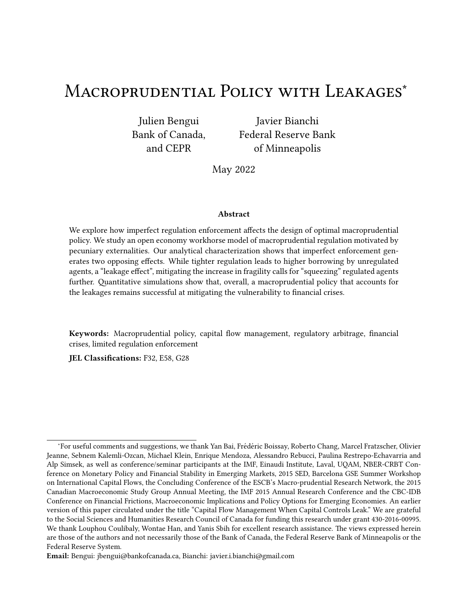conditions for optimality are given by

$$
?_{\ell}^{\#}1_{\ell}B^{\circ} = \frac{1}{I} \frac{1}{2\pi} \frac{2_{\ell\ell}^2 1_{\ell}B^{\circ}}{2\pi} \tag{6}
$$

$$
1 = V^{1}1 \t{1} A^{0}11 \t{1} g_{0}^{0}E_{0} \t{1} {2 \t{2} \t{1} g^{0}} \t{1}
$$
 (7)

$$
\frac{1}{2_{\theta_1}^2+18^{\circ}} \qquad V^11 \qquad A^{\circ} \frac{1}{2_{\theta_2}^2+18^{\circ}} \qquad \text{with equality if } 1_{\theta_2}^1 B^{\circ} \qquad {}^{A_1}2_1^{\#}18^{\circ} \stackrel{\#}{\sim} {}^{A_1}18^{\circ} \qquad (8)
$$

for all  $\beta$ . Condition (6) is a static optimality condition equating the marginal rate of substitution between tradable and nontradable goods to their relative price. Conditions (7) and (8) are the Euler equations for bonds at date 0 and date 1. The latter holds with strict inequality if the credit constraint binds, in which case current marginal utility exceeds the expected marginal utility costs from borrowing one unit and repaying next period.

Finally, the government budget constraint says that taxes on borrowing are rebated back to regulated agents:

$$
y' = \frac{g'}{1 \cdot g'} 1' \quad \text{and} \quad y* = 0''
$$
 (9)

**Definition of competitive equilibrium.** Given a tax policy  $g \cdot \cdot$ ), a competitive regulated equilibrium of the model is a set of date 0 choices  $\hat{L}_{\hat{x}}^{2}$  $\partial_{\theta^0}$ • 1 $_{\beta_1}$ g $_{\beta_2}$ <sub>f\*</sub>.<sub>' g</sub>, date 1 choices f2 $_{\beta_2}$  $B_8^{\{0\}}$  1  $B^{\circ}$  •  $2_{82}^{\{0\}}$  1  $B^{\circ}$  •

 $2^{\#}$  $\delta_{\beta_1}^{\#}$ 1B°•2 $\#$ 1B°•1 $\beta_2$ 1B°9 $\beta_2$ f\*•′g $\beta_2$ (, and prices f? $\tau_1^{\#}$  $\frac{\#}{1}$  1 $B$ °•  $?_{2}^{\#}$  1 $B$ °  $\mathcal{G}_{B2}$ ( such that (1) given prices and taxes, agents' decisions are optimal, (2) the market for the nontradable good clears at all dates, and (3) the government budget constraint holds.

In what follows, we proceed by backward induction. We first analyze the date 1 continuation equilibrium for given date 0 bond choices and then turn to the determination of date 0 borrowing decisions.

### 2.2 Date 1 continuation equilibrium

To simplify the analysis, we make the following parametric assumptions.

Assumption 1. e domestic agents' discount factor and the international interest rate satisfy  $V^11$ ,  $A^0$  = 1.

This assumption, common in small open economy models, implies that domestic agents are as patient as international investors. A result of this assumption is that there is no intrinsic motivation for consumption tilting in the domestic economy between date 1 and date 2, which simplifies the households' optimization problem.

Assumption 2. e consumption shares and collateralizable fraction of income are such that 0  $\ddot{Y} \wedge \ddot{Y}$  $l \cdot 11$   $l^{\circ}$ .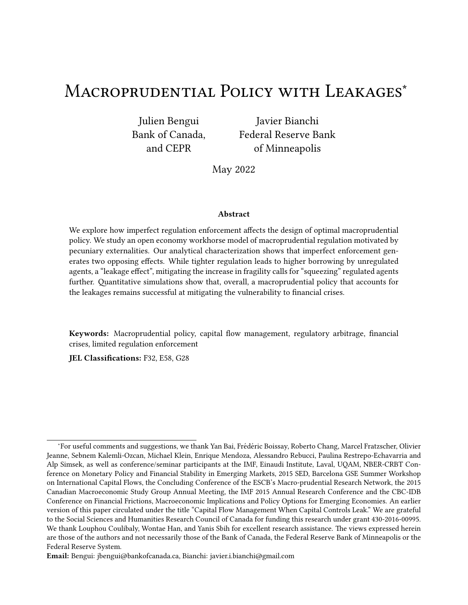This assumption simplifies the analysis by guaranteeing that there is a unique (continuation) equilibrium. As will become clear below, when Assumption 2 holds, an increase in aggregate consumption by one unit does not relax agents' credit constraint by more than one unit in equilibrium.

For given date 0 savings choices, the agent's date 1 problem conveniently admits a closed-form solution. If an agent  $\ell$  is unconstrained at date 1, his consumption plan for all  $\ell$  is given by

$$
2_{g_1}^{\lambda_1} B^{\circ} = 2_{g_2}^{\lambda_1} B^{\circ} = \frac{1}{1} \int_{\lambda}^{\lambda} F 4_{g_1} B^{\circ} \cdot \quad \text{and} \quad 2_{g_0}^{\#} B^{\circ} = \frac{1}{1} \int_{\lambda}^{\lambda} \frac{F 4_{g_1} B^{\circ}}{2_{\zeta}^{\#} B^{\circ}} \cdot \quad \text{for} \quad \zeta = 1 \cdot 2 \cdot \tag{10}
$$

where  $F4_{g_1}{}^1B^{\circ}$  is the agent's date 1 lifetime wealth:

F48<sup>1</sup> ¹Bº ¹1 ¸ Aº18<sup>1</sup> ¸ ~ ) 1 ¹Bº ¸ ? # 1 ¹Bº~ # ¸ ~ ) 2 ¸ ? # 2 ¹Bº~ # 1 ¸ A "

To finance this consumption plan, the agent borrows the shortfall between his expenditures  $F4_{81}$ <sup>1</sup> $B^{\circ}$ •<sup>1</sup>1,  $V^{\circ}$  and cash on hand <sup>1</sup>1,  $\frac{A^{\circ}1_{\delta_1}}{2}$ ,  $\frac{2}{1}$  $\frac{1}{2}$   $\frac{1}{2}$   $\frac{1}{2}$   $\frac{1}{2}$   $\frac{1}{2}$   $\frac{1}{2}$  $n_1^{\#}1B^{\circ} \sim^{\#}$  at date 1:

$$
1_{82}^{1}B^{\circ} = 1_{82}^{D=2}^{1}B^{\circ} \qquad \frac{V}{1_{s}V}^{1}1_{s} A^{\circ}1_{81_{s}} \sim_{1}^{1}B^{\circ} \quad \frac{2^{\#}}{1_{s}B^{\circ}} + \frac{2_{2}^{1}B^{\circ} \sim_{2}^{1}B^{\circ} \sim_{2}^{1}B^{\circ}}{1_{s}A} \qquad (11)
$$

The agent is constrained at date 1 if the bond position in (11) violates the credit constraint (5). In this case, he borrows the maximum amount:

$$
1_{g_2}^1 g_0 = 1_{g_2}^{2} 1 g_0 \qquad \qquad \wedge \quad \frac{1}{1}^1 g_0 \qquad \frac{2}{1}^1 g_0 \sqrt{\frac{2}{1}} \qquad (12)
$$

and chooses a consumption plan given by

$$
2_{g_1}^{\lambda}{}^{1}B^{\circ} = I \ F 4_{g_1}{}^{1}B^{\circ}
$$
\n
$$
2_{g_2}^{\lambda}{}^{1}B^{\circ} = I \ 1 \ , \ A^{\circ} \ \nu F 4_{g_1}{}^{1}B^{\circ} \ F 4_{g_1}{}^{1}B^{\circ} \ \mu
$$
\n
$$
2_{g_1}^{\#}{}^{1}B^{\circ} = 1 \ 1 \ , \ A^{\circ} \ \nu F 4_{g_1}{}^{1}B^{\circ} \ F 4_{g_1}{}^{1}B^{\circ} \ \mu
$$
\n
$$
2_{g_2}^{\#}{}^{1}B^{\circ} = 1 \ 1 \ , \ I^{\circ}1 \ 1 \ , \ A^{\circ} \frac{F 4_{g_1}{}^{1}B^{\circ} \ F 4_{g_1}{}^{1}B^{\circ}}{2_{\tilde{Z}}^{\#}{}^{1}B^{\circ}} \ .
$$
\n
$$
(13)
$$

where  $F4_{\beta_1}^1 B^{\circ}$  is the agent's date 1 constrained wealth

$$
F4_{\beta 1}{}^{1}B^{\circ} \t 11 \t 1 \t 1^{0}1_{\beta 1} \t 11 \t 1^{00} \t 1^{1}B^{\circ} \t 1^{2}1^{1}B^{\circ} \t 1^{2}.
$$

which corresponds to the sum of actual date 1 wealth and the maximum amount that can be borrowed.

The nontradable goods market clearing condition is

$$
W \stackrel{\#}{\underset{\kappa}{\ast}} [B^{\circ}] \stackrel{1}{\underset{\kappa}{\ast}} 1 \quad W^{\circ} \stackrel{\#}{\underset{\kappa}{\ast}} [B^{\circ}] = \sim^{\#} \bullet \quad \text{for} \quad \mathcal{C} = 1 \cdot 2 \bullet \tag{14}
$$

where uppercase letters with  $*$  or  $'$  subscripts denote aggregates over an agent's type.

The aggregation of the two sets of agents' intertemporal budget constraints yields the economy's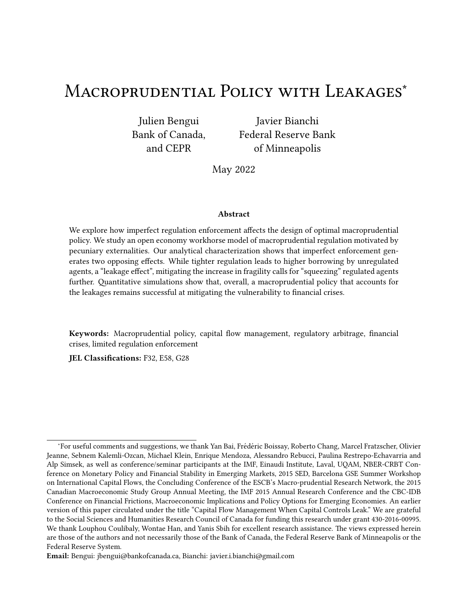intertemporal resource constraint:

$$
\frac{1}{4}1B \, \frac{2}{1} \, \frac{1B}{A} = 11 \, \text{A} \, \text{W} \, \text{W} \, \text{W} \, \text{W} \, \text{W} \, \text{W} \, \text{W} \, \text{W} \, \text{W} \, \text{W} \, \text{W} \, \text{W} \, \text{W} \, \text{W} \, \text{W} \, \text{W} \, \text{W} \, \text{W} \, \text{W} \, \text{W} \, \text{W} \, \text{W} \, \text{W} \, \text{W} \, \text{W} \, \text{W} \, \text{W} \, \text{W} \, \text{W} \, \text{W} \, \text{W} \, \text{W} \, \text{W} \, \text{W} \, \text{W} \, \text{W} \, \text{W} \, \text{W} \, \text{W} \, \text{W} \, \text{W} \, \text{W} \, \text{W} \, \text{W} \, \text{W} \, \text{W} \, \text{W} \, \text{W} \, \text{W} \, \text{W} \, \text{W} \, \text{W} \, \text{W} \, \text{W} \, \text{W} \, \text{W} \, \text{W} \, \text{W} \, \text{W} \, \text{W} \, \text{W} \, \text{W} \, \text{W} \, \text{W} \, \text{W} \, \text{W} \, \text{W} \, \text{W} \, \text{W} \, \text{W} \, \text{W} \, \text{W} \, \text{W} \, \text{W} \, \text{W} \, \text{W} \, \text{W} \, \text{W} \, \text{W} \, \text{W} \, \text{W} \, \text{W} \, \text{W} \, \text{W} \, \text{W} \, \text{W} \, \text{W} \, \text{W} \, \text{W} \, \text{W} \, \text{W} \, \text{W} \, \text{W} \, \text{W} \, \text{W} \, \text{W} \, \text{W} \, \text{W} \, \text{W} \, \text{W} \, \text{W} \, \text{W} \, \text{W}
$$

where  $\left.\rule{0pt}{1.5pt}\right.^{1}$   $\left.\rule{0pt}{1.5pt}\right.^{1}$   $\left.\rule{0pt}{1.5pt}\right.^{1}$   $\left.\rule{0pt}{1.5pt}\right.^{1}$   $\left.\rule{0pt}{1.5pt}\right.^{1}$   $\left.\rule{0pt}{1.5pt}\right.^{1}$   $\left.\rule{0pt}{1.5pt}\right.^{1}$   $\left.\rule{0pt}{1.5pt}\right.^{1}$   $\left.\rule{0pt}{1.5pt}\right.^{1}$   $\left.\rule{0pt}{1.5pt}\right.^{1}$   $\left.\rule$  $\partial_{\rm C}$ 1Bº is aggregate tradable consumption.

Combining the nontradable market clearing condition (14) with the agents' static optimality condition (6) indicates that the equilibrium price of nontradables is proportional to the economy's absorption of tradables:

$$
?_{\text{C}}^{\#} \, {}^{1}\text{B} = \frac{1}{I} \frac{1}{2} \frac{\partial {}^{1}\text{B}}{\partial x^{\#}} \,, \tag{16}
$$

'is condition establishes a positive equilibrium relationship between the price of nontradables and aggregate tradable consumption for a given level of nontradable output. Intuitively, when tradable consumption is high relative to nontradables consumption, the relative price of nontradables has to be high. Given homothetic preferences, a negative shock to the tradable goods endowmganerates a decline in the demand for both consumption goods. For a given level of nontradable output - and, by market clearing, nontradable consumption - the equilibrium relative price of nontradabtes must fall to induce agents to substitute tradable with nontradable consumption. Crucial for our analysis is that a higher aggregate level of debt accumulated at date 0 will similarly imply a lower level of tradable consumption and thus a lower price of nontradables for any income shock at date 1. 'rough the credit constraint (5), this implies a lower borrowing capacity and a tighter borrowing constraint when this constraint is binding<sup>5</sup>. Individual agents do not internalize these e,ects, which generates a scope for welfare-improving macroprudential regulation at date 0, as in Bianchi (2011) and others. In this context, the novelty of our analysis regards the planner's inability to tax or regulate the borrowing decision of a subset of agents.

At date 1, the economy's aggregate state variables are given by the tradable goods endowment ~ )  $\frac{1}{4}$ 1B and by the respective aggregate bond positions of unregulated and regulated agentand  $_{11}$ . We denote the functions mapping these state variables into dat gyregate tradable consumption, unregulated agents' tradable consumption, and regulated agents' tradable consumption by ) 1.)<br>C  $1^{1}$ B•  $*$  1°  $1^{0}$ ,  $1^{1}$  $_{\rm ^*C}^{\rm ^1C}$ ) <sup>1</sup>B•  $\rightarrow$  <sub>1</sub>•  $\rightarrow$  <sub>1</sub><sup>0</sup>, and  $\rightarrow$  <sub>1</sub><sup>0</sup>  $\frac{1}{1}$ 1B•  $\rightarrow$  <sub>1</sub>•  $\rightarrow$  1<sup>0</sup>, respectively. Similarly, we respectively denote the functions mapping the state variables into dataggregate nontradable consumption, unregulated agents' nontradable consumption, and regulated agents' nontradable consumption by  $\overline{c}^{12}$  $1^{1}$ B•  $*$  1°  $1^{0},$   $\frac{\#}{\#}$  $_{\rm ^*C}^{\rm 4}$  1  $_{\rm \sim}$ ) <sup>1</sup>B• ∗ <sub>1</sub>• ⋅ <sub>1</sub><sup>0</sup>, and  $\frac{\#}{C}$ <sup>1</sup>∼<sup>)</sup>  $\frac{1}{1}$ <sup>1</sup>B<sup>•</sup>  $\cdot$  <sub>1</sub>°  $\cdot$  <sub>1</sub>°. Finally, we denote the pricing function by  $?^{\scriptscriptstyle\#}_{\mathsf{C}}$  1~ $\hspace{-1ex}/$  $\frac{1}{2}$ 1B•  $\ast$  <sub>1</sub>°  $\cdot$  <sub>1</sub>°. Depending on which set(s) of agents is (are) credit constrained, the economy can be in four regions at date 22 where both types of agents are constraine there\* agents are constrained and agents are unconstraine b<sub>2</sub>2where<sup>\*</sup> agents are unconstrained and agents are constrained, and Dwhere both types of agents are unconstrained. In each of these regions,

<sup>&</sup>lt;sup>5</sup>From equation (16), an increase in aggregate consumption raises the price of nontradab<del>led by a</del>nd hence raises overall borrowing capacity by $\frac{1}{1 +}$ , which by Assumption 2 is strictly lower than one.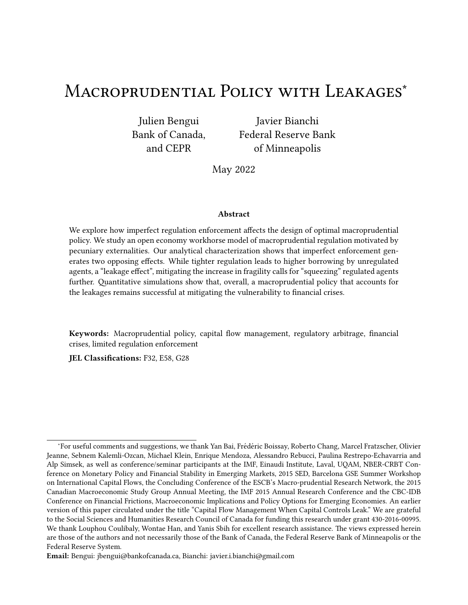tradable consumption is linear in all three state variables. In particular, date 1 aggregate tradable consumption is increasing in  $\rho$  $\frac{1}{2}$ 1 $\mathbf{B}$ ,  $\rightarrow$   $_{1}$ , and  $\rightarrow$   $_{1}$ . As a result, the date 1 price of nontradables is increasing in  $\prec$  $\frac{1}{2}$ 1B,  $\rightarrow$  <sub>1</sub>, and  $\rightarrow$  <sub>1</sub>. In addition, these two date 1 variables are more sensitive to tradable income when credit constraints are binding. Similarly $_{\mathcal{H}}^{\mathcal{A}}$  and  $?_{1}^{\#}$  $^{\text{\#}}_{1}$  are more sensitive to  $_{\text{\#}}$  1 and  $_{\text{\#}}$  1 in the regions where the credit constraints are binding. Appendix A formally establishes these results and related ones.

Figure 1 illustrates the sensitivity of the price of nontradabld<sup>e</sup>s with respect to the wealth positions  $\frac{1}{1}$  and  $\frac{1}{1}$  in the four regions, for a given realization of date 1 tradable income. 'e downwardsloping light lines represent iso-price curves. Lines farther to the northeast represent higher levels of ? #  $_{1}^{\#}$  . Naturally, agents are constrained at lower wealth levels. 'e smaller distance between the iso-price curves in the constrained regions refects a higher sensitivit $\oint$ bf  $\stackrel{\text{\tiny\#}}{\text{\tiny\#}}$ bfin these regions. 'e intuition is as follows. When the credit constraint does not bind, consumption is increasing in wealth because of a standard permanent income e,ect. When it does bind, however, the sensitivity is higher because of an additional €nancial ampli€cation e,ect working through the price of nontradables. 'e larger the mass of constrained agents, the stronger this €nancial ampli€cation e,ect and thus the stronger the sensitivity of? $\frac{\text{#}}{\text{4}}$  $_1^{\#}$  to debt.

Figure 1: Date 1 price of nontradable good as a function of savings position and  $\rightarrow$  1 for a given tradable endowmen<del>t</del><sup>)</sup> )<br>1 ·

'e properties of the equilibrium nontradable price function discussed above have key implications for the spillover e,ects of macroprudential policy onto the unregulated sphere of the economy. In particular, the increasingness  $\mathcal{O}_1^{\#}$  $\frac{\#}{1}$  in  $\rightarrow$  1 means that the date 1 total income at market prices and the date 1 borrowing capacity of unregulated agents are both increasing in the date 0 savings of the regulated agents. 'is in turn implies that for a given level of debt of unregulated agents, the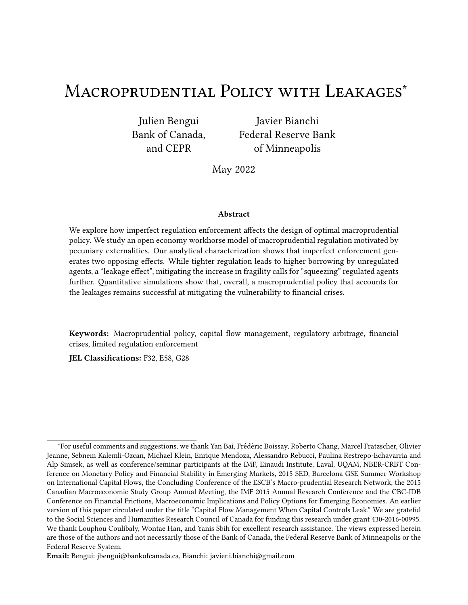consumption of these agents is higher the lower the debt of regulated agents. 'is is illustrated in Figure 2, which represents unregulated agents' date 1 tradable consumptions a function of the realization of tradable income, for two di, erent regulated savings levels  $_1$   $\gamma$   $\gamma$   $_1$  and a given unregulated savings level  $_{1} = \frac{1}{1}$  'e light curve represents the consumption function for a high level of regulated agents' debt (i.e., high<sub>1</sub>), while the dark curve represents the function for a lower level of regulated agents' debt (i.e., a lower<sub>1</sub>). 'e  $\epsilon$ gure shows that a lower level of regulated agents' debt has several general equilibrium e, ects on unregulated agents' consumption. First, by increasing total income evaluated at market prices, it shi‰s consumption up when all agents are unconstrained. Second, by propping up collateral value, it shi‰s the region where unregulated agents become constrained to the le‰. 'ird, and maybe more subtly, it reduces the sensitivity of (unregulated agents') consumption to income for intermediate levels of income at which unregulated agents are constrained but regulated agents are not.

Figure 2: Unregulated agents' date 1 consumption as function of the tradable endowme for given savings pairs  $*_{1} \cdot 1^{0}$  and  $*_{1} \cdot 1^{0}$ , with  $*_{1} = 1 \cdot 1 \cdot 1^{0}$   $*_{1}$ .

'e general equilibrium e, ects just described of regulated agents' borrowing on unregulated agents' date 1 consumption pro€le naturally translate into spillovers from regulated agents' borrowing into unregulated agents' borrowing at date 0. We elaborate on these in Section 2.4.

At this stage, we can de€ne the date 1 value in equilibrium of an agent of 8 prea function of the aggregate state variables of the economy as

$$
+_{81}^{1}\rightarrow_{1}^{1}P\bullet\ \ast_{1}\bullet\ \cdot_{1}^{0}=\bigcirc_{G=12}^{O}\sqrt{10}\ \text{ln}\ \cdot_{8}^{1}\rightarrow_{1}^{1}P\bullet\ \ast_{1}\bullet\ \cdot_{1}^{0}\ \cdot\ \cdot_{1}^{0}\ \text{ln}\ \frac{\#_{1}\rightarrow_{1}^{1}P\bullet\ \ast_{1}\bullet\ \cdot_{1}^{0}}{\#_{1}^{1}\rightarrow_{1}^{1}P\bullet\ \ast_{1}\bullet\ \cdot_{1}^{0}}\tag{17}
$$

'is value function will be useful for the normative analysis coming up in Section 2.5.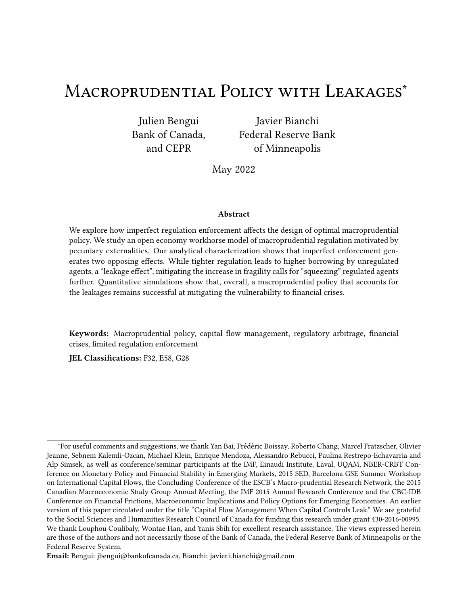## 2.3 Date 0 unregulated equilibrium

We refer to the competitive equilibrium that prevails when the tgx is set to zero as thanregulated equilibrium. 'e unregulated equilibrium naturally displays symmetric borrowing choices  $\langle 1 \rangle$ ' 1 D4

 $^{D4}_{1}$  and is characterized by the following Euler equation:

$$
1 = E_0 \frac{1}{\frac{1}{1 - \frac{1}{1} B_0 \frac{D_4}{D_0} \frac{D_4}{D_0}}}
$$
\n(18)

Lemma 1. Œe date 0 competitive equilibrium exists and is unique.

## 2.4 Equilibrium with exogenous tax

To lay the groundwork for our analysis of optimal macroprudential policy in the presence of leakages, we start by characterizing the private sector's response to an exogenous tax on borrowing. In a second step, we will then solve for the optimal tax chosen by a benevolent government.

A competitive regulated equilibrium can be conveniently characterized by a sole pair of Euler equations,

$$
1 = E_0 \frac{1}{\frac{1}{\frac{1}{2} + \frac{1}{2} + \frac{1}{2} + \frac{1}{2} + \frac{1}{2} + \frac{1}{2} + \frac{1}{2} + \frac{1}{2} + \frac{1}{2} + \frac{1}{2}}}
$$
(19)

$$
\frac{1}{1, g} = E_0 \frac{1}{\left(\frac{1}{1} + \frac{1}{1} + \frac{1}{1} + \frac{1}{1} + \frac{1}{1} + \frac{1}{1} + \frac{1}{1} + \frac{1}{1} + \frac{1}{1} + \frac{1}{1} + \frac{1}{1} + \frac{1}{1} + \frac{1}{1} + \frac{1}{1} + \frac{1}{1} + \frac{1}{1} + \frac{1}{1} + \frac{1}{1} + \frac{1}{1} + \frac{1}{1} + \frac{1}{1} + \frac{1}{1} + \frac{1}{1} + \frac{1}{1} + \frac{1}{1} + \frac{1}{1} + \frac{1}{1} + \frac{1}{1} + \frac{1}{1} + \frac{1}{1} + \frac{1}{1} + \frac{1}{1} + \frac{1}{1} + \frac{1}{1} + \frac{1}{1} + \frac{1}{1} + \frac{1}{1} + \frac{1}{1} + \frac{1}{1} + \frac{1}{1} + \frac{1}{1} + \frac{1}{1} + \frac{1}{1} + \frac{1}{1} + \frac{1}{1} + \frac{1}{1} + \frac{1}{1} + \frac{1}{1} + \frac{1}{1} + \frac{1}{1} + \frac{1}{1} + \frac{1}{1} + \frac{1}{1} + \frac{1}{1} + \frac{1}{1} + \frac{1}{1} + \frac{1}{1} + \frac{1}{1} + \frac{1}{1} + \frac{1}{1} + \frac{1}{1} + \frac{1}{1} + \frac{1}{1} + \frac{1}{1} + \frac{1}{1} + \frac{1}{1} + \frac{1}{1} + \frac{1}{1} + \frac{1}{1} + \frac{1}{1} + \frac{1}{1} + \frac{1}{1} + \frac{1}{1} + \frac{1}{1} + \frac{1}{1} + \frac{1}{1} + \frac{1}{1} + \frac{1}{1} + \frac{1}{1} + \frac{1}{1} + \frac{1}{1} + \frac{1}{1} + \frac{1}{1} + \frac{1}{1} + \frac{1}{1} + \frac{1}{1} + \frac{1}{1} + \frac{1}{1} + \frac{1}{1} + \frac{1}{1} + \frac{1}{1} + \frac{1}{1} + \frac{1
$$

where (19) and (20) are the respective Euler equations for date 0 borrowing of unregulated and regulated agents.

Given a value for  $_{1}$ , (19) implicitly de€nes the equilibrium borrowing choice of unregulated agents. Likewise, for a given value of <sub>1</sub> and a given taxg , (20) implicitly de€nes the equilibrium borrowing choice of regulated agents. We can thus formally de€ne the following equilibrium responses of the two sectors.

De€nition 1 (Equilibrium borrowing responses)  $*$   $_1$  =  $q*$ <sup>1</sup>  $+1^0$  denotes the equilibrium borrowing responses of agents to the borrowing of agents, as implicitly de€ned by (19). Similarly,  $=$  $q^*$   $\rightarrow$  1  $*$  1° g<sup>o</sup> denotes the equilibrium borrowing responses of agents to the borrowing of agents and a tax rate, as implicitly de€ned by  $(20)$ .

To understand the e, ect of macroprudential policy with leakages, a key issue is the impact of a change in borrowing by one type of agent on the other agents' borrowing choice. Our next result characterizes such responses.

Proposition 1 (Substitutability in borrowing decisions) For a given tax rate, the equilibrium borrowing of unregulated agents is decreasing in the amount of borrowing or this and vice versa; that is,  $q^0_*$  $^{\text{0}}$ <sup>1</sup>  $^{\text{1}}$  1<sup>o</sup>  $\hat{Y}$  0 and mq<sup>1</sup>  $^{\ast}$  1<sup>o</sup> g  $^{\text{o}}$ •m  $^{\ast}$  1  $\hat{Y}$  0.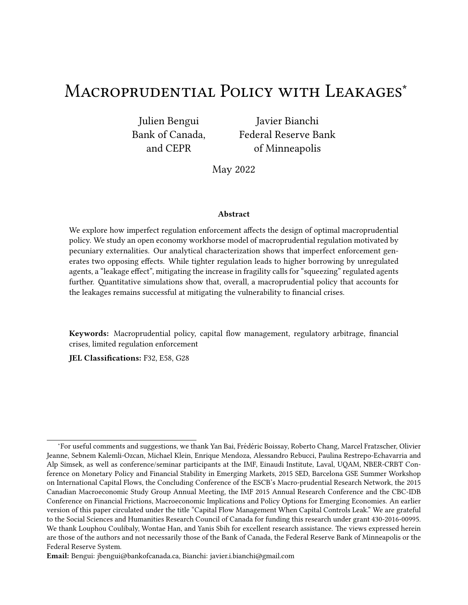Proposition 1 establishes that borrowing decisions by the two sets of agents are akin to strategic substitutes. 'e less regulated agents borrow, the more unregulated agents €nd it optimal to borrow (and vice versa). 'is result follows naturally from our discussion of how unregulated agents' date 1 consumption depended on regulated agents' borrowing in the context of Figure borrowing by regulated agents at date 0 shi‰s unregulated agents' consumption up for any realization of the date 1 endowment, notably because it supports higher nontradable goods prices and thus uniformly relaxes everyone's date 1 borrowing constraint. Higher date 1 (tradable) consumption, and thus lower date 1 marginal utility, for a given level of  $\star$  1, in turn induces unregulated agents to increase borrowing. 'e exact same logic applies to regulated agents' response to unregulated agents' borrowing.

While the substitutability emphasized in Proposition 1 is key to grasping our leakage phenomenon, our ultimate interest lies in understanding how both sectors react to macroprudential policy. Our next proposition describes how date 0 borrowing by the two sets of agents and date 1 borrowing capacity respond to changes in the tax rate.

Proposition 2 (Positive e, ect of small tax) Starting from the unregulated equilibrium, imposing a small tax leads to strictly less borrowing by regulated agents, strictly more borrowing by unregulated agents, and to an unambiguously larger borrowing capacity at date 1.

•ite intuitively, Proposition 2 states that a tax on debt generates a decrease in regulated agents' date 0 borrowing. More importantly, and consistent with Proposition 2, it also says that a larger tax causes an increase in unregulated agents' date 0 borrowing.

Figure 3 illustrates these results by representing the equilibrium response functions of the two sets of agents in the  $\frac{1}{1}$   $\rightarrow$   $\frac{1}{1}$  space. 'e solid line is the equilibrium response of unregulated agents, while the other two lines are the equilibrium responses of regulated agents associated with a zero tax (dash-do‹ed line) and a positive tax (dashed line). 'e intersection between the unregulated agents' equilibrium response and the regulated agents' equilibrium response associated with a zero tax coincides by de€nition with the unregulated equilibrium. A positive tax causes a shi‰ of the regulated agents' equilibrium response to the right: for a given choice, regulated agents respond to the tax by borrowing less (it makes borrowing more costly). But unregulated agents respond to this lower borrowing by' agents by borrowing more themselves. 'is extra borrowing by agents in turn induces' agents to borrow even less. And agents again respond by borrowing even more. 'is \process" continues until equilibrium is reached at point  $\frac{9}{1}$ ,  $\frac{9}{1}$ , 'e equilibrium response of unregulated agents can thus be thought of as the set of  $1^{\circ}$   $*$  1° combinations that a government could achieve by varying the tag .

Finally, Proposition 2 indicates that the e,ect of a larger tax on thete 1borrowing capacity is positive. 'is e, ect can be traced back to the net e, ect of an increase in regulated agents' wealth on

<sup>&</sup>lt;sup>6</sup>Note that this discussion focused on the e,ect of regulated agents' borrowing on unregulated agents' consumption. But a similar logic applies for the e,ect of unregulated agents' borrowing on regulated agents' consumption.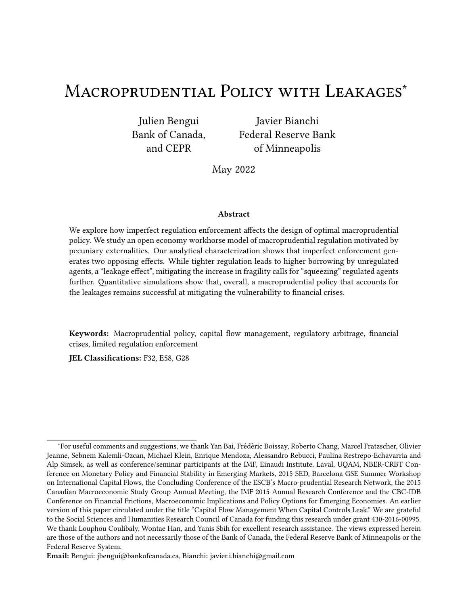Figure 3: Equilibrium response functions of regulated and unregulated agents in equilibrium with exogenous tax ( $\ddot{\text{C}}$  WY 1).

the date 1 price of nontradable goods:

$$
\frac{3?_{1}^{\#}}{3 \cdot 1} = \frac{\text{m}^{\frac{4}{4}}}{\text{m} \cdot 1}, \frac{\text{m}^{\frac{4}{4}}}{\text{m} \cdot \frac{1}{2} \cdot \text{m} \cdot \text{m} \cdot \text{m}} \tag{21}
$$

'at is, the direct e, ect of the tax on the date 1 price of nontradables via regulated agents' borrowing ( $\epsilon$ rst term in (21)) necessarily dominates its indirect e,ect via unregulated agents' borrowing (second term in  $(21)$ ), resulting in a positive net e,ect. 'is suggests that, at least locally, leakages may reduce the e,ectiveness of macroprudential policy by making future borrowing capacity less responsive to a tax on current borrowing, but are not powerful enough to overturn its e,ect.

## 2.5 Optimal macroprudential policy

'e preceding section characterized the private sector's response to an exogenous tax. Building on this positive analysis, we now take a normative perspective and endogenize the level of the tax as the outcome of an optimal policy problem.

Before turning to a formal analysis of optimal policy, we €nd it useful to highlight the scope for welfare improvements of macroprudential policy with the following preliminary result.

Proposition 3 (Welfare e,ect of small tax) If borrowing constraints bind with positive probability in the unregulated equilibrium, a small positive tax is welfare improving for all agents.

'is result, based on a perturbation argument, indicates that in spite of leakages, it is always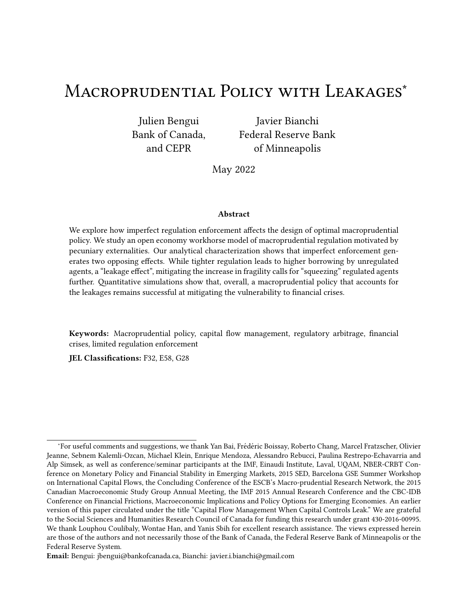desirable for the planner to impose a small tax on regulated agents. According to Proposition 2, such a tax leads to less borrowing by regulated agents, more borrowing by unregulated agents, and a higher date 1 borrowing capacity. 'e only €rst-order e,ect on welfare (for both agents) arises from the relaxation of the borrowing constraint at date 1 in states of nature where this constraint binds and is positive. All other e, ects are of second order. 'is suggests that there exists potential welfare gains from macroprudential policy despite leakages.

Figure 4: Contract curve and implementability constraint

Figure 4 plots the unregulated agents' equilibrium response function  $\frac{1}{1}$ <sup>o</sup> (downward sloping straight line) together with both types of agents' iso-utility curves passing both through the unregulated equilibrium<sup>1</sup>  $^{D4}_{1}$  $^{D4}_{1}$ ,  $^{D4}_{1}$  and through the constrained e•cient allocation  $^{24}_{1}$  $^{24}_{1}$ ,  $^{24}_{1}$ . 'e dashed curves are the regulated agents' and the solid curves are the unregulated agents'. Proposition 3 implies that the segment of the unregulated agents' equilibrium response function situated immediately to the right of the unregulated equilibrium necessarily lies in the lens formed by the two types of agents' iso-utility curves passing through the unregulated equilibrium.

Turning to optimal policy, we consider a planner maximizing a weighted sum of the agents' utility subject to the date 1 and date 2 objects being the outcomes of a continuation equilibrium, and subject to the unregulated agents' private optimality condition for borrowing (19). 'e planner's problem in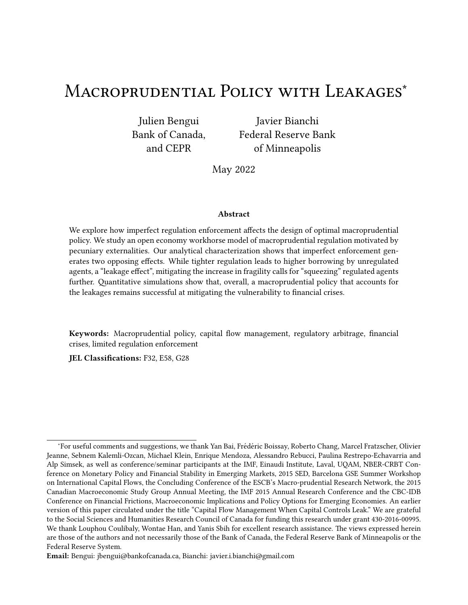primal form is thus given by

h  
\n
$$
\max_{10^{+}1} \text{WX} \quad *_{1} \quad \text{VE}_{0} + *_{1} \quad \text{Q}_{1} \quad \text{PE}_{0} + *_{1} \quad \text{Q}_{1} \quad \text{V} \quad \text{H}
$$
\n
$$
\text{subject to}
$$
\n
$$
\text{Subject to}
$$
\n
$$
\text{C22}
$$
\n
$$
\text{C23}
$$

where the functions + 1 and + 1 are de Ened in (17) and is a relative Pareto weight on unregulated agents. When  $X = 1$ , the planner's objective becomes utilitarian, with the weight on agents' welfare being equal to their share in the population. When, in contraxity 1, the planner puts a relatively larger weight on regulated agents.

Before formally characterizing the optimal policy, let us stress how the planner's problem di, ers from typical planning problems in environments with pecuniary externalities. As is standard, the planner e, ectively controls  $\cdot$  1 by means of the tax on borrowing. However, here the choice of is up to unregulated agents. As a result, the planner is constrained to choosing a pair  $*1^{\circ}$  from within the equilibrium best response function of unregulated agents, as depicted by the solid line in Figure 4. Absent this constraint, the solution to the planning problem would be the constrainede•cient allocation, depicted as the point  $3^2$   $3^2$  in Figure 4.

'e planner's optimal choice of  $\rightarrow$  1 is characterized by the following generalized Euler equation  $(GEE)^8$ 

$$
1 = E_0 \frac{1}{\frac{1}{1}}, \quad \sqrt{100}^{\#} E_0 \quad \frac{1}{1}, \quad \frac{1}{100}^{\#} \frac{1}{100}^{\#} \frac{1}{100}^{\#} \frac{1}{100}^{\#} \frac{1}{100}^{\#} \frac{1}{100}^{\#} \frac{1}{100}^{\#} \frac{1}{100}^{\#} \frac{1}{100}^{\#} \frac{1}{100}^{\#} \frac{1}{100}^{\#} \frac{1}{100}^{\#} \frac{1}{100}^{\#} \frac{1}{100}^{\#} \frac{1}{100}^{\#} \frac{1}{100}^{\#} \frac{1}{100}^{\#} \frac{1}{100}^{\#} \frac{1}{100}^{\#} \frac{1}{100}^{\#} \frac{1}{100}^{\#} \frac{1}{100}^{\#} \frac{1}{100}^{\#} \frac{1}{100}^{\#} \frac{1}{100}^{\#} \frac{1}{100}^{\#} \frac{1}{100}^{\#} \frac{1}{100}^{\#} \frac{1}{100}^{\#} \frac{1}{100}^{\#} \frac{1}{100}^{\#} \frac{1}{100}^{\#} \frac{1}{100}^{\#} \frac{1}{100}^{\#} \frac{1}{100}^{\#} \frac{1}{100}^{\#} \frac{1}{100}^{\#} \frac{1}{100}^{\#} \frac{1}{100}^{\#} \frac{1}{100}^{\#} \frac{1}{100}^{\#} \frac{1}{100}^{\#} \frac{1}{100}^{\#} \frac{1}{100}^{\#} \frac{1}{100}^{\#} \frac{1}{100}^{\#} \frac{1}{100}^{\#} \frac{1}{100}^{\#} \frac{1}{100}^{\#} \frac{1}{100}^{\#} \frac{1}{100}^{\#} \frac{1}{100}^{\#} \frac{1}{100}^{\#} \frac{1}{100}^{\#} \frac{1}{100}^{\#}
$$

where  $g_1 + g_2 + g_3 + g_4$   $\cdots$  0 are the shadow costs associated with the credit constraints at date 1, and  $3\frac{74}{1}$  • 3  $+$  1 is given by (21).

'is GEE equates the marginal costs from reducing borrowing and consumption today with the marginal bene  $\epsilon$ ts of having lower debt tomorrow. It resembles the private Euler equation (7), but contains additional terms refecting the planner's internalization of pecuniary externalities and spillovers to unregulated agents. 'e le‰-hand side is the same and corresponds to the marginal utility cost of decreasing consumption by one unit. Given linear utility, this term is a constant equal to one. 'e  $\epsilon$  erst term on the right-hand side of (23) corresponds to the private marginal utility bene  $\epsilon$ t from borrowing one less unit and raising consumption tomorrow, also present in (7). 'e second term in (21) constitutes the pecuniary externality: the planner internalizes that a lower level of debt leads to an increase in the price of nontradable goods at date 1 and a relaxation of collateral constraints for both

<sup>&</sup>lt;sup>7</sup>Naturally, the unregulated equilibrium belongs to the set of feasible<sub>1</sub> $\bullet$   $\star$ <sub>1</sub><sup>0</sup> pairs.

<sup>&</sup>lt;sup>8</sup>We assume in what follows that the second-order conditions are satis€ed. We veri€ed numerically that this is the case.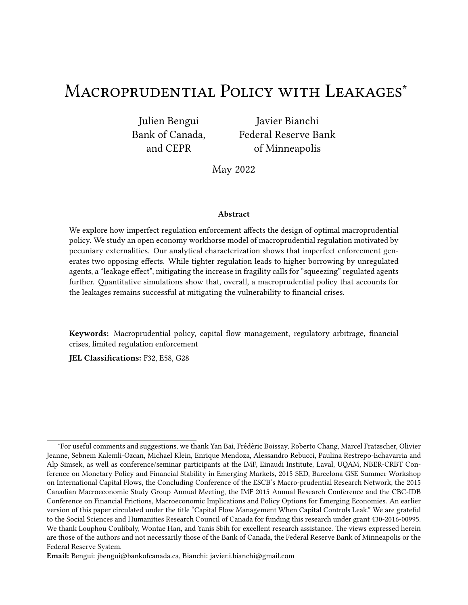regulated and unregulated agents at that date, where the bene  $\epsilon$  of relaxing the collateral constraint is an average of the Lagrange multipliers, weighted by the relevant Pareto weights.

'e key element in this GEE that di,ers from models with perfect  $\epsilon$ nancial requlation enforcement is that it embeds the unregulated agents' response to the borrowing choice of the planner for the regulated agents, through the negative partial derivative  $_1\bullet m_{1,1}$  present in the price derivative term 3?# • 3  $\cdot$  1.<sup>9</sup> 'is leakage e, ect lowers the marginal value of saving on behalf of regulated agents for the planner and therefore reduces the wedge between the planner's and private agent's perceived bene  $\epsilon$ t of having lower debt. 'e  $\epsilon$ nal term of the GEE refects the planner's marginal value of the wealth redistribution induced by a higher price of nontradables.

'e discrepancy between the planner's GEE (23) and the regulated agent's private Euler equation for debt (7) calls for a Pigouvian tax on debt, as in the existing literature, with the tax given by

$$
g = \frac{VE_0 \xrightarrow{\chi_{W}} \frac{X}{1} \wedge \frac{1}{1} \wedge \frac{1}{1} \wedge \frac{1}{1} \wedge \frac{1}{1} \wedge \frac{1}{1} \wedge \frac{1}{1} \wedge \frac{1}{1} \wedge \frac{1}{1} \wedge \frac{1}{1} \wedge \frac{1}{1} \wedge \frac{1}{1} \wedge \frac{1}{1} \wedge \frac{1}{1} \wedge \frac{1}{1} \wedge \frac{1}{1} \wedge \frac{1}{1} \wedge \frac{1}{1} \wedge \frac{1}{1} \wedge \frac{1}{1} \wedge \frac{1}{1} \wedge \frac{1}{1} \wedge \frac{1}{1} \wedge \frac{1}{1} \wedge \frac{1}{1} \wedge \frac{1}{1} \wedge \frac{1}{1} \wedge \frac{1}{1} \wedge \frac{1}{1} \wedge \frac{1}{1} \wedge \frac{1}{1} \wedge \frac{1}{1} \wedge \frac{1}{1} \wedge \frac{1}{1} \wedge \frac{1}{1} \wedge \frac{1}{1} \wedge \frac{1}{1} \wedge \frac{1}{1} \wedge \frac{1}{1} \wedge \frac{1}{1} \wedge \frac{1}{1} \wedge \frac{1}{1} \wedge \frac{1}{1} \wedge \frac{1}{1} \wedge \frac{1}{1} \wedge \frac{1}{1} \wedge \frac{1}{1} \wedge \frac{1}{1} \wedge \frac{1}{1} \wedge \frac{1}{1} \wedge \frac{1}{1} \wedge \frac{1}{1} \wedge \frac{1}{1} \wedge \frac{1}{1} \wedge \frac{1}{1} \wedge \frac{1}{1} \wedge \frac{1}{1} \wedge \frac{1}{1} \wedge \frac{1}{1} \wedge \frac{1}{1} \wedge \frac{1}{1} \wedge \frac{1}{1} \wedge \frac{1}{1} \wedge \frac{1}{1} \wedge \frac{1}{1} \wedge \frac{1}{1} \wedge \frac{1}{1} \wedge \frac{1}{1} \wedge \frac{1}{1} \wedge \frac{1}{1} \wedge \frac{1}{1} \wedge \frac{1}{1} \wedge \frac{1}{1} \wedge \frac{1}{1} \wedge \frac{
$$

'e optimal tax captures the uninternalized marginal costs of borrowing from the GEE (23). 'e expression suggests an ambiguous e,ect of leakages on the magnitude of the tax. Two key forces work in opposite directions. First, the leakage term in  $(21)$  reduces the magnitude of the price derivative term 3?# • 3 · 1 calling for a lower tax|a pure leakage e,ectSecond, leakages lead to higher average shadow values of relaxing the collateral constraint, calling for a higher tax on the regulated sphere and refecting an indirecsqueezing e,ectln other words, the macroprudential policy's reduced effectiveness speaks in favor of a lower tax, while larger bene€ts from €nancial stabilization speak in favor of a higher tax, resulting in an ambiguous total e,ect. Similarly, the relationship between the size of the unregulated sectol and the optimal tax is a priori ambiguous. 'rough numerical explorations, we have found that the leakage e, ect appears to dominate, resulting in an optimal tax that is decreasing in W

Planner's objective and Pareto improvements While Proposition 3 indicates that suociently small (positive) taxes necessarily lead to Pareto improvements relative to the laissez-faire, it may be that for some values of (possibly including  $x = 1$ ), the optimal intervention characterized by (23)-(24) results in a welfare loss for a subset of agents. 'e shape of indi, erence curves in Figure 4 suggests that unregulated agents are always made be er o, by an intervention, but that may not be the case for regulated agents if the optimal tax exceeds a certain threshold (i.e., if the pair  $*1^0$  picked by the planner is located to the right of the contract curve represented in bold). SeXnag0 would

 $9$ Absent leakages, the expression would be the one in Bianchi (2011). Similar expressions arise in models with aggregate demand externalities, in which savings a, ect the output gap.

<sup>&</sup>lt;sup>10</sup>A higher price of nontradables redistributes wealth from the net buyer of nontradables to the net sellers of nontradables.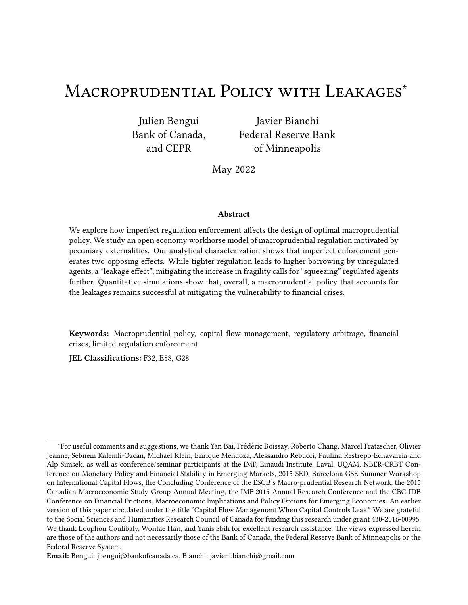guarantee that both agents are made be $\epsilon$  o, by the intervention.

## 2.6 Endogenous fraction of unregulated agents

So far, our analysis of macroprudential policy with leakages has taken the size of the unregulated sector as exogenously given. In this section, we present a simple way to endogenize this variable with a model of free entry into the unregulated sphere and show that the resulting framework can be used to map an Who a distribution of abilities to circumvent regulation without ge ing caught in the population.

We extend our baseline model by adding a regulation circumvention decision to the private agents' date 0 problem. When avoiding regulation, agents run the risk of ge‹ing caught with an idiosyncratic probability i , which is randomly distributed over the population and realized before the decision to circumvent is made. When caught, agents must pay a non-pecuniary penalty associated with a utility cost of\ .

We assume that private agents and the planner move simultaneously. Based on the tax choice by the government, agents choose whether they want to join the unregulated sector and a‹empt to avoid taxes, or remain in the regulated sector. Likewise, the government choose the optimal tax, taking as given the decisions of agents to bypass regulation or not.

'e debt tax households anticipate is critical to their circumvention decision. Given a conjectured tax $g^2$  to be set by the government, an agent joins the unregulated sphere when

$$
4, * g2 i 8 i , * 1g2
$$

and remains in the regulated sphere otherwise.

'e equilibrium outcome is a €xed point. For a tax conjecture, households choose whether they want to be unregulated. In turn, given the implied size of the unregulated sector, the government chooses the tax on debt. Formally, an equilibrium of this extended model is a set circumvention, savings and consumption decisions by private agents and a regulation decision by the planner such that  $(1)$  given prices and the tax, agents' decisions are optimal,  $(2)$  given the plied by private agents' circumvention's choices, the government chooses the tax optimally, and (3) all markets clear.

Since the debt tax is rebated lump-sum to regulated agents, the optimal consumption allocation of a regulated agent is always available to an unregulated agents. It follows, that  $g^2$  $^{\circ}$ ,  $^{\circ}$ ,  $^{\circ}$   $^{\circ}$ , with  $\mathsf{i}$  when  $g^2$  < 0. 'erefore, any value of Wcan be rationalized in the endogenoWs model by a distribution function for the probability of gesing caught featuring <sup>1</sup>i  $\circ$  = Wfor i satisfying

,  $*$  <sup>1</sup>g <sup>1</sup>W<sup>o</sup> i\ =,  $\cdot$  <sup>1</sup>g <sup>1</sup>W<sup>o</sup>•

<sup>&</sup>lt;sup>11</sup>In the quantitative analysis of our in€nite horizon model in Section 3, all agents are made be‹er o, by the intervention, both in an unconditional sense and conditional on being in a Sudden Stop (see Figure 9), despite an assumed Pareto weight of  $X = 1$ .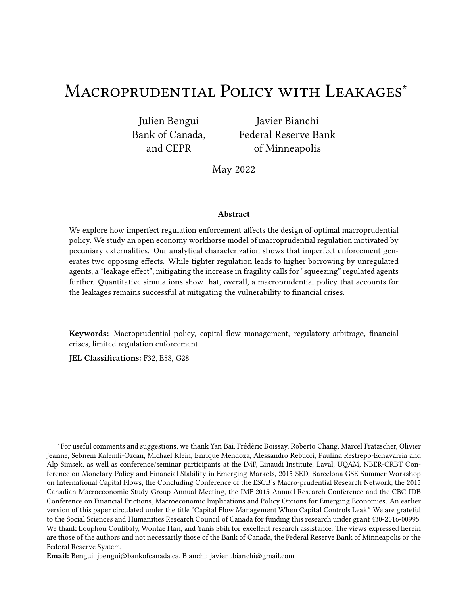whereg <sup>1</sup>W<sup></sup> denotes the optimal tax in the exogenol model, as characterized in  $(24)$ .

For instance, in the case of an exponential distribution for the probability of ge $\dot{\mathbf{q}}$  ing caught  $\mathbf{e} =$ 

1  $-4$   $-$ <sup>i</sup>, the rate parameter required to rationalize a given value *Woreld be given by* 

$$
= \frac{\ln^{11} W}{1.4 \cdot 10^{-1} W^{9}} \cdot \frac{10^{-1} W^{9}}{1.4 \cdot 10^{-1} W^{10}} \cdot 0^{1}
$$

'is mapping from Wto \_ is illustrated numerically in Figure 5, where it is apparent that a larger size of the unregulated sphere can be supported by a smaller mean probability of ge‹ing caught when circumventing the regulation<sup>13</sup>

Figure 5: Rate parameterof exponential distribution for idiosyncratic probability of geoing caught <sup>1</sup>i  $\degree$  = 1  $\degree$  4  $\degree$  necessary to rationalize given level *di*twhen share of unregulated agents is endogenous.

## 2.7 Insights from three-period model

'is section presented a highly stylized model of imperfectly enforced macroprudential policy, where the inherent motivation for a tax on borrowing derived from a pecuniary externality caused by  $\epsilon$ nancial constraints linked to a market price. 'e key prediction of the model is that in response to a

max <sup>1</sup>• \* <sup>1</sup> \ ¹ i ¹gº 0 i3 ¸ X¹1 ¹i ¹gºº h \* <sup>1</sup> ¸ VE0+\* <sup>1</sup> ~ ) 1 ¹Bº• \* <sup>1</sup>• ' <sup>1</sup> i ¸ ¹i ¹gºº h <sup>1</sup> ¸ VE0+' <sup>1</sup> ~ ) 1 ¹Bº• \* <sup>1</sup>• ' <sup>1</sup> i "

wherei  $1g^{20}$  is the threshold satisfying  $j^2$  i  $1g^{20}$  = ,  $j^1g^{20}$  and denotes the cumulative density of. 'e optimal tax when the government moves €rst would feature an extra term related to the sensitivity of the cumulative density function. 'e economy with an exogenousWwould behave similarly to an economy with an endogendus featuring a steep density function  $at = W$ .

<sup>13</sup>'e mean probability of ge $\langle$ ing caught implied by the exponential distribution is equal to  $\leq$ .

 $12$ An interesting aspect that we leave for future research is the role of the timing of the regulation decision. In the case of sequential decisions with the planner moving €rst, the planner would solve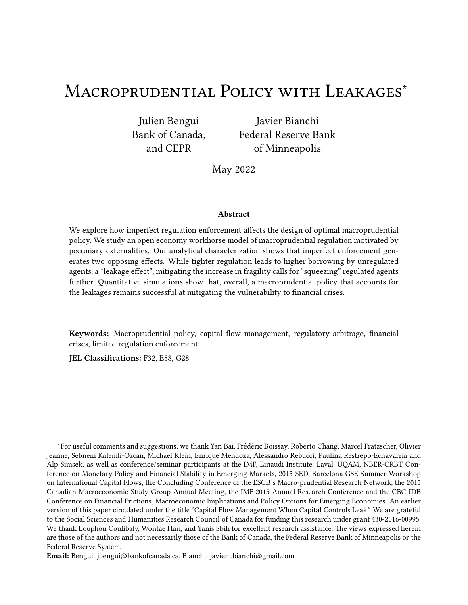tax on borrowing for the regulated sphere, borrowing by the unregulated sphere increases. 'e main normative insight is that this leakage phenomenon exerts two counteracting forces on the magnitude of the optimal macroprudential tax on borrowing. On the one hand, a leakage e, ect makes the macroprudential tax on the regulated sphere less e, ective because the reduction in the regulated sphere's indebtedness is partially o, set by an increase in borrowing by the unregulated sphere. On the other hand, the leakages make the macroprudential tax introduce a new distortion that takes the form of an even more excessive indebtedness of the unregulated sphere. Correcting this distortion requires reducing the economy's indebtedness further and therefore calls, paradoxically, for even tighter borrowing restrictions on the regulated sphere, a squeezing e,ect.

Our approach imposes stark assumptions in the 3 period model to isolate key mechanisms and leverage analytical tractabilit $\frac{1}{2}$  However, at its core, our leakage mechanism only relies on the rather uncontroversial assumption that the non-tradable good is a normal good, implying that demand for this good (and by implication, its equilibrium price) rises with income or wealth. In the next section, we show that all insights from the 3 period model carry over to a quantitative in€nite horizon model with standard assumptions on preferences and endowments.

# 3 †antitative Model

In this section, we embed the leakage phenomenon into a canonical quantitative model of €nancial crisis. 'e goal is to assess the extent to which leakages limit the ability of macroprudential regulation to reduce the exposure to  $\epsilon$ nancial crisis and to study how leakages a, ect the optimal policy design. From a theoretical perspective, an additional element emerges in the in€nite horizon model. Given the forward-looking nature of the unregulated agents' problem, these agents' borrowing decision depends not only on current regulation but also on their expectation of future regulation. As a result, a new time inconsistency problem emerges that would not be present with perfect enforcement of regulation.

## 3.1 Preferences and constraints in the in€nite horizon model

As in the three-period model, there are two types of agents with identical preferences and endowments, who only di, er on whether they are subject to borrowing taxes. Preferences are given by

$$
E_0 \bigcirc_{\mathbb{G}_0}^{\tilde{\mathbf{O}}} \sqrt{\mathbf{D}^1} 2_8 \mathbf{e}^{\bullet} \tag{25}
$$

 $14$ First, the linearity of period 0 utility in tradable goods consumption helped us characterize the solution by equating marginal utilities in period 0 across regulated and unregulated agents. Second, the assumption of identical endowments across agents guaranteed that any di,erence in €nancing choices can be traced back to the regulation status alone. 'ird, the log-Cobb-Douglas preferences yielded a linear structure for date 1 continuation equilibria, facilitating comparative statics.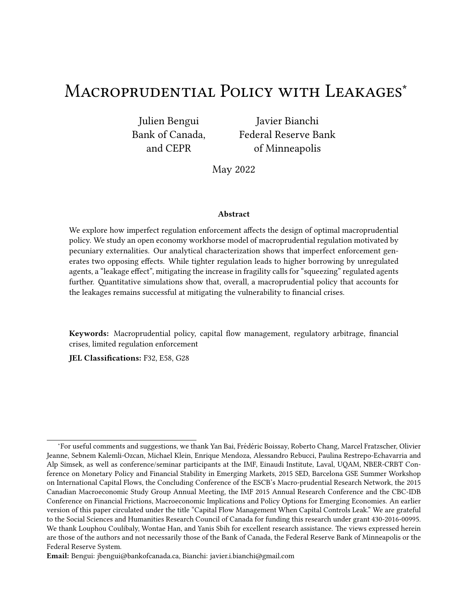where  $D^{1}$ <sup>o</sup> is a standard concave, twice continuously di, erentiable function that satis Ees the Inada condition. 'e consumption basket2 is an Armington-type CES aggregator with elasticity of substitution  $1\cdot 1$   $\mid$  1<sup>o</sup> between tradable goods and nontradable goods<sup>#</sup>, given by

$$
\begin{array}{ccccccccc}\n & h & & 1 & 1 & 0 & 2^{\#} & 1^{\frac{1}{2}} & 1 & 1^{\frac{1}{2}} & 1^{\frac{1}{2}} \\
 & 2 & 1 & 2 & 1 & 1 & 0 & 2^{\#} & 1^{\frac{1}{2}} & 1^{\frac{1}{2}} & 1^{\frac{1}{2}} & 1^{\frac{1}{2}} & 1^{\frac{1}{2}} & 1^{\frac{1}{2}} & 1^{\frac{1}{2}} & 1^{\frac{1}{2}} & 1^{\frac{1}{2}} & 1^{\frac{1}{2}} & 1^{\frac{1}{2}} & 1^{\frac{1}{2}} & 1^{\frac{1}{2}} & 1^{\frac{1}{2}} & 1^{\frac{1}{2}} & 1^{\frac{1}{2}} & 1^{\frac{1}{2}} & 1^{\frac{1}{2}} & 1^{\frac{1}{2}} & 1^{\frac{1}{2}} & 1^{\frac{1}{2}} & 1^{\frac{1}{2}} & 1^{\frac{1}{2}} & 1^{\frac{1}{2}} & 1^{\frac{1}{2}} & 1^{\frac{1}{2}} & 1^{\frac{1}{2}} & 1^{\frac{1}{2}} & 1^{\frac{1}{2}} & 1^{\frac{1}{2}} & 1^{\frac{1}{2}} & 1^{\frac{1}{2}} & 1^{\frac{1}{2}} & 1^{\frac{1}{2}} & 1^{\frac{1}{2}} & 1^{\frac{1}{2}} & 1^{\frac{1}{2}} & 1^{\frac{1}{2}} & 1^{\frac{1}{2}} & 1^{\frac{1}{2}} & 1^{\frac{1}{2}} & 1^{\frac{1}{2}} & 1^{\frac{1}{2}} & 1^{\frac{1}{2}} & 1^{\frac{1}{2}} & 1^{\frac{1}{2}} & 1^{\frac{1}{2}} & 1^{\frac{1}{2}} & 1^{\frac{1}{2}} & 1^{\frac{1}{2}} & 1^{\frac{1}{2}} & 1^{\frac{1}{2}} & 1^{\frac{1}{2}} & 1^{\frac{1}{2}} & 1^{\frac{1}{2}} & 1^{\frac{1}{2}} & 1^{\frac{1}{2}} & 1^{\frac{1}{2}} & 1^{\frac{1}{2}} & 1^{\frac{1}{2}} & 1^{\frac{1}{
$$

In each periodC agents receive endowments of tradable goodsand nontradable goods<sup>#</sup> and choose a one-period non-state-contingent bond denominated in units of tradables. 'e vector of  $\sim$  •  $\frac{4}{x}$   $\frac{0}{2}$  .  $\frac{1}{x}$  follows a €rst-order Markov process. 'e agents' budget endowmentsy constraints and credit constraints are given by

$$
\frac{1_{8}C_1}{11, 9_8} \cdot 2_{8}C \cdot {}^{7}C_2 E_{8} = 1_{8}C \cdot {}^{1}C_2 \cdot {}^{7}C_2 E_{8} + \ldots \tag{26}
$$

and

$$
1_{8}C_1 \quad \wedge \quad ?^{\#}_{C} \sim^{\#}_{C} \quad \sim \quad \mathcal{C}
$$

As in the three-period model, we assume that  $\epsilon = 0$  for all C 0. Given a tax policy  $fg_{\rm C}$ <sup>•</sup>)  $(g_{\rm C}$  0 and initial levels of debtl<sup>\*</sup> 0<sup>•</sup> 1<sup>0</sup> 0, a competitive equilibrium is de€ned as a stochastic sequence of prices? $\frac{\pi}{C}$  g and households' policies  $\frac{\pi}{2}$ ,  $\frac{\pi}{2}$   $\frac{1}{2}$   $\frac{1}{2}$   $\frac{1}{2}$   $\frac{1}{2}$   $\frac{1}{2}$   $\frac{1}{2}$   $\frac{1}{2}$   $\frac{1}{2}$  such that (i) households maximize (25) subject to sequences of budget constraints (26) and credit constraints (27), (ii) the market clears for nontradable good  $\frac{1}{2}$ , 11  $\frac{1}{2}$ ,  $\frac{1}{2}$ , and (iii) the government budget constraint holds ) =  $\frac{1}{1}$   $\frac{q}{1,q}$  .<sup>15</sup> As discussed in Section 2.6, the value Worould be endogenized by assuming a heterogenous costs of avoiding regulation.

### Optimal time-consistent regulated equilibrium  $3.2$

As in Section 2.5, we consider the problem of a planner choosing the tax policy that delivers the highest welfare in the regulated equilibrium.

We assume that the planner makes decisions sequentially and without commitment, and we study Markov-perfect equilibria. Focusing on a discretionary regime is useful for our purpose given our goal of studying how leakages can undermine the e,ectiveness of regulation. We let  $f \rightarrow \cdot \cdot \cdot \cdot \rightarrow \cdot \cdot \pi$ denote the aggregate state vector of the econoBy!- <sup>o</sup> denote the policy rule for regulated bond holdings of future planners that the current planner takes as given, aBd<sup>1</sup>-<sup>0</sup>•C<sup>)</sup><sup>1</sup>-<sup>0</sup>•C<sup>)</sup><sup>1</sup>-<sup>0</sup>•C<sup>#1</sup>-<sup>0</sup>•  $C_{*}^{\# 1}$ -  $\cdot \cdot \cdot$ P<sup>#1</sup>- $\cdot$  denote the associated recursive functions returning unregulated agents' bond holdings, consumption allocations, and the price of nontradables under this policy fule.

<sup>&</sup>lt;sup>15</sup>e de€nition of equilibrium in recursive form is given in Appendix C.

 $16$ If the decision to bypass regulation is made once and for al Cat 0, it is straightforward to compute the cost that would endogeneize the value of

<sup>&</sup>lt;sup>17</sup>Notice that by a form of block recursivity, once the policy for regulated bond holdings is chosen, the rest of the equilibrium objects can be obtained from the implementability constraints.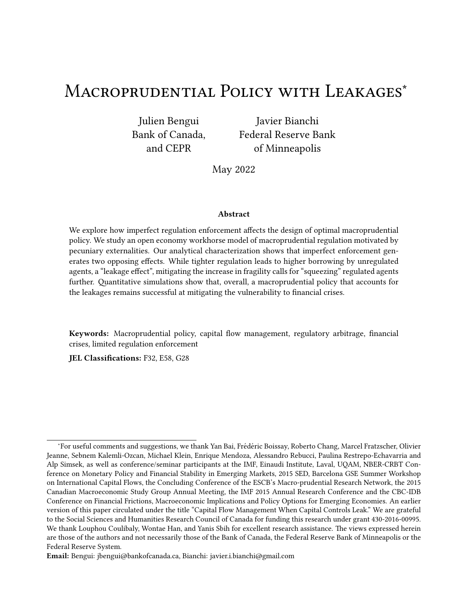'e forward-looking nature of unregulated agents' borrowing decisions introduces a time consistency problem. To see why, consider the Euler equation of unregulated agents when it holds with equality:

$$
D, \quad 2 \cdot 2^{\#} = V' \text{ } E D, \quad C^{1} \cdot {}^{0} \circ C^{4} \cdot {}^{1} \cdot {}^{0} \circ {}^{1} \tag{28}
$$

As was the case of constraint (19) in the three-period model, this constraint is a key implementability constraint for the government in the in€nite horizon model. It captures the spillover e,ects from the planner's debt choice for agents onto\* agents' debt choice. However, in the in€nite horizon context where the planner regulates the economy in every period, this implementability constraint depends on next period's regulatory policy. For example, a policy that induces low consumption of agents tomorrow (through a low tax oh agents inC 1) will indirectly push down these agents' consumption today and moderate the overborrowing externality in the present. Moreover, if unregulated agents expect loose regulation in the future, they have incentives to accumulate more precautionary savings today and borrow less. Tomorrow, however, the planner acting without commitment will not internalize the bene€ts of such a loose tax policy over previous periods. 'e time-inconsistency problem of macroprudential policy that we highlight is distinct from the one in Bianchi and Mendoza (2018). In that paper, a time-inconsistency problem arises because of the presence of asset prices, a forward-looking object, in collateral constraints. Here instead, it is due to imperfect regulation enforcement<sup>18</sup>

Following again the primal approach adopted in the three-period model context (see Section 2.5), the optimal time-consistent (TC) planner's problem can be described by the following Bellman equation:

<sup>18</sup>Other contributions studying optimal policy problems with Markov perfect equilibria include Klein, •adrini and Rios-Rull (2005), Klein, Krusell and Rios-Rull (2008), and Debortoli, Nunes and Yared (2017).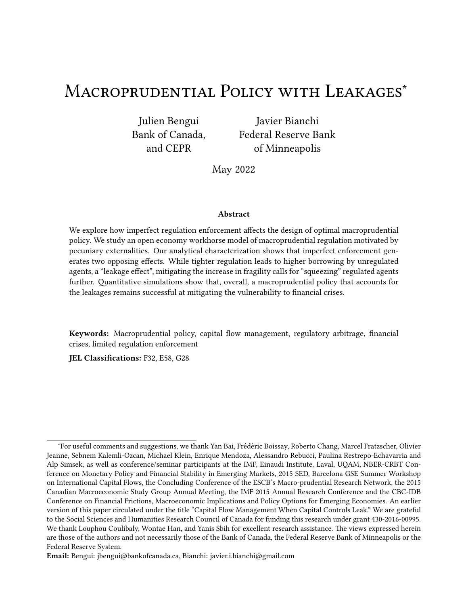$V^{1 - 0} = \max_{\{2_3 \cdot 2_3^{\mu} \cdot 1_3^0 \leq 2 \cdot 1 \cdot \cdot 1_9 \cdot 2^{\mu} \mu \text{ is odd}} W X D 2 2 \cdot 2^{\mu}$ ,  $V^{1 - 0} = \max_{\{2_3 \cdot 2_3^{\mu} \mu \text{ is odd}} W X D 2 2 \cdot 2^{\mu}$ (Optimal TC)

subject to  
\n
$$
2^{1}_{8}, \frac{1^{2}_{8}}{1^{8}} = 1_{8}, \frac{1^{2}_{8}}{1^{8}} = 1_{8}, \frac{1^{2}_{8}}{1^{8}} = 1_{8}, \frac{1^{2}_{8}}{1^{8}} = 1_{8}, \frac{1^{2}_{8}}{1^{8}} = 1_{8}, \frac{1^{2}_{8}}{1^{8}} = 1_{8}, \frac{1^{2}_{8}}{1^{8}} = 1_{8}, \frac{1^{2}_{8}}{1^{8}} = 1_{8}, \frac{1^{2}_{8}}{1^{8}} = 1_{8}, \frac{1^{2}_{8}}{1^{8}} = 1_{8}, \frac{1^{2}_{8}}{1^{8}} = 1_{8}, \frac{1^{2}_{8}}{1^{8}} = 1_{8}, \frac{1^{2}_{8}}{1^{8}} = 1_{8}, \frac{1^{2}_{8}}{1^{8}} = 1_{8}, \frac{1^{2}_{8}}{1^{8}} = 1_{8}, \frac{1^{2}_{8}}{1^{8}} = 1_{8}, \frac{1^{2}_{8}}{1^{8}} = 1_{8}, \frac{1^{2}_{8}}{1^{8}} = 1_{8}, \frac{1^{2}_{8}}{1^{8}} = 1_{8}, \frac{1^{2}_{8}}{1^{8}} = 1_{8}, \frac{1^{2}_{8}}{1^{8}} = 1_{8}, \frac{1^{2}_{8}}{1^{8}} = 1_{8}, \frac{1^{2}_{8}}{1^{8}} = 1_{8}, \frac{1^{2}_{8}}{1^{8}} = 1_{8}, \frac{1^{2}_{8}}{1^{8}} = 1_{8}, \frac{1^{2}_{8}}{1^{8}} = 1_{8}, \frac{1^{2}_{8}}{1^{8}} = 1_{8}, \frac{1^{2}_{8}}{1^{8}} = 1_{8}, \frac{1^{2}_{8}}{1^{8}} = 1_{8}, \frac{1^{2}_{8}}{1^{8}} = 1_{8}, \frac{1^{2}_{8}}{1^{8}} = 1_{8}, \frac{1^{2}_{8}}{1^{8}} = 1_{8}, \frac{1^{2}_{8}}{1^{8}} = 1_{8}, \frac{1^{2}_{8}}{1^{8}} = 1_{8}, \frac{1^{2}_{8}}{1^{8}} = 1_{8}, \frac{1^{2}_{8}}{1^{8}} = 1_{8}, \frac{1^{2}_{8}}{1^{8}} = 1_{8}, \frac{1^{2}_{8
$$

A Markov equilibrium is de Ened by policy functions  $B_1$  1-  $9B_*$  1-  $9\cdot C$  1-  $9\cdot C_*$  1-  $9\cdot C_*$  1-  $9\cdot C_*$  1-  $9\cdot C_*$ a value function V<sup>1</sup> - <sup>o</sup>, and a pricing function  $P^{\# 1}$  <sup>o</sup> such that the value function and policy functions solve (Optimal TC) given perceived policies  $8^{1}$ -  $\cdot \cdot \cdot C_8^{1}$   $\cdot \cdot \cdot C_8^{1}$   $\cdot \cdot \cdot$  for 82 f\*•' gand P<sup># 1</sup>-  $\cdot \cdot$ .

### $3.3<sub>2</sub>$ Calibration

'e calibration follows Bianchi (2011). 'e time period is one year. A  $\epsilon$ rst subset of parameters is set independently using standard values from the literature  $\geq$  A = 0'041. [10 = 0'83, and the endowment process is estimated based on the HP-€Itered component of tradable and nontradable GDP for Argentina. Assuming a  $\epsilon$ rst-order bivariate autoregressive process:  $\epsilon$ nd In y<sub>C 1</sub>, Y<sub>G</sub> where  $\mathcal{K} = \mathcal{K} \cdot \mathcal{K}^0$  # 10  $\varphi$ , we obtain the estimates

| $d =$ | 0'901 0'453     |     |                | $0'00219$ 000162 $\ldots$ |
|-------|-----------------|-----|----------------|---------------------------|
|       | $0'495$ $0'225$ | v = | 0'00162 000167 |                           |

'e second subset of parameters V•I•^g is set to match Argentina's average net foreign asset position, the share of nontradable output in Argentina, and the average frequency of €nancial crises for emerging markets<sup>9</sup> 'is yields  $V = 0.91 \cdot 1 = 0.31 \cdot 1 = 0.32$ .

We solve our regulated equilibrium for di, erent values of focusing on values divanging from 0 to 0.5. A value of 0.5 entails a substantial amount of leakages by which 50% of the economy can evade regulation. Moreover, a value  $M = 0.5$  is the value at which the losses from a dispersion

<sup>&</sup>lt;sup>19</sup>In both the model and the data, €nancial crises are de€ned as episodes in which the current account increases by more than one standard deviation.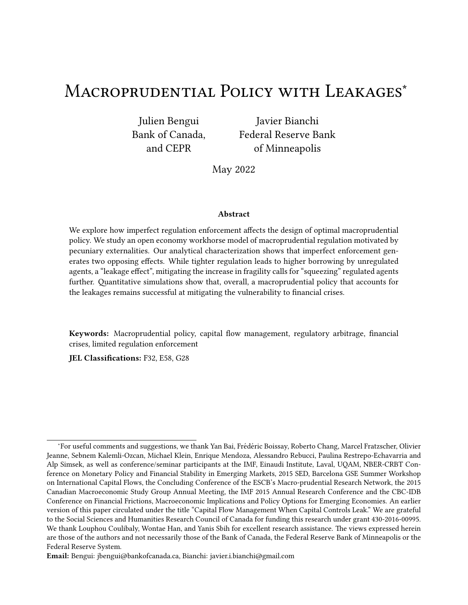in consumption across agents are given the highest weight by the planner. Finally, for the relative Pareto weightX, our preferred assumption  $i \times = 1$ , corresponding to a utilitarian welfare criterion. 'is case has the advantage of capturing the e•ciency motive of €nancial regulation, leaving out any redistribution consideration. Nonetheless, we also consider the case where the planner cares exclusively about regulated agents  $\neq$  0) in Appendix E.

| Tapic T. Calibration                               |                               |                              |  |  |  |
|----------------------------------------------------|-------------------------------|------------------------------|--|--|--|
|                                                    | Value                         | Source/Target                |  |  |  |
| Interest rate                                      | $A = 0'04$                    | Standard value               |  |  |  |
| <b>Risk aversion</b>                               | $f = 2$                       | <b>Standard value</b>        |  |  |  |
| Elasticity of substitution                         | $11$ , $[0 = 0$ <sup>83</sup> | Conservative value           |  |  |  |
| Weight on tradables in CESI = $0^{\circ}31$        |                               | Share of tradable output=32% |  |  |  |
| <b>Discount factor</b>                             | $V = 0.91$                    | Average NFA-GDP ratio 29%    |  |  |  |
| Credit coe•cient                                   | $\lambda$ = 0'32              | Frequency of crises 5"5%     |  |  |  |
| Size of unregulated sector $W = x0.075\frac{1}{4}$ |                               | Baseline range               |  |  |  |

Table 1: Calibration

## 3.4 Numerical solution

'e computation of the optimal regulated equilibrium follows a nested €xed point algorithm, common to those used in studies of Markov perfect equilibria (e.g. Bianchi and Mendoza, 2018). For a given conjectured policy followed by governments in the future, we solve for the current optimal policy using value function iteration. Using this solution, we update our conjectured policy. We iterate until the optimal policy coincides with the conjectured policy to obtain a Markov-perfect equilibrium. Details are provided in Appendix D.

## 3.5 Overborrowing and leakages

We start our quantitative analysis by looking at how the distribution of debt of regulated and unregulated agents di'ers across regimes. To show this, we conduct a 10,000-period simulation for the unregulated equilibrium, the constrained-e•cient allocation and the regulated equilibrium  $w \leftrightarrow 0$ "5 and provide a sca‹erplot of the bond positions.

Panels (a) and (b) of Figure 6 correspond to the sca erplots of bond positions in the unregulated equilibrium and constrained-e•cient allocation. Vertical and horizontal lines show sample averages. Because there is no distinction betweenand' agents in these economies, all the points line up on the 45-degree line. One can see, as expected, that the unregulated equilibrium displays simulations with higher levels of debt, which in turn are associated with a larger frequency and severity of €nancial crises.

Panel (c) of Figure 6 displays the case of the regulated equilibrium  $\mathbf{W}$  or  $\mathbf{O}^{\prime\prime}$ . In this case, most pairs of bond positions are located below the 45-degree line, indicating higher levels of debt for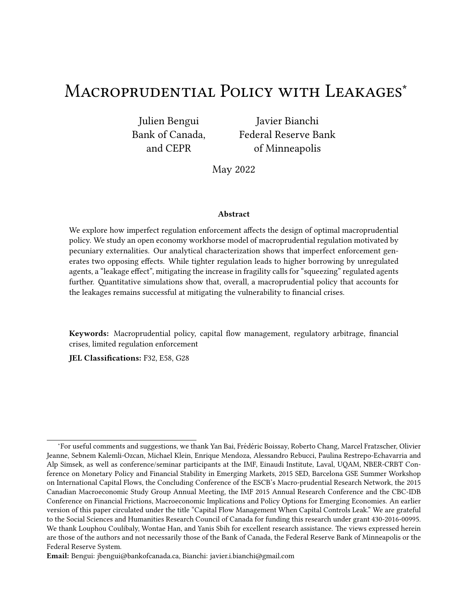Figure 6: Sca‹erplots of debt positions in unregulated equilibrium, constrained-e•cient allocation, and macroprudential policy with leakages.

unregulated agents than for regulated agents. Interestingly, many simulation periods display levels of debt for unregulated agents that are much higher than the maximum values of debt observed in the unregulated equilibrium. 'is is the leakage e,ect at play: regulation worsens the overborrowing problem for unregulated agents. Conversely, regulated agents' borrowing in the regulated equilibrium with leakages is lower on average than in the constrained-e•cient equilibrium. 'is suggests that the planner (at least partially) compensates for the unregulated agents' extra borrowing by commanding less borrowing for regulated agents.

## 3.6 Frequency and severity of crises

Next, we study the extent to which leakages undermine the e,ectiveness of regulation at reducing the vulnerability to €nancial crises. We de€ne €nancial crises as episodes in which the current account increases by more than one standard deviation (or, equivalently, credit falls by more than one standard deviation). Based on this de€nition, we study how the probability of crises varies in regulated equilibria associated with a range of values to tand compare the severity of crises in a regulated equilibrium where  $W = 0$ '5 to the severity in the constrained-e•cient allocation and unregulated equilibrium.

Figure 7 shows how the frequency of  $\epsilon$ nancial crises changes with the size of the unregulated sphereW In the absence of leakages (i.e., when  $0$ ), the frequency of crises is about 0.5%, which is about 1/10th of the frequency of crises in the unregulated equilibrium. As expected, the frequency of crises increases with wite strikingly, however, the increase is very modest even for values of as large as 05. 'is suggests that asWincreases, the planner adjusts its desired borrowing for regulated agents to o, set the e, ect of leakages and achieve a given level of  $\epsilon$ nancial stability.

To study how leakages alter the government's ability to reduce the severity of €nancial crises using macroprudential regulation, we construct a comparable event analysis following a procedure similar to Bianchi and Mendoza (2018). First, we simulate the decentralized equilibrium for a large number of periods, identify all the €nancial crisis episodes, and construct 11-year window events centered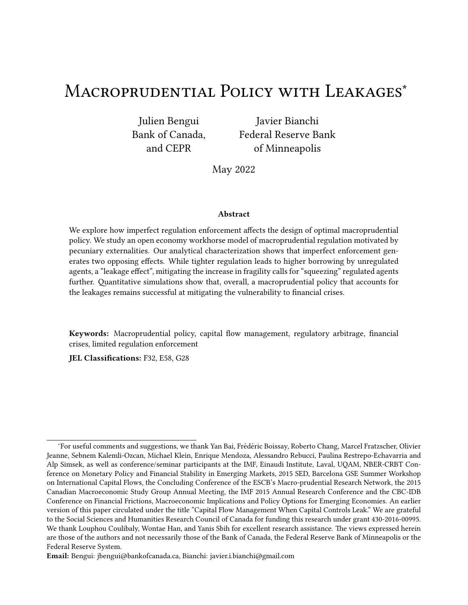Figure 7: Long-run frequency of  $\epsilon$ nancial crises as a functio Mof

on these episodes. Second, we take the average of key variables across the window period for the decentralized equilibrium. 'ird, we feed in the initial state and shock sequence that characterizes all €nancial crises in the unregulated equilibrium to the policy functions of the regulated equilibrium. We do this for two degrees of leakage  $\Delta t = 0$ , which corresponds to the constrained-e•cient allocation, and W =  $0.5^{20}$  Finally, we average the key variables across the window period for the regulated equilibria. 'is experiment allows us to do a counterfactual analysis that highlights how leakages lead to di, erent €nancial crises dynamics, controlling for the same sequence of shocks and the same initial states.

Figure  $8$  shows the results of these simulations. In the top panels, we plot the income shocks, the current account to GDP ratio, and the real exchange rate. In the bo‹om panels, we show the debt of regulated agents, the debt of unregulated agents, and the optimal tax. All the plo‹ed paths correspond to averages across all the simulation samples from the event analysis. 'e unregulated equilibrium (solid line) clearly displays a larger decline in credit and a larger current account reversal, as well as a larger collapse in the real exchange rate (de€ned as the inverse of the price of the composite good). 'e crises are preceded by increases in the amount of credit and negative income shocks, and are triggered on impact by income shocks that are about 1.5 standard deviations on average. In contrast, the constrained-e•cient equilibrium (dashed line) displays a much smaller decline in credit (1% percent versus 10% for the unregulated equilibrium) and a much smaller decline in the real exchange rate. Note that these di, erences in the event dynamics emerge despite the two economies having the same initial conditions and being subject to the same shock sequence.

In terms of aggregate variables, one can see that the regulated equilibrium  $\equiv$  0"5 (macroprudential policy with leakages, dash-do‹ed line) is much closer to the constrained-e•cient equilibrium

 $^{20}$ In some sense, the economy with optimal macroprudential policy  $\frac{1}{4}$ M $\frac{d}{dx}$  0 is still constrained-e•cient, but we reserve this term for the economy without leakages.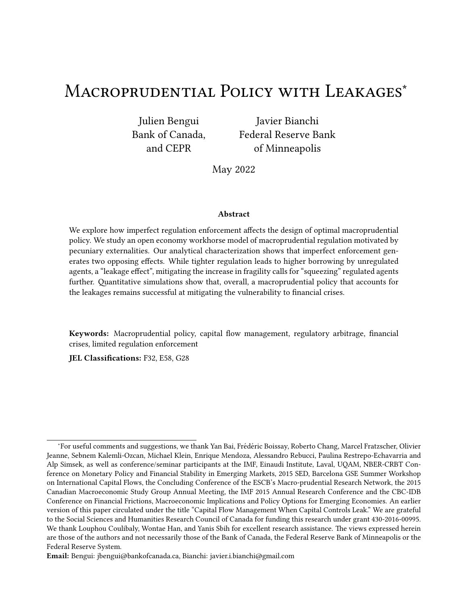(a) Income (b) Current account to GDP (%) (c) Real exchange rate

(d) Debt of' agents (e) Debt of\* agents (f) Optimal tax (%)

Figure 8: Event analysis.

than to the unregulated equilibrium. 'is is consistent with the message from Figure 7 that the frequency of crises increases only modestly with at is, overall, neither the frequency nor the severity of €nancial crises increases substantially with leakages, even when as much as 50% of the economy is le‰ unregulated. However, these aggregate results hide important disparities between the debt dynamics of the regulated and unregulated spheres across the event window. Both debt positions start at exactly the same level (by construction), but unregulated agents start accumulating debt very rapidly (panel e), while regulated agents reduce their indebtedness at a signi€cantly faster pace than in the constrained-e•cient equilibrium. Higher taxes than in the constrained-e•cient case (panel f), together with stronger precautionary motives due to the spillback e, ects from unregulated agents' overborrowing, generates this sharp deleveraging by regulated agents in the run-up to the crisis event.

### 3.7 Welfare e, ects

Finally, we study the welfare implications of macroprudential policy with leakages, focusing on two key questions: By how much does average welfare fall because of the presence of leakages? How are the welfare bene€ts of macroprudential policy distributed across regulated and unregulated agents?

Figure 9 displays measures of the welfare e, ects of macroprudential policy. In the le‰ panel, we report the unconditional welfare gains of moving from the unregulated equilibrium to the regulated equilibrium for di, erent degrees of leakages. We report welfare gains by agent type, as well as average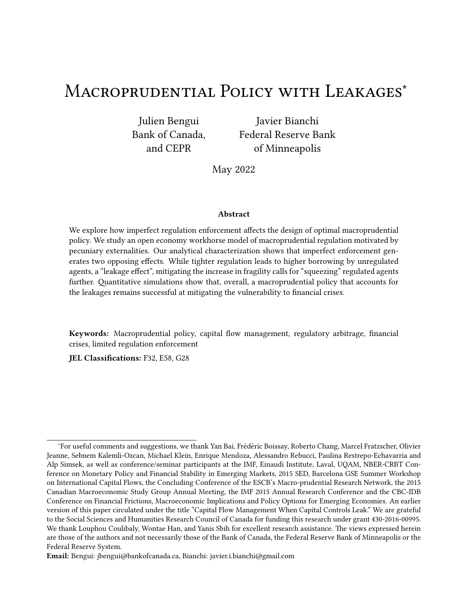Figure 9: Welfare gains from macroprudential policy in the presence of leakages. Note: Welfare gains are computed in consumption equivalence terms and expressed in percentages.

welfare gains<sup>21</sup> For comparison, we also show the welfare gains of moving from the unregulated equilibrium to the constrained-e•cient allocation, which are of course the same for regulated and unregulated agents. A  $\epsilon$ rst observation is that the average welfare gains of being in the regulated equilibrium decrease with the size of the unregulated sector. 'is €nding is natural, since with larger W the planner directly controls a smaller share of the economy and thus becomes less e, ective at correcting the overborrowing externality. However, it is also apparent that the decline in the average welfare gains associated with leakages is modest. 'is suggests that macroprudential policy remains not only e,ective but also desirable, even with signi€cant leakages.

'is €gure also reveals interesting insights about the distribution of these welfare e,ects across the two spheres. First, welfare gains are higher for unregulated agents than for regulated agents. For small values ofW, the welfare gains of macroprudential policy are about twice as large for unregulated agents. 'e intuition is straightforward: unregulated agents enjoy the same €nancial stability bene€ts of macroprudential regulation as regulated agents, but unlike the la‹er, they do not bear the costs that arise from lower consumption ahead of (potential) future crises. Second, welfare gains for regulated agents fall sharply algets larger. Intuitively, larger leakages imply that more unregulated agents overborrow and therefore impose a larger externality on regulated agents, who bear a more concentrated cost regulation.

'e right panel of Figure 9 complements this analysis by representing the welfare gains of macroprudential policy with leakages (for  $W = 0$ "5), but through the event windows of Section 3.6 rather than unconditionally. 'e results are broadly consistent with the unconditional analysis, with unreg-

<sup>&</sup>lt;sup>21</sup>To compute unconditional gains, we €rst compute, for every possible state · •~<sup>)</sup> •~<sup>#o</sup>, the proportional increase in consumption across all possible future histories that would make households indi,erent between remaining in the unregulated equilibrium and switching to the regulated equilibrium with leakages. 'en, we compute the mean of this variable in the simulations.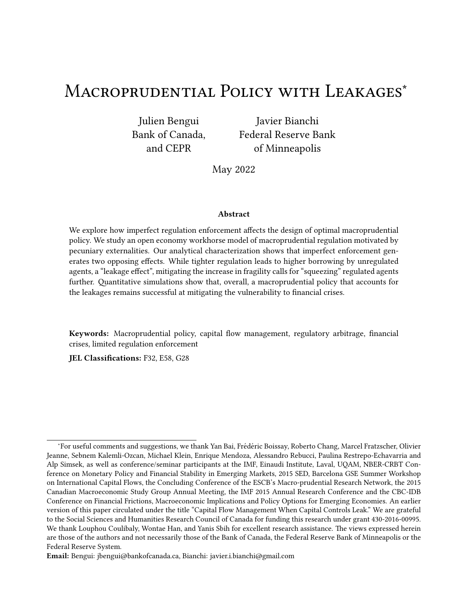ulated agents capturing the lion's share of the gains. In addition, it is apparent that the increase in the welfare gains of macroprudential policy in the run-up to a crisis event falls disproportionately on unregulated agents. 'is strengthens the conclusion that these agents become the main bene€ciaries of macroprudential policy when leakages are large.

Welfare criterion Our analysis has focused on the case of a utilitarian social planner where the welfare weights correspond to the shares in the population. An alternative natural choice would be to put all the weight on the regulated agents. In Appendix  $E$ , we consider this case, which corresponds to  $X = 0$ . In this scenario, we  $\epsilon$ nd that regulation is lighter-touch. Because the regulator does not value the positive externalities from higher €nancial stability on unregulated agents, it imposes lower taxes on borrowing and achieves signi€cantly milder reductions in the frequency and severity of €nancial crises. Relative to the utilitarian policy, the lighter-touch regulation yields minor additional welfare gains to regulated agents at the expense of much lower welfare gains for unregulated agents.

# 4 Conclusion

We characterize optimal macroprudential policy under limited regulation enforcement. Our analysis shows that the presence of leakages does not necessarily call for weaker intervention, as commonly argued in policy discussions. •antitative results show that macroprudential policy remains highly e, ective at reducing the vulnerability to €nancial crises even with signi€cant leakages.

Our study suggests several avenues for future research. An important limitation from the dynamic model is the lack of an extensive margin of regulation avoidance. In practice, the expectation of tight €nancial regulation is likely to lead to a migration towards an unregulated sector. Incorporating this element is likely to a, ect optimal policies in important ways. Another interesting direction would be to examine aspects of regulatory capture and how this can shape the design of regulation. Finally, our insights regarding the two-way interaction between the regulated and unregulated spheres of the economy and the trade-o,s that emerge for optimal regulation are likely to apply to other classes of models featuring excessive risk taking from a social point of view.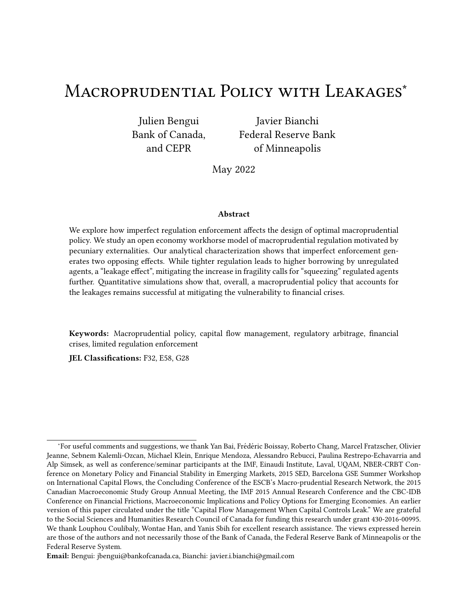# References

- Acharya, Sushant and Julien Bengui , \Liquidity Traps, Capital Flows,"Journal of International Economics2018,114, 276{298.
- Ahnert, Toni, Kristin J Forbes, and Dennis Reinhardt , \Macroprudential FX Regulations: Shi‰ing the Snowbanks of FX Vulnerability?," 2018. Mimeo, MIT Sloan.
- Aiyar, Shekhar, Charles W Calomiris, and Tomasz Wieladek , \Does macro-pru leak? Evidence from a UK policy experiment,"Journal of Money, Credit and Banking 014,46.
- Arce, Fernando, Julien Bengui, and Javier Bianchi , \A Macroprudential 'eory of Foreign Reserve Accumulation," 2019. Mimeo.
- Begenau, Juliane and Tim Landvoigt, \Financial Regulation in a •antitative Model of the Modern Banking System," 2018. Mimeo, Stanford.
- Bengui, Julien , \Macro-Prudential Policy Coordination," 2013. University of Montreal.
- $\Box$ , Javier Bianchi, and Louphou Coulibaly, \Financial Safety Nets, Forthcoming, International Economic Revie 2019.
- Benigno, Gianluca, Huigang Chen, Christopher Otrok, Alessandro Rebucci, and Eric R. Young, \Financial Crises and Macro-Prudential Policies urnal of International Economics 013, 89(2), 453{470.
- Bianchi, Javier, \Overborrowing and Systemic Externalities in the Business Cycle derican Economic Review 2011, 101(7), 3400 {3426.
- $\perp$  and Enrique G Mendoza, \Optimal time-consistent macroprudential policy, burnal of Political Economy2018,126(2), 588{634.
- $\_$  and  $\_$  ,  $\mathsf{\mathsf{\mathsf{\mathsf{A}}}}$  €sherian approach to €nancial crises: Lessons from the sudden stops liter**atere**dw of Economic Dynamic 802037, S254{S283.
- $\mu$  and Guido Lorenzoni, \'e Prudential Use of Capital Controls and Foreign Currency Reserves," 2021. Forthcoming, Handbook of International Economics, Volume V, edited by Gita Gopinath, Elhanan Helpman and Kenneth Rogo,, North Holland.
- and Louphou Coulibaly , \Liquidity Traps, Prudential Policies, and International Spillovers," 2021. Mimeo, Minneapolis Fed.
- $\Box$ , Chenxin Liu, and Enrique G Mendoza, \Fundamentals news, global liquidity and macroprudential policy,"Journal of International Economi@\$1699, S2{S15.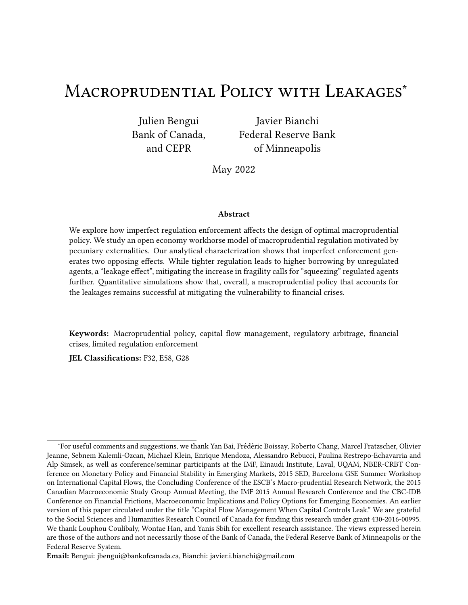- $\Box$ , Emine Boz, and Enrique Gabriel Mendoza , \Macroprudential policy in a Fisherian model of €nancial innovation,"IMF Economic Review, 2012,60(2), 223{269.
- Caballero, Ricardo J. and Arvind Krishnamurthy , \International and Domestic Collateral Constraints in a Model of Emerging Market Crises purnal of Monetary Economi $\epsilon$ 80148(1), 513{548.
- Cerutti, Eugenio, Stinj Claessens, and Luc Laeven, \'e use and e'ectiveness of macroprudential policies: New evidence, Journal of Financial Stability 201728.
- Coulibaly, Louphou , \Monetary Policy in Sudden Stop-Prone Economies," 2018. Mimeo, University of Montreal.
- Dassatti, Cecilia and Jose-Luis Peydro, \Macroprudential and Monetary Policy: Loan-Level Evidence from Reserve Requirements," 2013. Mimeo, Central Bank of Uruguay.
- Davis, J Scott, Michael B Devereux, and Changhua Yu, \Sudden stops and optimal foreign exchange intervention," Technical Report, National Bureau of Economic Research 2020.
- Debortoli, Davide, Ricardo Nunes, and Pierre Yared , \Optimal time-consistent government debt maturity," Œe arterly Journal of Economics 2017, 132(1), 55{102.
- Devereux, Michael B, Eric R Young, and Changhua Yu , \Capital controls and monetary policy in sudden-stop economies, burnal of Monetary Economics 18.
- Farhi, Emmanuel and Ivan Werning , \Dealing with the trilemma: Optimal capital controls with €xed exchange rates," 2012. NBER Working Paper No. 18199.
- $\equiv$  and Ivan Werning,  $\lambda$  theory of macroprudential policies in the presence of nominal rigidities," Econometrica 2016 84(5), 1645 {1704.
- $\mu$  and Ivan Werning, \Fiscal Unions,"American Economic Revie 2017, 107(12), 3788{3834.
- $\equiv$  and Jean Tirole, \Shadow Banking and the Four Pillars of Traditional Financial Intermediation," 2017. Mimeo, Harvard.
- Flemming, Jean, Jean-Paul L'Huillier, and Facundo Piguillem , \Macro-Prudential taxation in good times,"Journal of International Economi@\$19,121.
- Forbes, Kristin, Marcel Fratzscher, and Roland Straub, \Capital-fow management measures: What are they good for?,"Journal of International Economics 1596, S76{S97.
- Fornaro, Luca, \Financial crises and exchange rate polic d urnal of International Economics 15, 95(2), 202{215.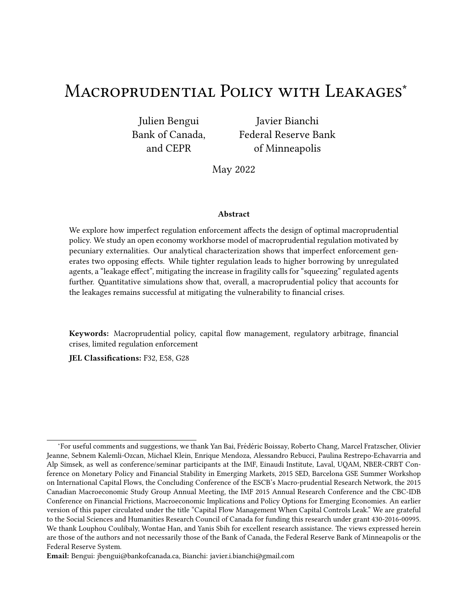- and Federica Romei, \'e paradox of global thri‰," 2018. Mimeo, CREi.
- Grochulski, Borys and Yuzhe Zhang , \Optimal Liquidity Regulation with Shadow Banking," 2015. Working paper WP 15-12R, Federal Reserve Bank Richmond.
- Huang, Ji, \Banking and Shadow Banking," 2014. Mimeo, Stanford.
- Jeanne, Olivier and Anton Korinek , \Managing Credit Booms and Busts: A Pigouvian Taxation Approach," 2012. NBER Working Paper 16377.
- Jimenez, Gabriel, Steven Ongena, Joe-Luis Peydro, and Jesus Saurina, Macroprudential policy, countercyclical bank capital bu, ers and credit supply: Evidence from the Spanish dynamic provisioning experiments, Journal of Political Econom 2012.
- Klein, Michael W , \Capital controls: Gates versus walls," 2012. Brookings Papers on Economic Activity.
- Klein, Paul, Per Krusell, and Jose-Victor Rios-Rull, Name-consistent public policy, CE and Review of Economic Studie 2008, 75(3), 789{808.
- $\Box$ , Vincenzo †adrini, and Jose-Victor Rios-Rull , \Optimal time-consistent taxation with international mobility of capital,"Advances in Macroeconomi28055 (1).
- Korinek, Anton, Negulating capital fows to emerging markets: An externality view, during of International Economic 8018,111, 61{80.
- $\mu$  and Alp Simsek, \Liquidity Trap and Excessive Leverage, \merican Economic Revie 2016,106 (3), 699{738.
- Lorenzoni, Guido, *\Ine•cient Credit Booms,*"Review of Economic Stud@80875(3), 809{833.
- Magud, Nicolas E., Carmen M. Reinhart, and Kenneth S. Rogo, , \Capital Controls: Myth and Reality - A Portfolio Balance Approach," 2011. NBER.
- Mendoza, Enrique G., \Credit, Prices, and Crashes: Business Cycles with a Sudden Stop," in S. Edwards and J. Frankel, ed. Preventing Currency Crises in Emerging Market to resity of Chicago Press, 2002.
- Ordonez, Guillermo, *Sustainable Shadow Banking imerican Economic Journal: Macroeconomics* 2018,10(1), 33{56.
- and Facundo Piguillem , \Retirement in the Shadow (Banking)," 2018. Mimeo, University of Pennyslvania.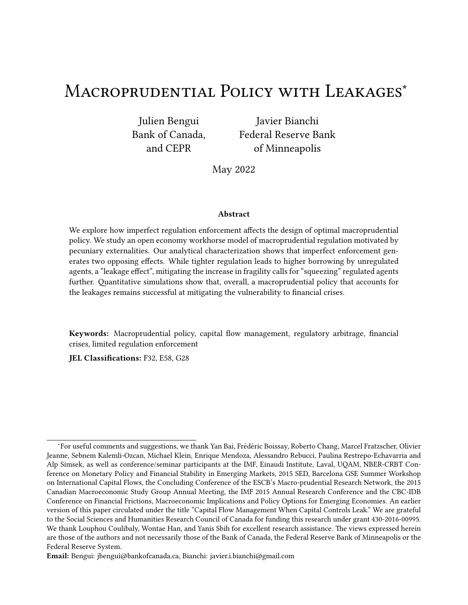- Ottonello, Pablo , \Optimal exchange rate policy under collateral constraints and wage rigidity," manuscript, Columbia Universit 2015.
- Plantin, Guillaume, *Shadow Banking and Bank Capital RegulatioR* & Primancial Studies 2015,28(1), 146{175.
- Reyes-Heroles, Ricardo and Gabriel Tenorio , \Macroprudential Policy in the Presence of External Risks," 2018. Mimeo, Board of Governors.
- Schmitt-Groh e, Stephanie and Mart n Uribe, \Downward Nominal Wage Rigidity, Currency Pegs, and Involuntary Unemployment," 2013. NBER Working Paper.
- $\equiv$  and Mart n Uribe, Multiple equilibria in open economy models with collateral constraints: Overborrowing revisited," 2016.
- $\Box$  and  $\Box$ , \Is Optimal Capital Control Policy Countercyclical in Open Economy Models with Collateral Constraints?, IMF Economic Revie 201765(3), 498 {527.
- Seoane, Hernan D. and Emircan Yurdagul, \Trend shocks and sudden stops purnal of International Economic November 2019, 21.
- Sergeyev, Dmitriy, \Optimal macroprudential and monetary policy in a currency unioM<sup>'</sup>anuscript, Universita Boccon 2016.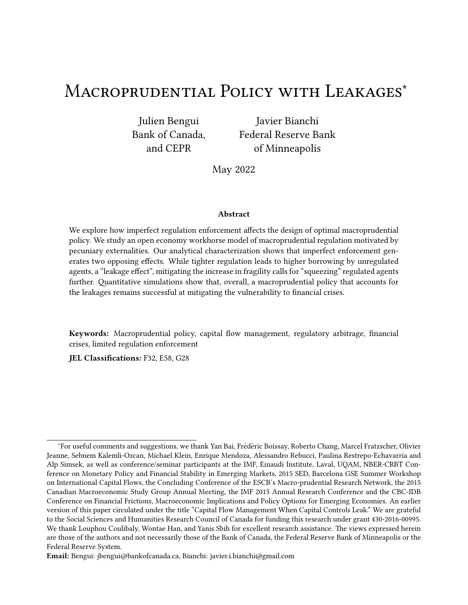# A Formal characterization of continuation equilibria

Lemma 2. ForG 2 f22•D2•2DgDaggregate date 1 consumption in regadis given by  $\frac{1}{4}$  1B' = U G  $S_{1}^{\prime}$  $\frac{1}{1}$ 1B', U $^{\rm G}$  $\operatorname{\mathfrak{g}}_{*_{1}}$   $\operatorname{\mathfrak{g}}_{*_{1}}$   $\operatorname{\mathfrak{g}}_{*_{2}}$  $S_{2}^{(2)}$ )<br>2.

Proof.See Appendix B.2.

Lemma 2 says that, within each region, date 1 aggregate consumption is linear in each of the aggregate state variables<sup>)</sup>  $\frac{1}{2}$ 1B•  $\leftarrow$  <sub>1</sub>° · <sub>1</sub>°. Date 2 aggregate consumption follows from the economy's intertemporal resource constraint (15) and is therefore also linearly ආ'B• <sub>\* 1</sub>• <sub>' 1</sub>º. Finally, according to (16), the equilibrium price $\mathbf{S}_{1}^{\#}$  $_1^{\sharp}$  1B and  $?_2^{\sharp}$  $_2^{\#}$ 1B° are linear in  $\frac{1}{4}$ 1B° and  $\frac{1}{2}$ 1B° (respectively) and therefore also linear in<sup>1</sup> $\stackrel{\textstyle >}{\sim}$  $\frac{1}{1}$ 1B•  $\leftarrow$  <sub>1</sub>° · <sub>1</sub>°. 'e next lemma characterizes the aggregate consumption solution in more detail.

Lemma 3. Œe coe $\bullet$ cients of the decision rule f $\mathrm{d}$ r<sup>1</sup>B' are such that:

- 1.  $\cup$ <sup>G</sup>  $\frac{1}{2}$  i 0 and  $\mathsf{L}^\mathsf{G}$  $\mathfrak{g}_{\bullet}$  U $\mathfrak{g}_{2}$   $\quad$  0 with U $^{\rm G}$  $\mathcal{G} = 0$  (resp.U<sup>G</sup> = 0) i, W= 0 (resp.W= 1), andU $_{\sim z}^G$  $\frac{1}{2}$  = 0 i,  $G = 22$
- 2. if 0 W 0'5 (resp.0'5 W 1), then  $\bigcup_{-1}^{DD} \bigcup_{n=1}^{D} \bigcup_{n=1}^{D} \bigcup_{n=1}^{D}$  $P_{21}^2$ , (resp. $Q_{21}^D$   $Q_{21}^2$   $Q_{21}^D$   $Q_{21}^2$  $2, 2,$ with strict inequalities if0 Ÿ WŸ 0"5 (resp.0"5 Ÿ WŸ 1).
- 3. U<sup>DD</sup> U<sup>2D</sup> U<sup>22</sup>  $\mathbb{R}^2$ and $\mathsf{U}^{\mathsf{DD}}$   $\mathsf{U}^{\mathsf{D2}}$   $\mathsf{U}^{\mathsf{22}}$  $k^2$ , with strict inequalities i,W<sub>i</sub> 0.
- 4.  $U^{DD}$   $U^{2}$   $U^{2}$  and  $U^{DD}$   $U^{2}$   $U^{2}$ , with strict inequalities i, WY 1.

Proof.See Appendix B.3.

Part 1. of Lemma 3 establishes that aggregate consumption is increasing in each of the three aggregate state variables $^{\flat}$  $\frac{1}{1}$ 1B•  $\leftarrow$  1°  $\leftarrow$  1<sup>0</sup>, always strictly for $\sim$  $\frac{1}{1}$ <sup>1</sup>B, and strictly for  $\cdot$  <sub>1</sub> unlessW= 0 and for  $\frac{1}{1}$  unlessW= 1. Part 2. of the lemma says that aggregate tradable consumption is more sensitive to tradable income in the regions where the credit constraints are binding. Similarly, parts 3. and 4. establish that aggregate tradable consumption is more sensitive to the two sets of agents' wealth positions in the regions where the credit constraints are binding.

We de€ne an individual's credit constraint set as the set of tradable endowment realizations such that her credit constraint is binding:

Q¹181; \* <sup>1</sup>• ' <sup>1</sup>• Gº n ~ ) 1 ¹Bº 2 R ¸ j1 D=2 <sup>82</sup> 181;~ ) 1 ¹Bº• \* <sup>1</sup>• ' <sup>1</sup>• G Ÿ 1 2>= <sup>82</sup> 181;~ ) 1 ¹Bº• \* <sup>1</sup>• ' <sup>1</sup>• G o "

where G 2 f 22•D2•2DD potes the region in which the economy is and determines the mapping between $\stackrel{\text{i}}{\sim}$  $\frac{1}{1}$ <sup>1</sup>B•  $\cdot$  <sub>1</sub>°  $\cdot$  <sub>1</sub>° and <sup>1</sup>?<sup>#</sup>  $_1^{\texttt{\#}}$  1 $\texttt{B}^\bullet$   $_2^{\texttt{\#}}$  1 $\texttt{B}^\texttt{o}$  relevant to compute  $_\texttt{g}^\texttt{D=2}$ <sup>D=2</sup>and1<sup>2>=</sup>.  $^{2>}_{\mathcal{Z}}$  : e four regions can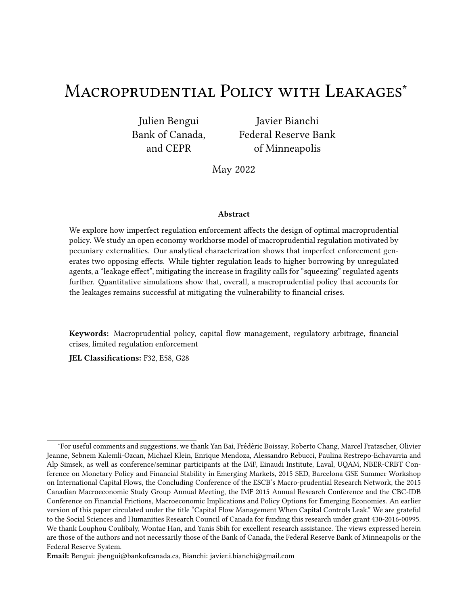hence be represented by the following sets:

$$
X^{D21} \rightarrow 1^{\bullet} + 1^{\bullet} + 1^{\circ} + 1^{\circ} + 1^{\circ} + 1^{\bullet} + 1^{\bullet} + 1^{\bullet} + 1^{\bullet} + 1^{\bullet} + 1^{\bullet} + 1^{\bullet} + 1^{\bullet} + 1^{\bullet} + 1^{\bullet} + 1^{\bullet} + 1^{\bullet} + 1^{\bullet} + 1^{\bullet} + 1^{\bullet} + 1^{\bullet} + 1^{\bullet} + 1^{\bullet} + 1^{\bullet} + 1^{\bullet} + 1^{\bullet} + 1^{\bullet} + 1^{\bullet} + 1^{\bullet} + 1^{\bullet} + 1^{\bullet} + 1^{\bullet} + 1^{\bullet} + 1^{\bullet} + 1^{\bullet} + 1^{\bullet} + 1^{\bullet} + 1^{\bullet} + 1^{\bullet} + 1^{\bullet} + 1^{\bullet} + 1^{\bullet} + 1^{\bullet} + 1^{\bullet} + 1^{\bullet} + 1^{\bullet} + 1^{\bullet} + 1^{\bullet} + 1^{\bullet} + 1^{\bullet} + 1^{\bullet} + 1^{\bullet} + 1^{\bullet} + 1^{\bullet} + 1^{\bullet} + 1^{\bullet} + 1^{\bullet} + 1^{\bullet} + 1^{\bullet} + 1^{\bullet} + 1^{\bullet} + 1^{\bullet} + 1^{\bullet} + 1^{\bullet} + 1^{\bullet} + 1^{\bullet} + 1^{\bullet} + 1^{\bullet} + 1^{\bullet} + 1^{\bullet} + 1^{\bullet} + 1^{\bullet} + 1^{\bullet} + 1^{\bullet} + 1^{\bullet} + 1^{\bullet} + 1^{\bullet} + 1^{\bullet} + 1^{\bullet} + 1^{\bullet} + 1^{\bullet} + 1^{\bullet} + 1^{\bullet} + 1^{\bullet} + 1^{\bullet} + 1^{\bullet} + 1^{\bullet} + 1^{\bullet} + 1^{\bullet} + 1^{\bullet} + 1^{\bullet} + 1^{\bullet} + 1^{\bullet} + 1^{\bullet} + 1^{\bullet} + 1^{\bullet} + 1^{\bullet} + 1^{\bullet} + 1^{\bullet} + 1^{\bullet} + 1^{\bullet} + 1^{\bullet} + 1^{\bullet} + 1^{\bullet} + 1^{\bullet} + 1^{\bullet} + 1^{\bullet} + 1
$$

$$
X^{2D_1} \rightarrow 1^{\bullet} \rightarrow 1^0 Q^1 \rightarrow 1; \rightarrow 1^{\bullet} \rightarrow 1^{\bullet} 2D \setminus Q^{21} \rightarrow 1; \rightarrow 1^{\bullet} \rightarrow 1^{\bullet} 2D^{\bullet}
$$
 (A.3)

$$
X^{DD_1} \rightarrow 1^{\bullet} \quad 1^0 \quad Q^{2_1} \rightarrow 1^{\bullet} \rightarrow 1^{\bullet} \quad 1^{\bullet} \quad D^{\bullet} \quad Q^{2_1} \rightarrow 1^{\bullet} \quad 1^{\bullet} \quad 1^{\bullet} \quad D^{\bullet} \quad (A.4)
$$

Further, we de€ne unions of some of these set 8%  $X^{22}[X^{2D}, X^{62} \times X^{2q}]X^{D2}, X^{D2} \times Y^{D1}X^{D2}$ and $X^{\phi D}$   $X$  <sup>DD</sup> $X$  <sup>2D</sup>. 'ese sets have some intuitive properties, summarized in the following lemmas.

Lemma 4. Cere are thresholole and 1<sub>G</sub> satisfying 0  $0_G$  1<sub>G</sub> (with  $0_G = 1_G$ i,  $*_{1} = *_{1}$ ) such that  $\frac{1}{2}$  1B' 2 X<sup>22</sup>i,  $\frac{1}{2}$  1B' Y 0<sub>G</sub>,  $\frac{1}{2}$  1B' 2 X<sup>DD</sup>i,  $\frac{1}{2}$  1B' 1<sub>c</sub>,  $\frac{1}{2}$  1B' 2 X<sup>2D</sup>i, 0<sub>G</sub>  $\frac{1}{2}$  1B' Y 1<sub>G</sub> and  $\frac{1}{2}$  1Y  $\frac{1}{1}$ ; and  $\frac{1}{4}$  1B' 2 X<sup>D2</sup>i, 0<sub>G</sub>  $\frac{1}{4}$  1B' Y 1<sub>G</sub> and  $\frac{1}{4}$  i 1.

Proof. See Appendix B.4.

Lemma 4 says that for a given pair  $*1^{\circ}$   $*1^{\circ}$ , the regions are ordered along the real line, that the poorest type of agents is never unconstrained when the other type is constrained, and that when both types of agents have the same wealth only the symmetric reglex and DD can arise. It notably implies that  $X^{22}$ ,  $X^{D2}$ ,  $X^{2D}$  and  $X^{DD}$  are disjoint, and that their union i $\mathbb{R}^3$ , meaning that for any triplet  $12$ ,  $12$  i  $12$   $\bullet$   $\star$   $10$  the economy is always in one and only one region. Finally, the next lemma o, ers comparative statics results.

Lemma 5. For a given  $*_{1}$  (resp.  $*_{1}$ ) and any two  $*_{1}\bullet \sim_{1}$  (resp.  $*_{1}\bullet \sim_{1}$ ) such that  $*_{1}\circ \sim_{1}$  (resp.  $\star$  1  $\ddot{Y}$   $\approx$  ):

- 1. for  $X = X^{22} \times 2^x \cdot X^{22}$ , if  $\sim_1^1 1B^2 2 X^1 \cdot 1^1 2^1 1^0$  (resp.  $\sim_1^1 1B^2 2 X^1 \cdot 1^1 2^1 1^0$ ), then  $\sim_1^1 1B^2 2$  $X^1 \times 1^{\bullet} \times 1^0$ .
- 2. for  $X = X^{DQ}X^{DQ} \cdot X^{QD}$ , if  $\rightarrow 1B^{Q} 2 X^{1} \cdot 10^{1}$ , then  $\rightarrow 1B^{Q} 2 X^{1} \cdot 10^{1}$  (resp.  $\rightarrow 1B^{Q} 2$  $X^1 \approx 1^{\bullet} + 1^{\circ}$ .

Proof. See Appendix B.5.

Part 1. of Lemma 5 says that the regiar<sup>2</sup> where both types of agents are credit constrained, and the regions  $X^{2\ell}$  and  $X^{\ell}$  where at least one type of agents is constrained are all shrinking in and \* 1. Part 2. says that the regioX<sup>DD</sup> where both types of agents are unconstrained, and the regions  $X^{D\!x}$  and  $X^{\phi D}$  where at least one type of agents is unconstrained are all expanding irand  $*_{1}$ .

#### $A.1$ Price and consumption functions

'e price functions are related to the aggregate tradable consumption function, given in Lemma 2, by

$$
?^{#}_{1}1\rightarrow_{1}1\mathbf{B}\bullet\cdots\bullet\cdots\bullet^{0}=\frac{1}{1}\frac{1}{1}\frac{1}{1}\frac{1}{1}\frac{1}{1}\frac{1\mathbf{B}\bullet\cdots\bullet^{0}}{\mathbf{B}\bullet\cdots\bullet^{0}}\bullet
$$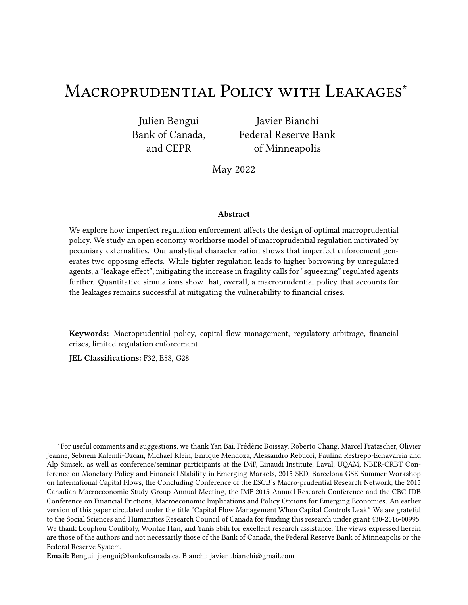and

$$
?_{2}^{\#}1\rightarrow_{1}^{1}1B\bullet\rightarrow_{1}^{0}1\bullet^{0}=\\ \frac{11}{I}-\frac{1}{I}-\frac{0}{I}1\,,\,\,A^{0}\frac{11}{I}\,,\,\,A^{0}\frac{11}{I}\,,\,\,1\quad\quad V\theta\rightarrow_{1}^{1}\frac{1}{I}\,,\,\,A^{0}\frac{1}{I}\,,\,\,A^{0}\frac{1}{I}\,,\,\,A^{0}\frac{1}{I}\,,\,\,A^{0}\frac{1}{I}\,,\,\,A^{0}\frac{1}{I}\,,\,\,A^{0}\frac{1}{I}\,,\,\,A^{0}\frac{1}{I}\,,\,\,A^{0}\frac{1}{I}\,,\,\,A^{0}\frac{1}{I}\,,\,\,A^{0}\frac{1}{I}\,,\,\,A^{0}\frac{1}{I}\,,\,\,A^{0}\frac{1}{I}\,,\,\,A^{0}\frac{1}{I}\,,\,\,A^{0}\frac{1}{I}\,,\,\,A^{0}\frac{1}{I}\,,\,\,A^{0}\frac{1}{I}\,,\,\,A^{0}\frac{1}{I}\,,\,\,A^{0}\frac{1}{I}\,,\,\,A^{0}\frac{1}{I}\,,\,\,A^{0}\frac{1}{I}\,,\,\,A^{0}\frac{1}{I}\,,\,\,A^{0}\frac{1}{I}\,,\,\,A^{0}\frac{1}{I}\,,\,\,A^{0}\frac{1}{I}\,,\,\,A^{0}\frac{1}{I}\,,\,\,A^{0}\frac{1}{I}\,,\,\,A^{0}\frac{1}{I}\,,\,\,A^{0}\frac{1}{I}\,,\,\,A^{0}\frac{1}{I}\,,\,\,A^{0}\frac{1}{I}\,,\,\,A^{0}\frac{1}{I}\,,\,\,A^{0}\frac{1}{I}\,,\,\,A^{0}\frac{1}{I}\,,\,\,A^{0}\frac{1}{I}\,,\,\,A^{0}\frac{1}{I}\,,\,\,A^{0}\frac{1}{I}\,,\,\,A^{0}\frac{1}{I}\,,\,\,A^{0}\frac{1}{I}\,,\,\,A^{0}\frac{1}{I}\,,\,\,A^{0}\frac{1}{I}\,,\,\,A^{0}\frac{1}{I}\,,\,\,A^{0}\frac{1}{I}\,,\,\,A^{0}\frac{1}{I}\,,\,\,A^{0}\frac{1}{I}\,,\,\,A^{0}\frac{1}{I}\,,\,\,A^{0}\frac{1}{I
$$

'e remaining consumption functions are related to these price functions but the relationships depend on which agents are constrained and unconstrained.

When\* agents are unconstrained (i.e., in regioDDandD2), their consumption functions are given by

) \* 1 ¹~ ) 1 ¹Bº• \* <sup>1</sup>• ' <sup>1</sup>º = ) \* 2 ¹~ ) 1 ¹Bº• \* <sup>1</sup>• ' <sup>1</sup>º = = l 1¸ V " ¹1¸ Aº \* <sup>1</sup> ¸ ~ ) 1 ¹Bº ¸ ? # 1 ¹~ ) 1 ¹Bº• \* <sup>1</sup>• ' <sup>1</sup>º~ # ¸ ~ ) 2 ¸ ? # 2 ¹~ ) 1 ¹Bº• \* <sup>1</sup>• ' <sup>1</sup>º~ # 1¸ A # •

and

$$
{}^{#}_{\sim}1\rightarrow{}^{1}B^{\bullet} \rightarrow {}^{1}{}^{0} = \frac{1}{11_{11}}\sqrt{11}B^{\bullet} \rightarrow {}^{1}{}^{0}
$$
  

$$
{}^{1}1 \rightarrow {}^{1}{}^{0} \rightarrow {}^{1}{}^{0}
$$
  

$$
{}^{1}1 \rightarrow {}^{1}{}^{0} \rightarrow {}^{1}{}^{1}B^{\bullet} \rightarrow {}^{1}{}^{0}
$$
  

$$
{}^{1}1 \rightarrow {}^{1}{}^{0} \rightarrow {}^{1}{}^{1}B^{\bullet} \rightarrow {}^{1}{}^{1}{}^{1}A^{\bullet}{}^{1}B^{\bullet} \rightarrow {}^{1}{}^{0} \rightarrow {}^{1}{}^{0} \rightarrow {}^{1}{}^{1}{}^{1}B^{\bullet} \rightarrow {}^{1}{}^{1}A^{\bullet}{}^{1}B^{\bullet} \rightarrow {}^{1}{}^{0} \rightarrow {}^{1}{}^{0} \rightarrow {}^{1}{}^{1}A^{\bullet}
$$

for C= 1•2. In contrast, when these agents are constrained (i.e., in reglomand 22, their consumption functions are given by

$$
4.1^{1} \times 1^{1} \times 1^{1} \times 1^{0} = 11.1 \times 1^{0} \times 1^{1} \times 1^{1} \times 1^{0} \times 1^{1} \times 1^{1} \times 1^{0} \times 1^{0} \times 1^{0} \times 1^{0} \times 1^{0} \times 1^{0} \times 1^{0} \times 1^{0} \times 1^{0} \times 1^{0} \times 1^{0} \times 1^{0} \times 1^{0} \times 1^{0} \times 1^{0} \times 1^{0} \times 1^{0} \times 1^{0} \times 1^{0} \times 1^{0} \times 1^{0} \times 1^{0} \times 1^{0} \times 1^{0} \times 1^{0} \times 1^{0} \times 1^{0} \times 1^{0} \times 1^{0} \times 1^{0} \times 1^{0} \times 1^{0} \times 1^{0} \times 1^{0} \times 1^{0} \times 1^{0} \times 1^{0} \times 1^{0} \times 1^{0} \times 1^{0} \times 1^{0} \times 1^{0} \times 1^{0} \times 1^{0} \times 1^{0} \times 1^{0} \times 1^{0} \times 1^{0} \times 1^{0} \times 1^{0} \times 1^{0} \times 1^{0} \times 1^{0} \times 1^{0} \times 1^{0} \times 1^{0} \times 1^{0} \times 1^{0} \times 1^{0} \times 1^{0} \times 1^{0} \times 1^{0} \times 1^{0} \times 1^{0} \times 1^{0} \times 1^{0} \times 1^{0} \times 1^{0} \times 1^{0} \times 1^{0} \times 1^{0} \times 1^{0} \times 1^{0} \times 1^{0} \times 1^{0} \times 1^{0} \times 1^{0} \times 1^{0} \times 1^{0} \times 1^{0} \times 1^{0} \times 1^{0} \times 1^{0} \times 1^{0} \times 1^{0} \times 1^{0} \times 1^{0} \times 1^{0} \times 1^{0} \times 1^{0} \times 1^{0} \times 1^{0} \times 1^{0} \times 1^{0} \times 1^{0} \times 1^{0} \times 1^{0} \times 1^{
$$

Similarly, when' agents are unconstrained (i.e., in regions Dand2D), their consumption functions are given by

$$
\frac{1}{1} \cdot \frac{1}{4} \cdot \frac{1}{4} \cdot \frac{1}{4} \cdot \frac{1}{4} \cdot \frac{1}{4} \cdot \frac{1}{4} \cdot \frac{1}{4} \cdot \frac{1}{4} \cdot \frac{1}{4} \cdot \frac{1}{4} \cdot \frac{1}{4} \cdot \frac{1}{4} \cdot \frac{1}{4} \cdot \frac{1}{4} \cdot \frac{1}{4} \cdot \frac{1}{4} \cdot \frac{1}{4} \cdot \frac{1}{4} \cdot \frac{1}{4} \cdot \frac{1}{4} \cdot \frac{1}{4} \cdot \frac{1}{4} \cdot \frac{1}{4} \cdot \frac{1}{4} \cdot \frac{1}{4} \cdot \frac{1}{4} \cdot \frac{1}{4} \cdot \frac{1}{4} \cdot \frac{1}{4} \cdot \frac{1}{4} \cdot \frac{1}{4} \cdot \frac{1}{4} \cdot \frac{1}{4} \cdot \frac{1}{4} \cdot \frac{1}{4} \cdot \frac{1}{4} \cdot \frac{1}{4} \cdot \frac{1}{4} \cdot \frac{1}{4} \cdot \frac{1}{4} \cdot \frac{1}{4} \cdot \frac{1}{4} \cdot \frac{1}{4} \cdot \frac{1}{4} \cdot \frac{1}{4} \cdot \frac{1}{4} \cdot \frac{1}{4} \cdot \frac{1}{4} \cdot \frac{1}{4} \cdot \frac{1}{4} \cdot \frac{1}{4} \cdot \frac{1}{4} \cdot \frac{1}{4} \cdot \frac{1}{4} \cdot \frac{1}{4} \cdot \frac{1}{4} \cdot \frac{1}{4} \cdot \frac{1}{4} \cdot \frac{1}{4} \cdot \frac{1}{4} \cdot \frac{1}{4} \cdot \frac{1}{4} \cdot \frac{1}{4} \cdot \frac{1}{4} \cdot \frac{1}{4} \cdot \frac{1}{4} \cdot \frac{1}{4} \cdot \frac{1}{4} \cdot \frac{1}{4} \cdot \frac{1}{4} \cdot \frac{1}{4} \cdot \frac{1}{4} \cdot \frac{1}{4} \cdot \frac{1}{4} \cdot \frac{1}{4} \cdot \frac{1}{4} \cdot \frac{1}{4} \cdot \frac{1}{4} \cdot \frac{1}{4} \cdot \frac{1}{4} \cdot \frac{1}{4} \cdot \frac{1}{4} \cdot \frac{1}{4} \cdot \frac{1
$$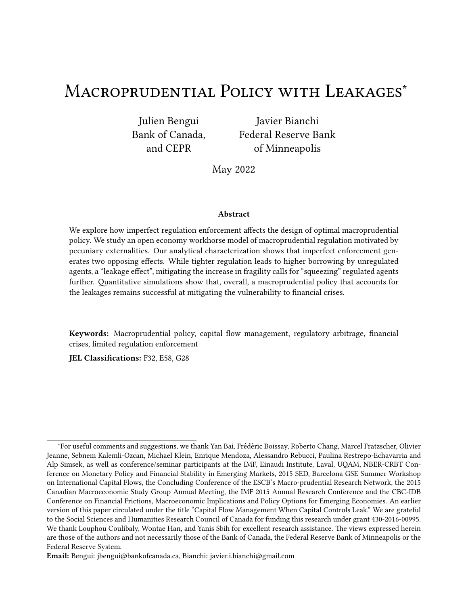and

$$
{}_{C}^{#1} \rightarrow {}_{1}^{1}B\bullet \ast {}_{1}\bullet \cdot {}_{1}^{0} = \frac{1}{11_{13} V_{12}^{*}C_{1}^{*}1_{1}^{*}1B\bullet \ast {}_{1}\bullet \cdot {}_{1}^{0}}
$$
  
11,  $A^{0} \cdot {}_{1}^{*} \rightarrow {}_{1}^{1}B^{0} \rightarrow {}_{1}^{*}1 \rightarrow {}_{1}^{1}B\bullet \ast {}_{1}\bullet \cdot {}_{1}^{0} \rightarrow {}_{1}^{#} \rightarrow \frac{2}{2} \rightarrow \frac{?_{2}^{#1}1_{1}^{*}1B\bullet \ast {}_{1}\bullet \cdot {}_{1}^{0} \rightarrow {}_{1}^{#}1}{1_{1} A}$ 

for  $C = 1$ •2. In contrast, when these agents are constrained (i.e., in reginal  $22$ , their consumption functions are given by

$$
\begin{array}{l} \n\lambda_{1}^{1} \rightarrow_{1}^{1} \mathbf{B}^{\bullet} \times_{1}^{\bullet} \cdot \mathbf{1}^{0} = 1 \quad 11 \quad \mathbf{A}^{0} \cdot \mathbf{1} \quad 11 \quad \Lambda^{0} \rightarrow_{1}^{1} \mathbf{B} \quad \mathbf{2}^{\#}_{1} \rightarrow_{1}^{1} \mathbf{B}^{\bullet} \times_{1}^{\bullet} \cdot \mathbf{1}^{0} \sim^{\#} \quad \bullet \\
\lambda_{2}^{1} \rightarrow_{1}^{1} \mathbf{B}^{\bullet} \times_{1}^{\bullet} \cdot \mathbf{1}^{0} = 1 \quad \lambda_{2}^{1} \quad \mathbf{2}^{\#}_{2} \quad \mathbf{2}^{\#}_{2} \rightarrow_{1}^{1} \mathbf{B}^{\bullet} \times_{1}^{\bullet} \cdot \mathbf{1}^{0} \sim^{\#} \quad \Lambda^{1} \mathbf{1} \quad \mathbf{A}^{0} \rightarrow_{1}^{1} \mathbf{B} \quad \mathbf{2}^{\#}_{1} \rightarrow_{1}^{1} \mathbf{B}^{\bullet} \times_{1}^{\bullet} \cdot \mathbf{1}^{0} \sim^{\#} \quad \bullet \\
\stackrel{\#}{\rightarrow} 1 \rightarrow_{1}^{1} \mathbf{B}^{\bullet} \times_{1}^{\bullet} \cdot \mathbf{1}^{0} = 11 \quad 1 \quad 0 \quad \frac{11 \quad \mathbf{A}^{0} \cdot \mathbf{1} \cdot 1 \quad \Lambda^{0} \rightarrow_{1}^{1} \mathbf{B} \quad \mathbf{2}^{\#}_{1} \rightarrow_{1}^{1} \mathbf{B}^{\bullet} \times_{1}^{\bullet} \cdot \mathbf{1}^{0} \rightarrow^{\#} \\
\quad \quad \quad 2^{\#}_{1} \rightarrow_{1}^{1} \mathbf{B}^{\bullet} \times_{1}^{\bullet} \cdot \mathbf{1}^{0} \end{array}
$$

### Proofs B.

#### $B.1$ Proof of Lemma 1

Note that the private Euler equation (18) is given  $6\mathcal{W}_1^{D4} = 0$ , where

6<sup>1</sup>1<sup>o</sup> is continuous, satis€e\$<sup>1</sup>1<sup>o</sup> ! 1 for some €nite1,  $\lim_{1\to 1} 6^{1}$ <sup>1</sup> = 1 j 0, and  $6^{0}$ <sup>1</sup><sup>o</sup> j 0 for the 1 range over which consumption is positive. It follows that there exists a singletor which  $6^{11}P_1^{04} = 0.$ 

#### Proof of Lemma 2  $B.2$

We consider each region in turn.

22 In this case equilibrium is given by the system  $(12)$ ,  $(13)$ ,  $(14)$ ,  $(15)$  and  $(16)$ . 'is system is block recursive in a linear system in<sup>1</sup> <sup>1</sup>B and  $?$ <sup>#</sup> <sup>1</sup>B. Solving this linear system yields the following coe•cients for  $\frac{1}{1}$  1B:  $\mathsf{L}_{-1}^{22} = \frac{11}{1}$ ,  $\wedge 0$  = 1  $\wedge \frac{11}{1}$ ,  $\mathsf{L}_{+}^{22} = \mathsf{W1}$ ,  $\mathsf{A}^{0}$  = 1  $\wedge \frac{11}{1}$ ,  $\mathsf{L}_{-}^{22} =$ 11 V911,  $A^{\circ}$  1  $\wedge \frac{11}{1}$  and  $\mathcal{L}_2^2 = 0$ .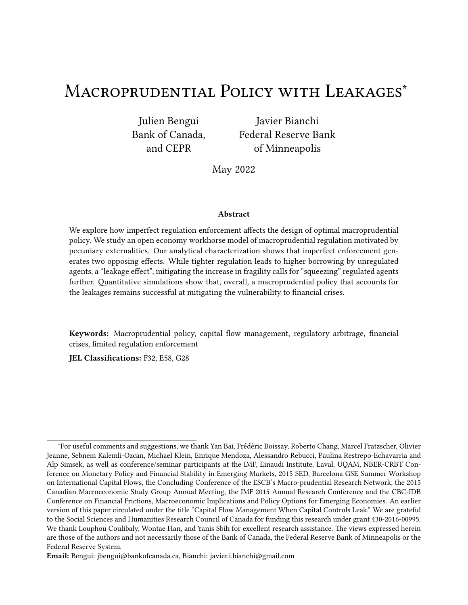2D In this case equilibrium is given by the system (12) and (13)  $8er^*$ , (10) and (11)  $168 = '$ , (14), (15) and (16). 'is system is block recursive in a linear system  $\nparallel$ <sup>1</sup>B,  $\frac{1}{2}$  $\frac{1}{2}$ 1 $\mathbf{B}$ , ? $\frac{4}{1}$  $^{\texttt{\#}}_{\texttt{1}}$  1 $\texttt{B}^{\texttt{p}}$  and  $?$ <sup>#</sup> $\frac{4}{1}$  $_1^\#$  1B. Solving this linear system yields the following coe•cients for  $_1^\mathrm{1B}$ : U $_\mathrm{\sim 1}^\mathrm{2D}$  $p = \frac{W1, 40, \frac{1}{1}W \frac{1}{1,V}}{\frac{1}{1}W \cdot W1 \cdot \frac{1}{1}W \cdot W}$ 

$$
L^{PD}_{*}=\frac{w_{1,}R_{\frac{1}{1,}V}}{\frac{1}{1,}W_{1,}N_{1,}+\frac{1}{1,}0},\ L^{PD}=\frac{11}{1,} \frac{W_{1,1,}R_{\frac{1}{1,}V}}{\frac{1}{1,}W_{1,}N_{1,}+\frac{1}{1,}0},\ L^{DD}_{*2}=\frac{\frac{1}{1,}W_{\frac{1}{1,}V}}{\frac{1}{1,}W_{1,}N_{1,}+\frac{1}{1,}0}.
$$

D2 In this case agents are constrained, and equilibrium is given by the system (12) and (13) for  $8= '$ , (11) and (10) fo $8= '$ , (14), (15) and (16). 'is system is block recursive in a linear system in  $\frac{1}{1}$ <sup>1</sup>B<sup> $\frac{1}{2}$ </sup>  $\frac{1}{2}$ 1B, ? $\frac{4}{1}$  ${}^{#}_{1}$  1B' and ? ${}^{#}_{1}$ #1B. Solving this linear system yields the following coe•cients for  $\frac{1}{1}$ <sup>1</sup>B:  $\bigcup_{1}^{12}$  $P_1^2 = \frac{11}{\frac{W}{\Gamma_1} 11 \sqrt{911} \cdot \frac{1}{100}}$ ,  $Q_2$  $P^2 = \frac{W_1 \cdot R \frac{1}{1 \cdot V} \frac{1}{1 \cdot V}}{W_1 \cdot 1 \cdot W_1 \cdot 1 \cdot 1} \cdot \frac{1}{1 \cdot V_2}$ ,  $P^2 = \frac{W_1 \cdot R \frac{1}{1 \cdot V} \frac{1}{1 \cdot V} \frac{W}{1 \cdot 1 \cdot V}}{W_1 \cdot 1 \cdot W_1 \cdot 1 \cdot 1} \cdot \frac{W_2 \cdot 1 \cdot W}{W_1 \cdot 1 \cdot 1 \cdot 1}$  and  $P^2$  $^{102}_{-2}$  =  $W_1^4 \frac{V}{1,V}$ <br> $W_2$ , 11  $W_3$ <sup>1</sup>1 ^  $\frac{1}{1}$  0.

DD In this case equilibrium is given by the system (10), (11), (14), (15) and (16). 'is system is block recursive in a linear system in $_\mathrm{1}^{\lambda}$ 1 $\mathbf B$  and  $\;\frac12$ 1 $\mathbf B$ . Solving this linear system yields the following coe $\bullet$ cients for  $\frac{1}{1}$ 1B: U<sup>DD</sup>  $P_{-1}^{DD}$  = 1•11,  $V^0$ ,  $U^{DD}$  $\mathbb{P}^{\mathsf{D}} = \mathsf{W1}$  ,  $\mathsf{A}^{\mathsf{O}-1}$  1,  $\mathsf{W}^{\mathsf{D}}$ ,  $\mathsf{W}^{\mathsf{D}} = \mathsf{M}$  and  $\mathsf{W}^{\mathsf{I}1}$  and U DD  $P_{2}^{D} = V \cdot 1$ ,  $V \cdot$ .

## B.3 Proof of Lemma 3

'e proof of part 1. simply follows from an inspection of the expressions for the coe•cients (see proof of Lemma 2 above), noting that Assumption 2 implies  $\mathcal{O} \leftarrow \frac{1}{k}$  $\frac{1}{\Gamma}$   $\gamma$  1.

'e proof of part 2. follows directly from the observations that (1 $\mathcal{V}^{\text{DD}}_{< 1}$   $\forall$  1  $\forall$   $\mathcal{L}^{\text{22}}_{< 1}$  $f_{-1}^{2}$ ; (2) for W= 0,  $U_{-1}^{22}$  $f_{-1}^2 = U_{-1}^2$  $P^2$ and $Q^{\text{DD}}_{\sim 1}$  $P_{-1}^{\text{D}} = \bigcup_{-1}^{\text{D}} P_{,}^{\text{D}}$  $P_{21}^{D}$ , (3) forW= 1,  $Q_{21}^{2}$  $f_{-1}^2 = U_{-1}^2$  $_{-1}^{\rho}$ and $U_{-1}^{2}$  $P_{-1}^2 = Q_{-1}^D$  $^{DD}_{\sim 1}$ , (4)mଔୁ mW 0 andm∯୍କmWଁ 0; and (5) for W =  $0.5, 0.25$  $P_{-1}^{D} = U_{-1}^{D2}$ ~1 .

For part 3. we observe that  $W=0$ , then $\mathsf{L}^\mathsf{DD}$  $f^{\text{DD}} = \mathsf{U}^{\text{DD}}$  $f^{\text{2D}} = \mathbf{U}^{\text{2D}}$  $P^2 = Q^2$  $\mathcal{L}^2$  = 0, and that if  $W$ <sub>i</sub> 0 assuming that  $\mathsf{U}^{\mathrm{DD}}$   $\mathsf{U}^{\mathrm{2D}}$ <sub>ደ</sub><sub>ደ</sub> ነው ነ <u>ቦ2 ሆ</u>ዶ ሆ<sub>ድን</sub>  $\mathbf{f}^{2}$ and $\mathbf{U}^{2}$   $\mathbf{U}^{2}$  $k^2$  individually lead to contradictions.

Similarly, for part 4. we observe that  $W=1$ , then $U^{DD} = U^{PD} = U^{P2} = U^{2}=0$ , and that if WY 1 assuming that P<sup>D</sup> U<sup>PD</sup>, U<sup>PD</sup> U<sup>P2</sup>, U<sup>PD</sup> U<sup>P2</sup> and U<sup>P2</sup> U<sup>22</sup> individually leads to contradictions.

## B.4 Proof of Lemma 4

Let us de€ne the threshold  $\mathbb{G}_{\mathbb{G}}^{\mathbb{G}}$ , min<sup>1</sup>0•0 $\mathbb{G}_{\mathbb{G}}^{\mathbb{G}}$ ,

$$
\Theta_{G} \qquad I \qquad \frac{1 \quad \wedge \frac{11}{1}}{\sqrt{1}} \max^{1} \quad \wedge \quad \uparrow \bullet \quad \star \quad \uparrow^{0} \quad \quad 11 \quad I \quad 0 \quad 11 \quad R \quad \mathcal{W} \star \quad \uparrow \quad \mathcal{W} \quad \downarrow \quad \uparrow \quad \mathcal{W} \quad \downarrow \quad \frac{1 \quad \wedge \frac{11}{1}}{\sqrt{1}} \quad \mathcal{W} \quad \downarrow \quad \mathcal{W} \quad \downarrow \quad \mathcal{W} \quad \downarrow \quad \mathcal{W} \quad \downarrow \quad \mathcal{W} \quad \downarrow \quad \mathcal{W} \quad \downarrow \quad \mathcal{W} \quad \downarrow \quad \mathcal{W} \quad \downarrow \quad \mathcal{W} \quad \downarrow \quad \mathcal{W} \quad \downarrow \quad \mathcal{W} \quad \downarrow \quad \mathcal{W} \quad \downarrow \quad \mathcal{W} \quad \downarrow \quad \mathcal{W} \quad \downarrow \quad \mathcal{W} \quad \downarrow \quad \mathcal{W} \quad \downarrow \quad \mathcal{W} \quad \downarrow \quad \mathcal{W} \quad \downarrow \quad \mathcal{W} \quad \downarrow \quad \mathcal{W} \quad \downarrow \quad \mathcal{W} \quad \downarrow \quad \mathcal{W} \quad \downarrow \quad \mathcal{W} \quad \downarrow \quad \mathcal{W} \quad \downarrow \quad \mathcal{W} \quad \downarrow \quad \mathcal{W} \quad \downarrow \quad \mathcal{W} \quad \downarrow \quad \mathcal{W} \quad \downarrow \quad \mathcal{W} \quad \downarrow \quad \mathcal{W} \quad \downarrow \quad \mathcal{W} \quad \downarrow \quad \mathcal{W} \quad \downarrow \quad \mathcal{W} \quad \downarrow \quad \mathcal{W} \quad \downarrow \quad \mathcal{W} \quad \downarrow \quad \mathcal{W} \quad \downarrow \quad \mathcal{W} \quad \downarrow \quad \mathcal{W} \quad \downarrow \quad \mathcal{W} \quad \downarrow \quad \mathcal{W} \quad \downarrow \quad \mathcal{W} \quad \downarrow \quad \mathcal{W} \quad \downarrow \quad \mathcal{W} \quad \downarrow \quad \mathcal{W} \quad \downarrow \quad \mathcal{W} \quad \downarrow \quad \mathcal{W} \quad \downarrow \quad \mathcal{W
$$

and

$$
1_G \qquad \frac{1}{\sqrt{}} \min^1 \quad \text{if} \quad \frac{1}{\sqrt{2}} \quad \frac{1}{\sqrt{2}} \quad \frac{1}{\sqrt{2}} \quad \frac{1}{\sqrt{2}} \quad \frac{1}{\sqrt{2}} \quad \frac{1}{\sqrt{2}} \quad \frac{1}{\sqrt{2}} \quad \frac{1}{\sqrt{2}} \quad \frac{1}{\sqrt{2}} \quad \frac{1}{\sqrt{2}} \quad \frac{1}{\sqrt{2}} \quad \frac{1}{\sqrt{2}} \quad \frac{1}{\sqrt{2}} \quad \frac{1}{\sqrt{2}} \quad \frac{1}{\sqrt{2}} \quad \frac{1}{\sqrt{2}} \quad \frac{1}{\sqrt{2}} \quad \frac{1}{\sqrt{2}} \quad \frac{1}{\sqrt{2}} \quad \frac{1}{\sqrt{2}} \quad \frac{1}{\sqrt{2}} \quad \frac{1}{\sqrt{2}} \quad \frac{1}{\sqrt{2}} \quad \frac{1}{\sqrt{2}} \quad \frac{1}{\sqrt{2}} \quad \frac{1}{\sqrt{2}} \quad \frac{1}{\sqrt{2}} \quad \frac{1}{\sqrt{2}} \quad \frac{1}{\sqrt{2}} \quad \frac{1}{\sqrt{2}} \quad \frac{1}{\sqrt{2}} \quad \frac{1}{\sqrt{2}} \quad \frac{1}{\sqrt{2}} \quad \frac{1}{\sqrt{2}} \quad \frac{1}{\sqrt{2}} \quad \frac{1}{\sqrt{2}} \quad \frac{1}{\sqrt{2}} \quad \frac{1}{\sqrt{2}} \quad \frac{1}{\sqrt{2}} \quad \frac{1}{\sqrt{2}} \quad \frac{1}{\sqrt{2}} \quad \frac{1}{\sqrt{2}} \quad \frac{1}{\sqrt{2}} \quad \frac{1}{\sqrt{2}} \quad \frac{1}{\sqrt{2}} \quad \frac{1}{\sqrt{2}} \quad \frac{1}{\sqrt{2}} \quad \frac{1}{\sqrt{2}} \quad \frac{1}{\sqrt{2}} \quad \frac{1}{\sqrt{2}} \quad \frac{1}{\sqrt{2}} \quad \frac{1}{\sqrt{2}} \quad \frac{1}{\sqrt{2}} \quad \frac{1}{\sqrt{2}} \quad \frac{1}{\sqrt{2}} \quad \frac{1}{\sqrt{2}} \quad \frac{1}{\sqrt{2}} \quad \frac{1}{\sqrt{2}} \quad \frac{1}{\sqrt{2}} \quad \frac{1}{\sqrt{2}} \quad \frac{1}{\sqrt{2}} \quad
$$

where

$$
\left.\n\begin{array}{cc} & 11, & \wedge^{\mathsf{O}} & \sqrt{2}, & \sqrt{\mathsf{1}} \\ & & \end{array}\right.
$$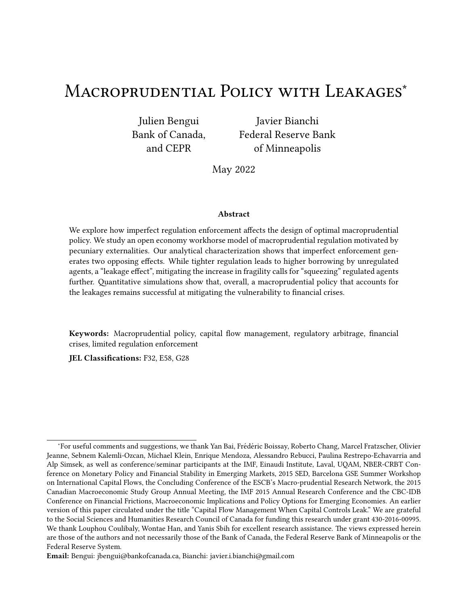It can be easily veri€ed that

1.  $1\frac{D-2}{8}$   $8i$ ;  $\frac{1}{1}$   $1\frac{B}{1}$   $\bullet$   $\rightarrow$   $1\frac{1}{1}$   $\bullet$   $22 \frac{y}{12}$   $1\frac{2}{8}$   $\rightarrow$   $1\frac{B}{1}$   $\bullet$   $\rightarrow$   $1\frac{1}{1}$   $1\frac{B}{1}$   $\bullet$   $\rightarrow$   $1\frac{B}{1}$   $22$  for  $8 = 1\frac{1}{1}$  is equivalent to  $\frac{1}{1}$   $1\frac{B}{1}$  $0_{G}$ 2.  $1^{D=2}_{\otimes}$  8;  $\rightarrow 1^{D}$   $\otimes$   $\rightarrow 1^{\circ}$  10<sup>D</sup>  $1^{2>1}_{\otimes}$  8;  $\rightarrow 1^{2}$   $\otimes$   $\rightarrow 1^{\circ}$  10<sup>o</sup>  $\rightarrow 1^{\circ}$  DD for 8 = \*  $\bullet$  is equivalent to  $\rightarrow 1^{\circ}$  19<sup>0</sup> 3.  $1^{D=2}$  + 1,  $-1^{D=2}$  + 1,  $-1^{D}$  + 1<sup>0</sup> + 1<sup>0</sup> + 1<sup>0</sup> 2 + 1,  $-1^{D=2}$  + 1<sup>0</sup> + 1<sup>0</sup> + 1<sup>0</sup> + 1<sup>0</sup> + 1<sup>0</sup> + 1<sup>0</sup> + 1<sup>0</sup> + 1<sup>0</sup> + 1<sup>0</sup> + 1<sup>0</sup> + 1<sup>0</sup> + 1<sup>0</sup> + 1<sup>0</sup> + 1<sup>0</sup> + 1<sup>0</sup> + 1<sup>0</sup> + 1<sup>0</sup> + 1<sup>0</sup> + 1<sup>0</sup> + 1<sup>0</sup> + 1  $1\frac{2}{2}$   $\rightarrow$   $1\frac{1}{2}$   $\rightarrow$   $1\frac{1}{2}$   $\rightarrow$   $1\bullet$   $\rightarrow$   $1\bullet$  2D is equivalent to  $\frac{1}{2}$   $\rightarrow$   $\frac{1}{2}$   $\rightarrow$   $\frac{1}{2}$   $\rightarrow$   $\frac{1}{2}$   $\rightarrow$   $\frac{1}{2}$   $\rightarrow$   $\frac{1}{2}$   $\rightarrow$   $\frac{1}{2}$   $\rightarrow$   $\frac{1}{2}$   $\rightarrow$   $\frac{1}{2}$   $\rightarrow$  4.  $1^{D=2}$  + 1;  $\rightarrow 1^{D}$  + 1<sup>o</sup> + 1<sup>o</sup> + 1<sup>o</sup> D2  $1^{2>1}$  + 1;  $\rightarrow 1^{D}$  + 1<sup>o</sup> + 1<sup>o</sup> D2 and  $1^{D=2}$  + 1;  $\rightarrow 1^{D}$  + 1<sup>o</sup> + 1<sup>o</sup> + 1<sup>o</sup> D2 Y  $1^{2\geq 4}$   $1^{1\geq 4}$   $1^{1}$ B  $\bullet$   $\rightarrow$  1<sup>o</sup> D2 is equivalent to  $0^{3}$   $\rightarrow$   $1^{4}$  B  $\frac{1}{2}$   $1^{3}$   $1^{3}$   $1^{4}$   $1^{3}$   $1^{4}$   $1^{4}$ 

### $B.5$ Proof of Lemma 5

'e proof simply follows from the fact that  $0_G$  and  $1_G$  are non-increasing in  $*$  1 and  $+$  1 (see expressions in proof of Lemma 4).

### **Proof of Proposition 1**  $B.6$

We start by de€ning

and note that the unregulated agents' Euler equation (19) can be wriven as  $\ast$   $\ast$   $\ast$   $\ast$   $\ast$   $\ast$  = 0, while the regulated agents' Euler equation (20) can be wriven as  ${}_{+1}$ ,  ${}_{+1}$ ,  $g^0 = 0$ .

Let us consider the equilibrium response \*ofagents. We note that we can write as

$$
4.1 \times 1^{\circ} + 1^{\circ} = 1
$$
\n
$$
= \frac{0^{\circ} + 1}{\frac{1}{2} + 1} = \frac{1}{1} = \frac{1}{1} = \frac{1}{1} = \frac{1}{1} = \frac{1}{1} = \frac{1}{1} = \frac{1}{1} = \frac{1}{1} = \frac{1}{1} = \frac{1}{1} = \frac{1}{1} = \frac{1}{1} = \frac{1}{1} = \frac{1}{1} = \frac{1}{1} = \frac{1}{1} = \frac{1}{1} = \frac{1}{1} = \frac{1}{1} = \frac{1}{1} = \frac{1}{1} = \frac{1}{1} = \frac{1}{1} = \frac{1}{1} = \frac{1}{1} = \frac{1}{1} = \frac{1}{1} = \frac{1}{1} = \frac{1}{1} = \frac{1}{1} = \frac{1}{1} = \frac{1}{1} = \frac{1}{1} = \frac{1}{1} = \frac{1}{1} = \frac{1}{1} = \frac{1}{1} = \frac{1}{1} = \frac{1}{1} = \frac{1}{1} = \frac{1}{1} = \frac{1}{1} = \frac{1}{1} = \frac{1}{1} = \frac{1}{1} = \frac{1}{1} = \frac{1}{1} = \frac{1}{1} = \frac{1}{1} = \frac{1}{1} = \frac{1}{1} = \frac{1}{1} = \frac{1}{1} = \frac{1}{1} = \frac{1}{1} = \frac{1}{1} = \frac{1}{1} = \frac{1}{1} = \frac{1}{1} = \frac{1}{1} = \frac{1}{1} = \frac{1}{1} = \frac{1}{1} = \frac{1}{1} = \frac{1}{1} = \frac{1}{1} = \frac{1}{1} = \frac{1}{1} = \frac{1}{1} = \frac{1}{1} = \frac{1}{1} = \frac{1}{1} = \frac{1}{1} = \frac{1}{1} = \frac{1}{1} = \frac{1}{1} = \frac{1}{1} = \frac{1}{1} = \frac{1}{1} = \frac{1}{1} = \frac{1}{1} = \frac{1}{1} = \frac{1}{1} = \frac{1}{1} = \frac{1}{1} = \frac{1}{1} = \frac{1}{1} = \frac{1}{1}
$$

where the arguments of  $\frac{1}{4}$ , 0<sub>G</sub> and 1<sub>G</sub> are omised in the interest of space. According to the implicit function theorem we have  $*1^{\bullet}3 + 1 = \frac{m^2 + m + 1}{m^2 + m + 1}$ , with

$$
\frac{m^*}{m_{-1}} = \frac{1}{1-\frac{1}{\frac{1}{\sqrt{1}}\left(\frac{1}{2}m_{-1}^2\right)}\frac{1}{2}m_{-1}^2} \frac{1}{1-\frac{1}{\sqrt{1}}\left(\frac{1}{2}m_{-1}^2\right)} \frac{1}{1-\frac{1}{\sqrt{1}}\left(\frac{1}{2}m_{-1}^2\right)} \frac{1}{1-\frac{1}{\sqrt{1}}\left(\frac{1}{2}m_{-1}^2\right)} \frac{1}{1-\frac{1}{\sqrt{1}}\left(\frac{1}{2}m_{-1}^2\right)} \frac{1}{1-\frac{1}{\sqrt{1}}\left(\frac{1}{2}m_{-1}^2\right)} \frac{1}{1-\frac{1}{\sqrt{1}}\left(\frac{1}{2}m_{-1}^2\right)} \frac{1}{1-\frac{1}{\sqrt{1}}\left(\frac{1}{2}m_{-1}^2\right)} \frac{1}{1-\frac{1}{\sqrt{1}}\left(\frac{1}{2}m_{-1}^2\right)} \frac{1}{1-\frac{1}{\sqrt{1}}\left(\frac{1}{2}m_{-1}^2\right)} \frac{1}{1-\frac{1}{\sqrt{1}}\left(\frac{1}{2}m_{-1}^2\right)} \frac{1}{1-\frac{1}{\sqrt{1}}\left(\frac{1}{2}m_{-1}^2\right)} \frac{1}{1-\frac{1}{\sqrt{1}}\left(\frac{1}{2}m_{-1}^2\right)} \frac{1}{1-\frac{1}{\sqrt{1}}\left(\frac{1}{2}m_{-1}^2\right)} \frac{1}{1-\frac{1}{\sqrt{1}}\left(\frac{1}{2}m_{-1}^2\right)} \frac{1}{1-\frac{1}{\sqrt{1}}\left(\frac{1}{2}m_{-1}^2\right)} \frac{1}{1-\frac{1}{\sqrt{1}}\left(\frac{1}{2}m_{-1}^2\right)} \frac{1}{1-\frac{1}{\sqrt{1}}\left(\frac{1}{2}m_{-1}^2\right)} \frac{1}{1-\frac{1}{\sqrt{1}}\left(\frac{1}{2}m_{-1}^2\right)} \frac{1}{1-\frac{1}{\sqrt{1}}\left(\frac{1}{2}m_{-1}^2\right)} \frac{1}{1-\frac{1}{\sqrt{1}}\left(\frac{1}{2}m_{
$$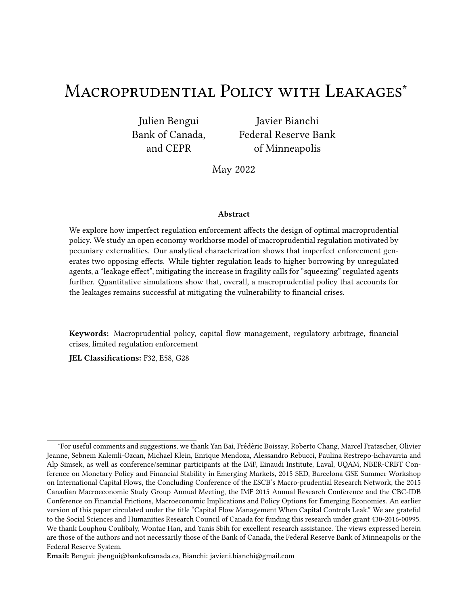where we used the fact that terms containing derivatives  $\alpha$  and  $\alpha$  drop out due to the continuity of  $\frac{1}{2}$  <sub>1</sub> across region<del>3?</del> 'e derivatives in the various regions are given by

22: m) \* 1 m' <sup>1</sup> = l ¹1¸ Aº¹1¸ ^º 1 l l ¹1 Wº 1 ^ 1 l l ; m) \* 1 m\* <sup>1</sup> = l ¹1¸ Aº " 1¸ ¹1¸ ^º 1 l <sup>l</sup> W 1 ^ 1 l l # " 2D: m) \* 1 m' <sup>1</sup> = l ¹1¸ Aº¹1¸ ^º 1 l l ¹1 Wº 1 W l ¸ W ¹1¸ Vº h 1 W l ¸ W 1 ^ 1 l l i ; m) \* 1 m\* <sup>1</sup> = l ¹1¸ Aº 2 6 6 6 6 6 4 1¸ ¹1¸ ^º 1 l <sup>l</sup> W V¸ 1 W l ¸ W ¹1¸ Vº h 1 W l ¸ W 1 ^ 1 l l i 3 7 7 7 7 7 5 D2: m) \* 1 m' <sup>1</sup> = l ¹1¸ Aº 1 l l ¹1 Wº 1¸ V ; m) \* 1 m\* <sup>1</sup> = l ¹1¸ Aº 1¸ 1 l <sup>l</sup> W 1¸ V DD: m) \* 1 m' <sup>1</sup> = l ¹1¸ Aº 1 l l ¹1 Wº ¹1¸ Vº ; m) \* 1 m\* <sup>1</sup> = l ¹1¸ Aº 1¸ 1 l <sup>l</sup> W ¹1¸ Vº

'erefore, in every region the term  $\frac{m\frac{1}{4}}{m+1}$  is non-negative (and strictly positive whenevWY 1) and the term $\frac{m_{+1}^{\lambda}}{m_{-1}}$  is strictly positive. It follows that for a given  $\cdot$  , m $*$   $\bullet$  m $*$   $_1$   $\dot{\rm I}$  0 in the range of  $*$  for which  $\frac{1}{\lambda}$  is always positive. 'e equilibrium response of  $\,$  agents to  $\, \cdot \,$  is therefore unique, and can be wri $\zeta$ en as  $* = q* 1 + 9$ . Further, in the range of  $*$  and  $+$  for which  $\frac{1}{2}$  is always positive, we havem $*$  •m $\cdot$  <sub>1</sub> 0, with strict inequality whenevelWY 1. It follows thatq.  $\frac{0}{1}$ ,  $\circ$  0, with strict inequality whenever WY 1.

For the equilibrium response of agents, the proof is analogous and involves the derivatives of  $\frac{1}{2}$  in the four regions. 'e equilibrium response of'  $\,$  agents to  $\,$   $\,$  is unique and decreasing, strictly wheneverW<sub>i</sub> 0.

## B.7 Proof of Proposition 2

'e proof relies on the relationship between the slopeq $^0_*$  $_*^0$  and »mq $\bullet$ m $_*$  ½ $^1$  at the unregulated equilibrium debt choices, as well as on the sign of the partial derivatine  $4^1$   $*$   $\bullet$  g $^{\circ}$   $\bullet$  mg.

We have  $q_*^0 = \frac{m_* \cdot m_{11}}{m_* \cdot m_{12}}$  and  $mq \cdot m_* = \frac{m_* \cdot m_{11}}{m_* \cdot m_{12}}$ . At the unre  $\frac{0}{\sqrt{2}}$  =  $\frac{m \cdot m}{m \cdot m \cdot n}$  $\frac{m^* \cdot m_{11}}{m^* \cdot m_{11}}$  and mq $\cdot m^* = \frac{m_1 \cdot m_{11}}{m_1 \cdot m_{11}}$  $\frac{m \cdot m_{1,1}}{m \cdot m_{1,1}}$ . At the unregulated equilibrium we have  $g = 0,$   $\begin{array}{c} 1 = 0, 0 \end{array}$  + 1 =  $\begin{array}{c} 0.4 \ 1 \end{array}$  $_{1}^{\text{D4}}$ , and therefor $\omega_{\text{G}}$  = 1<sub>G</sub> and  $\frac{1}{2}$  =  $\frac{1}{1}$  =  $\frac{1}{2}$  $\frac{1}{1}$  for any state at date 1. De€ning  $[22=$ ۔<br>0<sub>G</sub> ~ 1  $\frac{1}{1 \frac{1}{1} 0^2}$ 3 ~  $\frac{1}{1}$ <sup>1</sup>B<sup>e</sup> and[<sub>DD</sub>= ىر<br>1  $0_G$ 1  $\frac{1}{1 \frac{1}{1} 0^2}$ 3 ~  $\frac{1}{1}$ <sup>1</sup>B<sup>o</sup>, we have

$$
q_{*}^{01} \, \, \substack{p_4}{1}^0 = \, \frac{\left[ \, 22^{11} \, \, W \frac{11}{1} \, \frac{\sqrt{11}}{1} \, \frac{1}{1} \right]}{\left[ \, 22 \, \, 1 \, , \, W \frac{11}{1} \frac{\sqrt{11}}{1} \, , \, \left[ \, DD^1 \, 1 \, \, W \frac{1}{1} \, \frac{1}{1} \, \right] \right] \qquad (B.2)
$$

<sup>&</sup>lt;sup>22</sup>Note that if  $\cdots$  1<sup>*Y*</sup>  $\cdots$ <sub>1</sub> the relevant intermediate region betwe@<sub>G</sub> and 1<sub>G</sub> is G= 2D while if  $\cdots$ <sub>1</sub> i<sub>1</sub> the relevant region isG= D2. If  $*_{1} = 1 + 1$  then  $0<sub>G</sub> = 1<sub>G</sub>$  so this intermediate region drops out.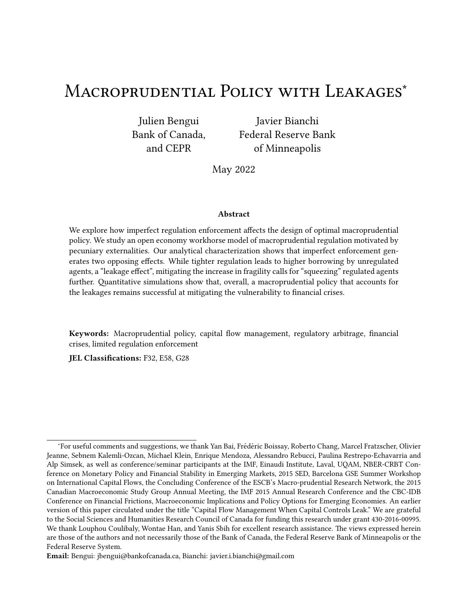and

$$
\text{wng1 } \frac{p_4}{1} \cdot 0^{\circ} \cdot m \cdot \frac{1}{4} = \frac{\left[22 \cdot 1 \cdot 1 \cdot 1 \cdot W \frac{11 \cdot 1 \cdot 1 \cdot 1}{1 \cdot 1 \cdot 1}}{22 \cdot 1 \cdot 1 \cdot 1 \cdot 1} \cdot \left[1 \cdot 1 \cdot 1 \cdot W \frac{11 \cdot 1}{1 \cdot 1 \cdot 1} \cdot W \frac{11 \cdot 1}{1 \cdot 1 \cdot 1} \cdot W \frac{11 \cdot 1}{1 \cdot 1 \cdot 1} \cdot W \frac{11 \cdot 1 \cdot 1}{1 \cdot 1 \cdot 1} \cdot W \frac{11 \cdot 1 \cdot 1 \cdot 1}{1 \cdot 1 \cdot 1} \cdot W \frac{11 \cdot 1 \cdot 1}{1 \cdot 1 \cdot 1} \cdot W \frac{11 \cdot 1 \cdot 1}{1 \cdot 1 \cdot 1} \cdot W \frac{11 \cdot 1 \cdot 1 \cdot 1}{1 \cdot 1 \cdot 1} \cdot W \frac{11 \cdot 1 \cdot 1 \cdot 1}{1 \cdot 1 \cdot 1} \cdot W \frac{11 \cdot 1 \cdot 1 \cdot 1}{1 \cdot 1 \cdot 1} \cdot W \frac{11 \cdot 1 \cdot 1 \cdot 1}{1 \cdot 1 \cdot 1} \cdot W \frac{11 \cdot 1 \cdot 1 \cdot 1}{1 \cdot 1 \cdot 1} \cdot W \frac{11 \cdot 1 \cdot 1 \cdot 1}{1 \cdot 1 \cdot 1} \cdot W \frac{11 \cdot 1 \cdot 1 \cdot 1 \cdot 1}{1 \cdot 1 \cdot 1 \cdot 1} \cdot W \frac{11 \cdot 1 \cdot 1 \cdot 1 \cdot 1}{1 \cdot 1 \cdot 1 \cdot 1} \cdot W \frac{11 \cdot 1 \cdot 1 \cdot 1 \cdot 1 \cdot 1}{1 \cdot 1 \cdot 1 \cdot 1} \cdot W \frac{11 \cdot 1 \cdot 1 \cdot 1 \cdot 1 \cdot 1}{1 \cdot 1 \cdot 1 \cdot 1 \cdot 1} \cdot W \frac{11 \cdot 1 \cdot 1 \cdot 1 \cdot 1 \cdot 1}{1 \cdot 1 \cdot 1 \cdot 1} \cdot W \frac{11 \cdot 1 \cdot 1 \cdot 1 \cdot 1 \cdot 1}{1 \cdot 1 \cdot 1 \cdot 1} \cdot W \frac{11 \cdot 1 \cdot 1 \cdot
$$

For any value of W the numerator in  $(B.2)$  is smaller than the one in  $(B.3)$ , and the denominator in  $(B.2)$  is larger than the one in  $(B.3)$ . It follows than \* ¹ D4 <sup>D4</sup>0j Ÿ j»mq<sup>1</sup> 94 <sup>D4</sup>0º∙m∗ ¼<sup>1</sup>j and therefore  $q^0_*$ 0 1 D4<br>\* 1 <sup>D4</sup>0 i »mq<sup>1D4</sup> <sup>D4</sup>0<sup>o</sup>∙m∗ ¼<sup>1</sup>.

Furthermore, we have

$$
\frac{m\hat{q}^{1} \cdot \bullet g^{0}}{mg} = \frac{m \cdot \bullet mg}{m \cdot \bullet m} = \frac{1\bullet 1 \cdot g^{02}}{m \cdot \bullet m} \text{ i } 0
$$

sincem $\cdot$  •m $\cdot$  ; 0.

In the <sup>1</sup>  $\times$  1<sup>o</sup>  $\cdot$  1<sup>o</sup> space, the curve<sup>1</sup>  $\times$  •g<sup>o</sup> crosses the curve<sub>\*</sub> <sup>1</sup>  $\cdot$  <sup>0</sup> from above at<sup>1</sup>  $\times$  1<sup>o</sup>  $\cdot$  1<sup>o</sup> = 1  $\frac{D4}{1}$  $^{D4}_{1}$ ,  $^{D4}_{1}$ , and it shi‰s to the right as rises. Hence, in the neighborhood of  $^{D4}_{1}$ <sup>D4</sup>, a rise ing results in a downward movement df  $_{* - q}^\bullet$   $_{+ q}^\circ$  along the downward slopin**g** $_{*}$  <sup>1</sup>  $_{-}^\circ$  curve. It follows that for a smallg,<sub>\* 1</sub> is decreasing ing  $\,$  and  $\,$   $_{+1}$  is increasing ing .

'e result on debt capacity follows from the sign of the derivativ $\frac{3^{2^{\#}_{1}}}{3^{+}_{-1}}$  $\frac{m_1^*}{m_{1,1}}, \frac{m_1^*}{m_{1,1}}$  $m_{1}$  $\frac{m+1}{m-1}$ . Evaluated at  $1 \times 1^{\circ} \times 1^0 = 1 \times 10^4$  $1^{\mathsf{D4}}$ , this derivative is given by

 $\overline{u}$ 

$$
\frac{3?_{1}^{\#}}{3!_{1}} = \frac{1}{1} \frac{1}{1} \frac{10\%11}{1} \frac{10}{1} \frac{10!_{1}}{1} \frac{10!_{1}}{1} \frac{10!_{1}}{1} \frac{10!_{1}}{1} \frac{10!_{1}}{1} \frac{10!_{1}}{1} \frac{10!_{1}}{1} \frac{10!_{1}}{1} \frac{10!_{1}}{1} \frac{10!_{1}}{1} \frac{11!_{1}}{1} \frac{10!_{1}}{1} \frac{10!_{1}}{1} \frac{10!_{1}}{1} \frac{10!_{1}}{1} \frac{10!_{1}}{1} \frac{10!_{1}}{1} \frac{10!_{1}}{1} \frac{10!_{1}}{1} \frac{10!_{1}}{1} \frac{10!_{1}}{1} \frac{10!_{1}}{1} \frac{10!_{1}}{1} \frac{10!_{1}}{1} \frac{10!_{1}}{1} \frac{10!_{1}}{1} \frac{10!_{1}}{1} \frac{10!_{1}}{1} \frac{10!_{1}}{1} \frac{10!_{1}}{1} \frac{10!_{1}}{1} \frac{10!_{1}}{1} \frac{10!_{1}}{1} \frac{10!_{1}}{1} \frac{10!_{1}}{1} \frac{10!_{1}}{1} \frac{10!_{1}}{1} \frac{10!_{1}}{1} \frac{10!_{1}}{1} \frac{10!_{1}}{1} \frac{10!_{1}}{1} \frac{10!_{1}}{1} \frac{10!_{1}}{1} \frac{10!_{1}}{1} \frac{10!_{1}}{1} \frac{10!_{1}}{1} \frac{10!_{1}}{1} \frac{10!_{1}}{1} \frac{10!_{1}}{1} \frac{10!_{1}}{1} \frac{10!_{1}}{1} \frac{10!_{1}}{1} \frac{10!_{1}}{1} \frac{10!_{1}}{1} \frac{10!_{1}}{1} \frac{10!_{1}}{1} \frac{10!_{1}}{1} \frac{10!_{1}}{1} \frac{10!_{1}}{1
$$

in region22, and by

$$
\frac{3\frac{7}{1}}{3\cdot1} = \frac{1}{1} \frac{1}{1} \frac{10\frac{11}{1}}{1} \frac{10\frac{11}{1}}{1} = \frac{11}{1} \frac{11}{1} \frac{10\frac{11}{1}}{1} = \frac{11}{1} \frac{11}{1} \frac{10\frac{11}{1}}{1} = \frac{11}{1} \frac{11}{1} \frac{10\frac{11}{1}}{1} = \frac{11}{1} \frac{10\frac{11}{1}}{1} = \frac{11}{1} \frac{10\frac{11}{1}}{1} = \frac{11}{1} \frac{10\frac{11}{1}}{1} = \frac{11}{1} \frac{10\frac{11}{1}}{1} = \frac{11}{1} \frac{10\frac{11}{1}}{1} = \frac{11}{1} \frac{10\frac{11}{1}}{1} = \frac{11}{1} \frac{10\frac{11}{1}}{1} = \frac{11}{1} \frac{10\frac{11}{1}}{1} = \frac{11}{1} \frac{10\frac{11}{1}}{1} = \frac{11}{1} \frac{10\frac{11}{1}}{1} = \frac{11}{1} \frac{10\frac{11}{1}}{1} = \frac{11}{1} \frac{11}{1} = \frac{11}{1} \frac{11}{1} = \frac{11}{1} \frac{11}{1} = \frac{11}{1} \frac{11}{1} = \frac{11}{1} \frac{11}{1} = \frac{11}{1} \frac{11}{1} = \frac{11}{1} \frac{11}{1} = \frac{11}{1} \frac{11}{1} = \frac{11}{1} \frac{11}{1} = \frac{11}{1} \frac{11}{1} = \frac{11}{1} \frac{11}{1} = \frac{11}{1} \frac{11}{1} = \frac{11}{1} \frac{11}{1} = \frac{11}{1} \frac{11}{1} = \frac{11}{1} \frac{11}{1} = \frac{11}{1} \frac{11}{1} = \frac{11}{1} \frac{11}{1} = \frac{11}{1} \frac{11}{1} = \frac{11}{1} \frac{11}{1
$$

in regionDD. Since22andDDare the only two relevant regions when debt choices are symmetric, it follows that  $\frac{3\frac{24}{1}}{3+1}$  i 0.

## B.8 Proof of Proposition 3

'e proof relies on the result that starting from the unregulated equilibrium, a movement along the best response of unregulated agents associated with a smad theads to welfare gains for agents of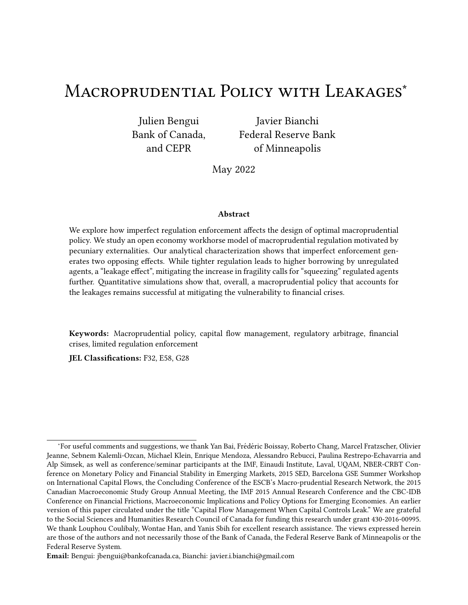both types. To establish this result, we start by observing that

subject to

$$
\frac{G}{C_{-1}} \frac{1}{11, A^{2}C_{-1}} h_{\text{SC}} \frac{1}{C_{-1}C_{-2}} \cdot 2C_{-1}^{\#} 1.21^{\bullet} 1.1^{\bullet} 1.1^{\bullet} 1.1^{\bullet} 1.1^{\bullet} 1.1^{\bullet} 1.1^{\bullet} 1.1^{\bullet} 1.1^{\bullet} 1.1^{\bullet} 1.1^{\bullet} 1.1^{\bullet} 1.1^{\bullet} 1.1^{\bullet} 1.1^{\bullet} 1.1^{\bullet} 1.1^{\bullet} 1.1^{\bullet} 1.1^{\bullet} 1.1^{\bullet} 1.1^{\bullet} 1.1^{\bullet} 1.1^{\bullet} 1.1^{\bullet} 1.1^{\bullet} 1.1^{\bullet} 1.1^{\bullet} 1.1^{\bullet} 1.1^{\bullet} 1.1^{\bullet} 1.1^{\bullet} 1.1^{\bullet} 1.1^{\bullet} 1.1^{\bullet} 1.1^{\bullet} 1.1^{\bullet} 1.1^{\bullet} 1.1^{\bullet} 1.1^{\bullet} 1.1^{\bullet} 1.1^{\bullet} 1.1^{\bullet} 1.1^{\bullet} 1.1^{\bullet} 1.1^{\bullet} 1.1^{\bullet} 1.1^{\bullet} 1.1^{\bullet} 1.1^{\bullet} 1.1^{\bullet} 1.1^{\bullet} 1.1^{\bullet} 1.1^{\bullet} 1.1^{\bullet} 1.1^{\bullet} 1.1^{\bullet} 1.1^{\bullet} 1.1^{\bullet} 1.1^{\bullet} 1.1^{\bullet} 1.1^{\bullet} 1.1^{\bullet} 1.1^{\bullet} 1.1^{\bullet} 1.1^{\bullet} 1.1^{\bullet} 1.1^{\bullet} 1.1^{\bullet} 1.1^{\bullet} 1.1^{\bullet} 1.1^{\bullet} 1.1^{\bullet} 1.1^{\bullet} 1.1^{\bullet} 1.1^{\bullet} 1.1^{\bullet} 1.1^{\bullet} 1.1^{\bullet} 1.1^{\bullet} 1.1^{\bullet} 1.1^{\bullet} 1.1^{\bullet} 1.1^{\bullet} 1.1^{\bullet} 1.1^{\bullet} 1.1^{\bullet} 1.1^{\bullet}
$$

and

$$
11 \text{, } A^0 \text{ s1 } \text{ s2 } \text{ s3 } \text{ s3 } \text{ s4 } \text{ s5 } \text{ s6 } \text{ s7 } \text{ s1 } \text{ s3 } \text{ s1 } \text{ s2 } \text{ s3 } \text{ s3 } \text{ s4 } \text{ s5 } \text{ s5 } \text{ s6 } \text{ s7 } \text{ s7 } \text{ s7 } \text{ s8 } \text{ s8 } \text{ s8 } \text{ s8 } \text{ s8 } \text{ s9 } \text{ s1 } \text{ s1 } \text{ s2 } \text{ s3 } \text{ s3 } \text{ s4 } \text{ s1 } \text{ s2 } \text{ s3 } \text{ s4 } \text{ s3 } \text{ s4 } \text{ s5 } \text{ s6 } \text{ s7 } \text{ s7 } \text{ s8 } \text{ s8 } \text{ s8 } \text{ s8 } \text{ s8 } \text{ s8 } \text{ s8 } \text{ s8 } \text{ s8 } \text{ s8 } \text{ s8 } \text{ s8 } \text{ s8 } \text{ s8 } \text{ s8 } \text{ s8 } \text{ s8 } \text{ s8 } \text{ s8 } \text{ s8 } \text{ s8 } \text{ s8 } \text{ s8 } \text{ s8 } \text{ s8 } \text{ s8 } \text{ s8 } \text{ s8 } \text{ s8 } \text{ s8 } \text{ s8 } \text{ s8 } \text{ s8 } \text{ s8 } \text{ s8 } \text{ s8 } \text{ s8 } \text{ s8 } \text{ s8 } \text{ s8 } \text{ s8 } \text{ s8 } \text{ s8 } \text{ s8 } \text{ s8 } \text{ s8 } \text{ s8 } \text{ s8 } \text{ s8 } \text{ s8 } \text{ s8 } \text{ s8 } \text{ s8 } \text{ s8 } \text{ s8 } \text{ s8 } \text{ s8 } \text{ s8 } \text{ s8 } \text{ s8 } \text{ s8 } \text{ s8 } \text{ s8 } \text{ s8 } \text{ s8 } \text{ s8 } \text{ s8 } \text{ s8 } \text{ s8 } \text{ s8 } \text{ s8 } \text{ s8 } \text{ s8 } \text{ s8 } \text{ s8 } \text{ s8 } \text{ s8 } \text{ s8 } \text{ s8 } \text{ s8 } \text{ s8 } \text{ s8
$$

'erefore, using the Envelope theorem, we have

$$
\frac{m_{\xi_1}}{m_{\xi_1}} = 11, \ \mathcal{R}\frac{1}{\frac{1}{81}}, \ 1 \quad \frac{1}{\frac{1}{81}} \quad \frac{1}{2} \sim^{\#} \frac{m_{1}^{\#}}{m_{\xi_1}} \cdot \frac{\tilde{G}}{c_{\xi_1}} \cdot \frac{1}{11, \ \mathcal{A}^{C-1}} \frac{1}{\frac{1}{81}} \sim^{\#} \quad \frac{\#}{\xi_1} \quad \frac{m_{\xi}^{\#}}{m_{\xi_1}} \tag{B.4}
$$

and

$$
\frac{m_{\xi_1}}{m_{\xi_1}} = 1 \quad \frac{1}{\xi_1} \quad \frac{1}{\xi_2} \quad \sim^{\#} \frac{m_{\xi_1}^{\#}}{m_{\xi_1}} \quad \frac{\tilde{G}}{G_{-1}} \quad \frac{1}{11, \quad A^{QC-1}} \quad \frac{1}{\xi_1} \quad \sim^{\#} \quad \frac{m_{\xi_1}^{\#}}{m_{\xi_1}} \tag{B.5}
$$

for  $9 < 8$ 

Next, the date 0 welfare of an agent of typessociated with aggregate debt choices  $1^{\bullet}$   $\cdot$   $1^{\circ}$ can be wriken as

$$
80^{1} \cdot 1^{\bullet} \cdot 1^{0} = 81. \text{ V} = 12^{1} \cdot 1^{\bullet} \cdot 1^{\bullet} \cdot 1^{0}
$$

'us, the variation in welfare of an agent of type8caused by imposing a small tax on regulated agents is proportional to

$$
\frac{3, \ \omega}{3 \cdot 1} = \frac{m, \omega}{m \cdot 1}, \ \frac{m, \omega}{m \cdot 1} \frac{m \cdot 1}{m \cdot 1}
$$

For unregulated agents, this variation is given by

$$
\frac{3, *_{0}}{3}_{1} = VE_{0} \frac{m+1}{m+1}, \qquad 1, VE_{0} \frac{m+1}{m+1} \frac{m+1}{m+1},
$$

Using  $(B.4)$  and  $(B.5)$  and evaluating the expression at the unregulated equilibrium, the variation re- $\mathbf{u}$ duces to  $\overline{1}$  $\overline{\mathbf{H}}$ 

$$
\frac{3, *_{0}}{3}_{1} = VE_{0} \quad 1 \quad \frac{1}{4}_{1} \quad \frac{1}{4}_{2} \quad \sim^{\#} \frac{32_{1}^{\#}}{3}_{1}^{\#}.
$$

Under the premise that borrowing constraints bind with positive probability in the unregulated equilibrium, the term in round brackets is positive in some states of nature (and zero in the others). Furthermore, Proposition 2 established th $\frac{37^{\frac{n}{2}}}{3!}$  j 0. It follows that  $\frac{3, *0}{3, *1}$  j 0.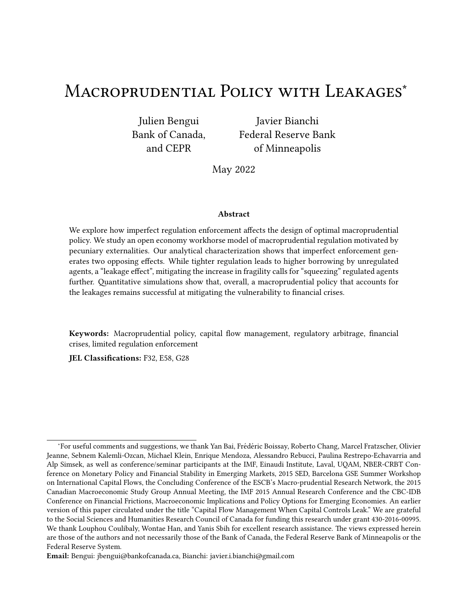For regulated agent, the welfare variation is given by

$$
\frac{3, 0}{3+1} = 1, \ \nabla E_0 \frac{m+1}{m+1}, \ \nabla E_0 \frac{m+1}{m+1} \frac{m+1}{m+1}
$$

Using (B.4) and (B.5) and evaluating the expression at the unregulated equilibrium, the variation reduces to " !  $#$ 

$$
\frac{3,0}{3+1} = VE_0 \quad 1 \quad \frac{1}{\frac{1}{1}} \quad \frac{1}{\frac{1}{2}} \quad \frac{1}{2} \sim^{\#} \frac{3 \frac{74}{1}}{3+1} \text{''}
$$

Again, under the premise that borrowing constraints bind with positive probability in the unregulated equilibrium, the term in round brackets is positive in some states of nature (and zero in the others), while Proposition 2 established th $\frac{3^{2^n+1}}{3^{1+1}-1}$  i 0. It follows that $\frac{3,-0}{3-1}$  i 0.

## C Recursive Competitive Equilibrium

We present the optimization problem of a representative agent in recursive form. 'e aggregate state vector of the economy is = f  $\;\star\; \bullet\; \cdot\; \bullet\; \to^{\#}$ g. 'e state variables for a type8agent's problem is the individual state1 $_8$  and the aggregate states. Agents need to forecast the future price of nontradables. To this end, they need to forecast future aggregate bond holdings. We denote<sup>o</sup>by the forecast of aggregate bond holdings for the set of type ents for every current aggregate state -,i.e.,  $\frac{0}{8}$ =  $\frac{1}{8}$ <sup>1</sup>- <sup>o</sup>. Combining €rst-order conditions equilibrium conditior sentled the constraints and market clearing, the forecast price function for nontradables can be expressed as

$$
?^{\# 1_{-} 0} = \frac{1}{I} \frac{1}{C} \frac{\frac{\#}{C} \sqrt{W_{*} \sqrt{1 - W_{*}^{2} M_{*}^{2}}} \sqrt{1 - \frac{W_{*} M_{*}^{2} M_{*}^{2}}{\pi^{2}}} \sqrt{1 - \frac{W_{*} M_{*}^{2}}{\pi^{2}}} \frac{1}{V_{*}^{2}} \sqrt{1 - \frac{W_{*} M_{*} M_{*}^{2}}{\pi^{2}}} \tag{B.6}
$$

'e problem of a type 8agent can then be wri‹en as:

$$
+ 11e^{i \theta} - 0 = \max_{18i} D \ 2 \ 2e^{i \theta} \n\left( B.7 \right)
$$
\n
$$
+ 11e^{i \theta} - 0 \tag{B.7}
$$

subject to

$$
18.7^{\# 1} - 02^{\#} \cdot 28 = 18^{1}1 \cdot 8 \cdot 7^{\# 1} - 02^{\#} \cdot 2
$$
  

$$
18.7^{\# 1} - 02^{\#} \cdot 2
$$
  

$$
19.7^{\# 1} - 02^{\#} \cdot 2
$$
  

$$
9 = 9^{1} - 0 \text{ for } 9 = f^* \cdot 9
$$

'e solution to this problem yields decision rules for individual bond holding $\mathbf{f}^1 \mathbf{f}$ - °, tradable goods consumption<sup>2</sup> <sup>1</sup>1<sub>8</sub>• · <sup>o</sup> and nontradable goods consumptio<sup>2</sup> <sup>1</sup>1<sub>8</sub> · <sup>o</sup>. 'e decision rule for bond holdings induces actual laws of motion for aggregate bonds, given by  $\cdot$  °.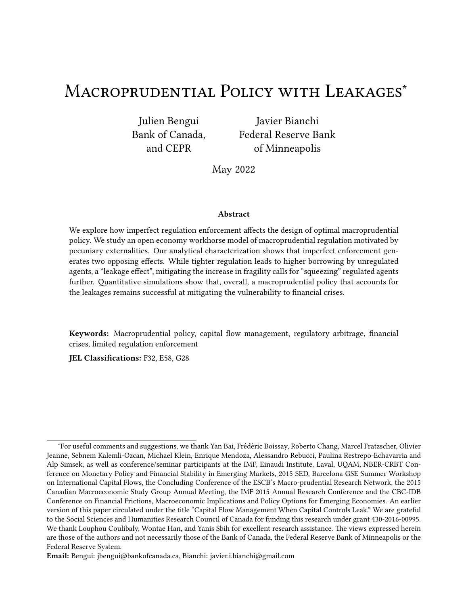De€nition of unregulated Equilibrium. A recursive unregulated equilibriumde Ened by a pricing function  $?$ <sup># 1</sup>- <sup>0</sup>, perceived laws of motions<sub>8</sub><sup>1</sup>- <sup>0</sup> for 8 2 f<sup>\*</sup> •' g, and decision rules<sup>4</sup><sup>1</sup>1g - <sup>0</sup>,  $\hat{\mathbb{Z}}$  11g -  $^{\circ}$ ,  $\hat{\mathbb{Z}}^{\#}$  11g -  $^{\circ}$  with associated value function 11g -  $^{\circ}$  such that:

- 1. Agents' optimization:  $\int_{18^8}$  %  $\frac{1}{2}$  11g %  $\frac{1}{2}$  11g % and + 11g % solve the agent's recursive optimization problem for 82 f\*\*' g, taking as given  $R^{\# 1}$ -  $\circ$  and  $8^{1}$ -  $\circ$  for 8= f\*\*' g.
- 2. Consistency: the perceived laws of motion for aggregate bonds are consistent with the actual laws of motion:  $s^{1}$ -  $^{\circ}$  =  $^{1}$   $s^{2}$ -  $^{\circ}$  for 8 = f\* $\bullet$  g.
- 3. Market clearing:

and

 $W * 1 - 0$ ,  $2^{k} 1 * 1 - 0 * 11$ ,  $A^0$ ,  $11 W * 1 - 0$ ,  $2^{k} 1 * 1 - 0 * 11$ ,  $A^0 = 0$ 

### **Numerical solution** D.

To solve for the regulated equilibrium when  $\mathbf{W}_i$  0, we adopt a nested  $\epsilon$ xed point algorithm similar to those used in studies of Markov perfect equilibria (e.g., Bianchi and Mendoza, 2018, Klein et al., 2005, Klein et al., 2008). Given future policies, we solve for policy functions and value functions using value function iteration in an inner loop. In the outer loop, we update future policies with the solution of the Bellman equation from the inner loop. 'e algorithm follows these steps:

- 1. Generate a discrete grid for the bond position of regulated agents f1<sup>1</sup> 1<sup>2</sup> is "1 g, the bond position of unregulated agents =  $f1_1 \cdot 1_2 \cdot 1_3 \cdot 1_4$  g and the shocks =  $f1_1 \cdot 1_2 \cdot 1_4$ and choose an interpolation scheme for evaluating the functions outside the bond grids. We use 100 points for each bond grid and interpolate using piecewise linear approximation.
- 2. Guess policy functions  $\sqrt{0}$ , P at step 81 2 , 81  $\sqrt{2}$  + and 8  $\sqrt{2}$  . We use as initial policies the policies of the unregulated equilibrium.
- 3. For giver  $\mathsf{U}^0_*\bullet\mathsf{P}$ , solve for the value function and policy functions associated with the following **Bellman equation:**

$$
+1-0=\max_{\{2\}}\max_{\mathbf{p}\in\mathcal{X}^*}\text{WDP}_{\bullet}\cdot\mathbf{p}^*\cdot\mathbf{p}^*\cdot\mathbf{p}^*\cdot\mathbf{p}^*\cdot\mathbf{p}^*\cdot\mathbf{p}^*\cdot\mathbf{p}^*\cdot\mathbf{p}^*\cdot\mathbf{p}^*\cdot\mathbf{p}^*\cdot\mathbf{p}^*\cdot\mathbf{p}^*\cdot\mathbf{p}^*\cdot\mathbf{p}^*\cdot\mathbf{p}^*\cdot\mathbf{p}^*\cdot\mathbf{p}^*\cdot\mathbf{p}^*\cdot\mathbf{p}^*\cdot\mathbf{p}^*\cdot\mathbf{p}^*\cdot\mathbf{p}^*\cdot\mathbf{p}^*\cdot\mathbf{p}^*\cdot\mathbf{p}^*\cdot\mathbf{p}^*\cdot\mathbf{p}^*\cdot\mathbf{p}^*\cdot\mathbf{p}^*\cdot\mathbf{p}^*\cdot\mathbf{p}^*\cdot\mathbf{p}^*\cdot\mathbf{p}^*\cdot\mathbf{p}^*\cdot\mathbf{p}^*\cdot\mathbf{p}^*\cdot\mathbf{p}^*\cdot\mathbf{p}^*\cdot\mathbf{p}^*\cdot\mathbf{p}^*\cdot\mathbf{p}^*\cdot\mathbf{p}^*\cdot\mathbf{p}^*\cdot\mathbf{p}^*\cdot\mathbf{p}^*\cdot\mathbf{p}^*\cdot\mathbf{p}^*\cdot\mathbf{p}^*\cdot\mathbf{p}^*\cdot\mathbf{p}^*\cdot\mathbf{p}^*\cdot\mathbf{p}^*\cdot\mathbf{p}^*\cdot\mathbf{p}^*\cdot\mathbf{p}^*\cdot\mathbf{p}^*\cdot\mathbf{p}^*\cdot\mathbf{p}^*\cdot\mathbf{p}^*\cdot\mathbf{p}^*\cdot\mathbf{p}^*\cdot\mathbf{p}^*\cdot\mathbf{p}^*\cdot\mathbf{p}^*\cdot\mathbf{p}^*\cdot\mathbf{p}^*\cdot\mathbf{p}^*\cdot\mathbf{p}^*\cdot\mathbf{p}^*\cdot\mathbf{p}^*\cdot\mathbf{p}^*\cdot\mathbf{p}^*\cdot\mathbf{p}^*\cdot\mathbf{p}^*\cdot\mathbf{p}^*\cdot\mathbf{p}^*\cdot\mathbf{p}^*\cdot\mathbf{p}^*\cdot\mathbf{p}^*\cdot\mathbf{p}^*\
$$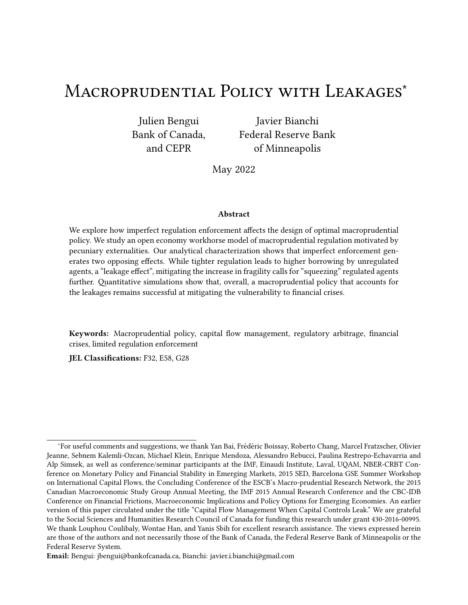subject to

$$
1^0 = 11, 4^0 \cdot 2^1 = 2^{10} \cdot 10^{11} \cdot 2^1 = 2^{11} \cdot 2^1 = 2^{11} \cdot 2^1 = 2^{11} \cdot 2^1 = 2^{11} \cdot 2^1 = 2^{11} \cdot 2^1 = 2^{11} \cdot 2^1 = 2^{11} \cdot 2^1 = 2^{11} \cdot 2^1 = 2^{11} \cdot 2^1 = 2^{11} \cdot 2^1 = 2^{11} \cdot 2^1 = 2^{11} \cdot 2^1 = 2^{11} \cdot 2^1 = 2^{11} \cdot 2^1 = 2^{11} \cdot 2^1 = 2^{11} \cdot 2^1 = 2^{11} \cdot 2^1 = 2^{11} \cdot 2^1 = 2^{11} \cdot 2^1 = 2^{11} \cdot 2^1 = 2^{11} \cdot 2^1 = 2^{11} \cdot 2^1 = 2^{11} \cdot 2^1 = 2^{11} \cdot 2^1 = 2^{11} \cdot 2^1 = 2^{11} \cdot 2^1 = 2^{11} \cdot 2^1 = 2^{11} \cdot 2^1 = 2^{11} \cdot 2^1 = 2^{11} \cdot 2^1 = 2^{11} \cdot 2^1 = 2^{11} \cdot 2^1 = 2^{11} \cdot 2^1 = 2^{11} \cdot 2^1 = 2^{11} \cdot 2^1 = 2^{11} \cdot 2^1 = 2^{11} \cdot 2^1 = 2^{11} \cdot 2^1 = 2^{11} \cdot 2^1 = 2^{11} \cdot 2^1 = 2^{11} \cdot 2^1 = 2^{11} \cdot 2^1 = 2^{11} \cdot 2^1 = 2^{11} \cdot 2^1 = 2^{11} \cdot 2^1 = 2^{11} \cdot 2^1 = 2^{11} \cdot 2^1 = 2^{11} \cdot 2^1 = 2^{11} \cdot 2^1 = 2^{11} \cdot 2^1 = 2^{11} \cdot 2^1 = 2^{11} \cdot 2^1 = 2^{11} \cdot 2^1 = 2^{11} \cdot 2^1 = 2^{11} \cdot 2^1 = 2^{
$$

$$
1^0_* = 11 \, \text{A}^{01*} \, \text{s}^{-1} \, 2^1 \, \text{s}^{-2} \, 2^1 \, \text{s}^{-1} \, 2^1 \, 0 \tag{B.10}
$$
\n
$$
1 \, \text{A} \, 1 \, \text{A}^{02} \, 1 \, 1 \, \text{A}^{03} \, 1 \, 1 \, \text{s}^{-1} \, 1 \tag{B.11}
$$

$$
?^{\#} = \frac{1}{I} \frac{1}{\sqrt{2} \cdot \frac{11}{2}} \frac{1002}{\sqrt{2}} \tag{B.11}
$$

$$
2^{\#} = \frac{2}{W2 \cdot 11 \cdot W2}^{\#}
$$
 (B.12)

$$
2^{\#} = \frac{2}{W/2, 11 \ W/2}^{\#}
$$
 (B.13)

$$
1^0 \qquad \qquad \wedge^1 P^1 \quad \circ \sim^{\#} \qquad \qquad \mathcal{L}^0 \qquad \qquad (B.14)
$$

1 0 \* ^ ¹P¹- º~ # ¸ ~ ) º (B.15) 0

$$
= D_1 12 \cdot 2^{\#0} \quad V^1 1, \text{ APEU.}^{01} \quad {}^{00}
$$
 (B.16)  

$$
V^1 \quad {}^{01} \quad {}^{01} \quad {}^{01} \quad {}^{01} \quad {}^{01} \quad {}^{01} \quad {}^{01} \quad {}^{01} \quad {}^{01} \quad {}^{01} \quad {}^{01} \quad {}^{01} \quad {}^{01} \quad {}^{01} \quad {}^{01} \quad {}^{01} \quad {}^{01} \quad {}^{01} \quad {}^{01} \quad {}^{01} \quad {}^{01} \quad {}^{01} \quad {}^{01} \quad {}^{01} \quad {}^{01} \quad {}^{01} \quad {}^{01} \quad {}^{01} \quad {}^{01} \quad {}^{01} \quad {}^{01} \quad {}^{01} \quad {}^{01} \quad {}^{01} \quad {}^{01} \quad {}^{01} \quad {}^{01} \quad {}^{01} \quad {}^{01} \quad {}^{01} \quad {}^{01} \quad {}^{01} \quad {}^{01} \quad {}^{01} \quad {}^{01} \quad {}^{01} \quad {}^{01} \quad {}^{01} \quad {}^{01} \quad {}^{01} \quad {}^{01} \quad {}^{01} \quad {}^{01} \quad {}^{01} \quad {}^{01} \quad {}^{01} \quad {}^{01} \quad {}^{01} \quad {}^{01} \quad {}^{01} \quad {}^{01} \quad {}^{01} \quad {}^{01} \quad {}^{01} \quad {}^{01} \quad {}^{01} \quad {}^{01} \quad {}^{01} \quad {}^{01} \quad {}^{01} \quad {}^{01} \quad {}^{01} \quad {}^{01} \quad {}^{01} \quad {}^{01} \quad {}^{01} \quad {}^{01} \quad {}^{01} \quad {}^{01} \quad {}^{01} \quad {}^{01} \quad {}^{01} \quad {}^{01} \quad {}^{01} \quad {}^{01} \quad {}^{01} \quad {}^{01} \quad {}^{01} \quad {}^{01} \quad {}^{01} \quad {}^{01} \quad {}^{01} \quad {}^{01} \quad {}^{01} \quad {}^{01} \quad {}^{01} \quad {}^{01} \quad {}^{01} \quad {}^{01} \quad {}^{0
$$

$$
0'' \tag{B.18}
$$

'e Bellman equation is solved using value function iteration. In each state, the maximization is performed using discrete search for on the  $+$  grid. For a given  $0$ , the value of all remaining variables (includingl.<sup>0</sup>  $^{0}$ ), and therefore of the objective, follow from (B.9)-(B.18).

4. Denote by  $^{\cup}$  andf  $^{\cap}$  the policy functions that solve the recursive problem in step 3. Compute the sup distance betwe<mark>dd</mark> $\ast\,$  andf  $^{\sf U}$  , as well as betwee<code>P</code> andf  $^{\sf P}$  . If the sup distance is higher than 1.0e-4, update  $*$  and P and go back to step 2.

## E Results for  $X = 0$

In this Appendix, we re-compute key model output under the assumption that the planner only cares about the welfare of regulated agents (i.e., we  $x \leftrightarrow 0$ ). We will see that this case yields lighter regulation than our utilitarian planner benchmark considered in the main text.

Figure 10 shows the long-run frequency of  $\epsilon$ nancial crisis as a function **of A** analogously to what was shown in Figure 7. We can see that for sizes of the unregulated sphere up to approximately 20%- 25%, the reduction in the long run probability of crises brought about by the regulation of the regulated sphere is close to that achieved in the absence of leakages, similar to the case. However, for larger values of W the e, ectiveness of the regulation at reducing the long-run frequency of crisis is signi€cantly reduced. When the unregulated sphere makes up 50% of the economy, the probability of crisis only drops from 5.33% to 3.31% when 0, compared to dropping to 0.76% when  $1$ .

Figure 11 reproduces the results of the event analysis of Section 3.6 for the case A  $\#$  exencing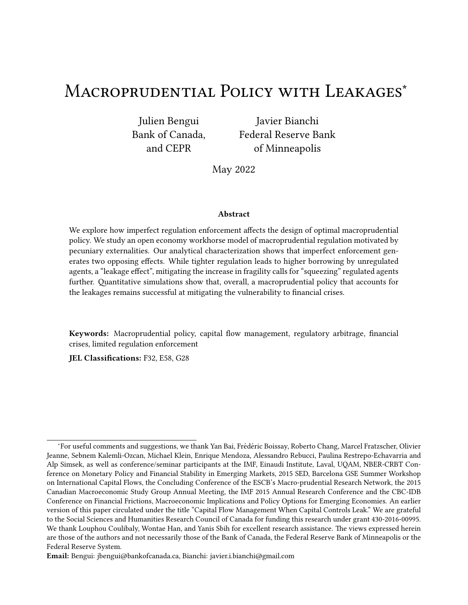

Figure 10: Long-run frequency of financial crises as a function of  $W$  for  $X = 0$ .



Figure 11: Event analysis for  $X = 0$ .

Figure 8, it compares the outcome of optimal macruprudential policy with leakages and a size of the unregulated sphere of 50% with the outcome of the unregulated equilibrium and the constrained efficient outcome (where all agents are regulated). Here too, we see that when the planner only maximizes the welfare of regulated agents, the regulation is more light-touch and accordingly, less effective. The optimal tax is lower, both before and after crisis events (see panel (f)). It follows that the slowdown in indebtedness imposed onto regulated agents is milder, as is the spillovers onto unregulated agents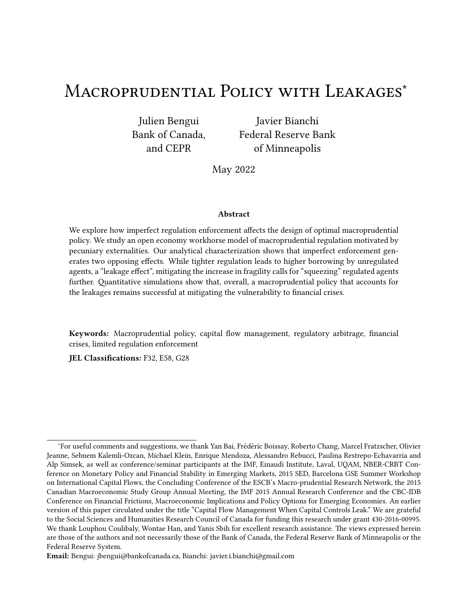

Figure 12: Welfare gains from macroprudential policy in the presence of leakages when  $X = 0$ . Note: Welfare gains are computed in consumption equivalence terms and expressed in percentages.

(see panels (d) and (e)). And ultimately, the reduction in the size of the current account reversal and real exchange rate depreciation is more modest too.

Figure 12 displays welfare gains from macroprudential policy by agent type for different degrees of leakages W, both in an unconditional sense (left panel) and through the event window of Section 3.6. Unsurprisingly, for  $W$  *i* 0, welfare gains are higher for regulated agents but lower for unregulated agents when  $X = 0$  relative to what they are when  $X = 1$ . This is true both unconditionally (left panel) and conditionally on being around a crisis event (right panel). Figure 13 confirms this by showing unconditional welfare differences by agent types between the  $X = 0$  and  $X = 1$  cases. There, it is apparent that with lighter-touch regulation, a planner caring exclusively for regulated agents provides these agents with mildly higher welfare gains by refraining from squeezing them too much, at the expense of significantly lowering welfare gains for unregulated agents and thus for the economy as a whole. For instance, in permanent consumption terms, for  $W = 0$  25, the additional welfare gains gleaned by regulated agents are of 0.003%, while the welfare losses to unregulated agents are nearly 10 times larger at 0.027%. For  $W = 0.05$ , the gains for regulated agents are of 0.019%, while the losses for unregulated agents are of 0.084%.